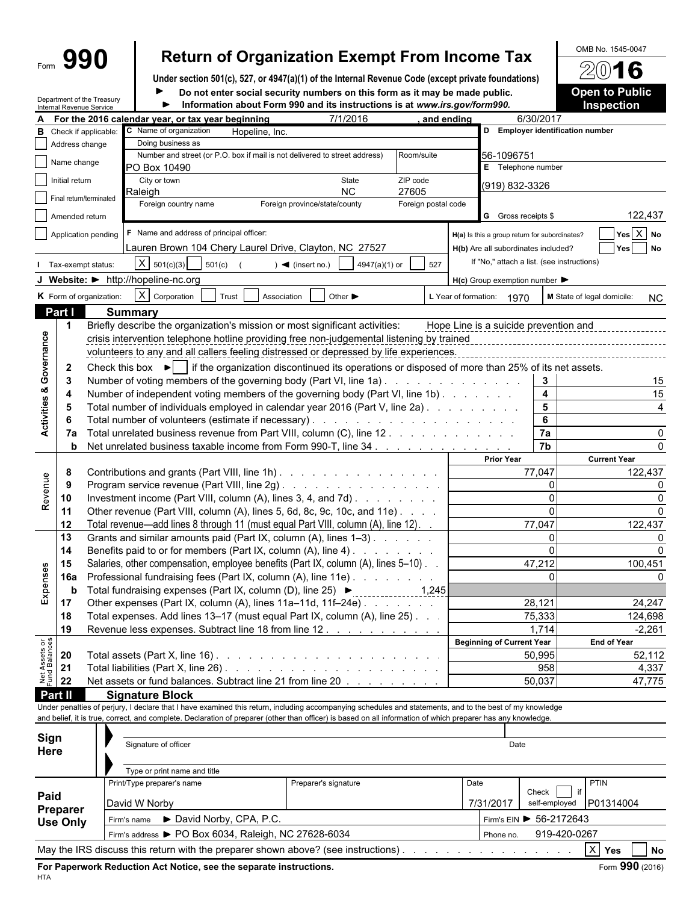| 990 |  |
|-----|--|
|     |  |

# Form **990 Return of Organization Exempt From Income Tax**  $\frac{600B \text{ No. }1545-0047}{2016}$

**Under section 501(c), 527, or 4947(a)(1) of the Internal Revenue Code (except private foundations)**

Department of the Treasury Internal Revenue Service

**Do not enter social security numbers on this form as it may be made public. <b>Open to Public Information about Form 990 and its instructions is at** *www.irs.gov/form990.* **Inspection** ь

|                                    |                    | internal Revenue Service |                                                             |                      |                                                                                                                                                                                                                                                                                                                          |                     |            |                                                     |                         |                            |                             |
|------------------------------------|--------------------|--------------------------|-------------------------------------------------------------|----------------------|--------------------------------------------------------------------------------------------------------------------------------------------------------------------------------------------------------------------------------------------------------------------------------------------------------------------------|---------------------|------------|-----------------------------------------------------|-------------------------|----------------------------|-----------------------------|
|                                    |                    |                          | For the 2016 calendar year, or tax year beginning           |                      | 7/1/2016                                                                                                                                                                                                                                                                                                                 |                     | and ending |                                                     | 6/30/2017               |                            |                             |
| в                                  |                    | Check if applicable:     | C Name of organization                                      | Hopeline, Inc.       |                                                                                                                                                                                                                                                                                                                          |                     |            | D Employer identification number                    |                         |                            |                             |
|                                    | Address change     |                          | Doing business as                                           |                      |                                                                                                                                                                                                                                                                                                                          |                     |            |                                                     |                         |                            |                             |
|                                    | Name change        |                          |                                                             |                      | Number and street (or P.O. box if mail is not delivered to street address)                                                                                                                                                                                                                                               | Room/suite          |            | 56-1096751                                          |                         |                            |                             |
|                                    |                    |                          | PO Box 10490                                                |                      |                                                                                                                                                                                                                                                                                                                          |                     |            | E Telephone number                                  |                         |                            |                             |
|                                    | Initial return     |                          | City or town<br>Raleigh                                     |                      | State<br><b>NC</b>                                                                                                                                                                                                                                                                                                       | ZIP code<br>27605   |            | (919) 832-3326                                      |                         |                            |                             |
|                                    |                    | Final return/terminated  | Foreign country name                                        |                      | Foreign province/state/county                                                                                                                                                                                                                                                                                            | Foreign postal code |            |                                                     |                         |                            |                             |
|                                    | Amended return     |                          |                                                             |                      |                                                                                                                                                                                                                                                                                                                          |                     |            | <b>G</b> Gross receipts \$                          |                         |                            | 122,437                     |
|                                    |                    |                          |                                                             |                      |                                                                                                                                                                                                                                                                                                                          |                     |            |                                                     |                         |                            |                             |
|                                    |                    | Application pending      | F Name and address of principal officer:                    |                      |                                                                                                                                                                                                                                                                                                                          |                     |            | H(a) Is this a group return for subordinates?       |                         |                            | $Yes \boxed{X} No$          |
|                                    |                    |                          |                                                             |                      | Lauren Brown 104 Chery Laurel Drive, Clayton, NC 27527                                                                                                                                                                                                                                                                   |                     |            | H(b) Are all subordinates included?                 |                         |                            | Yes No                      |
|                                    | Tax-exempt status: |                          | $X \mid 501(c)(3)$                                          | 501(c)               | 4947(a)(1) or<br>$\sim$ (insert no.)                                                                                                                                                                                                                                                                                     | 527                 |            | If "No," attach a list. (see instructions)          |                         |                            |                             |
|                                    |                    |                          | J Website: • http://hopeline-nc.org                         |                      |                                                                                                                                                                                                                                                                                                                          |                     |            | $H(c)$ Group exemption number $\blacktriangleright$ |                         |                            |                             |
|                                    |                    |                          |                                                             |                      |                                                                                                                                                                                                                                                                                                                          |                     |            |                                                     |                         |                            |                             |
|                                    |                    | K Form of organization:  | X Corporation                                               | Trust<br>Association | Other $\blacktriangleright$                                                                                                                                                                                                                                                                                              |                     |            | L Year of formation: 1970                           |                         | M State of legal domicile: | <b>NC</b>                   |
|                                    | Part I             |                          | <b>Summary</b>                                              |                      |                                                                                                                                                                                                                                                                                                                          |                     |            |                                                     |                         |                            |                             |
|                                    | $\mathbf 1$        |                          |                                                             |                      | Briefly describe the organization's mission or most significant activities:                                                                                                                                                                                                                                              |                     |            | Hope Line is a suicide prevention and               |                         |                            |                             |
|                                    |                    |                          |                                                             |                      | crisis intervention telephone hotline providing free non-judgemental listening by trained                                                                                                                                                                                                                                |                     |            |                                                     |                         |                            |                             |
| <b>Activities &amp; Governance</b> |                    |                          |                                                             |                      | volunteers to any and all callers feeling distressed or depressed by life experiences.                                                                                                                                                                                                                                   |                     |            |                                                     |                         |                            |                             |
|                                    | 2                  |                          |                                                             |                      | Check this box $\blacktriangleright$   if the organization discontinued its operations or disposed of more than 25% of its net assets.                                                                                                                                                                                   |                     |            |                                                     |                         |                            |                             |
|                                    | 3                  |                          |                                                             |                      | Number of voting members of the governing body (Part VI, line 1a)                                                                                                                                                                                                                                                        |                     |            |                                                     | 3                       |                            | 15                          |
|                                    | 4                  |                          |                                                             |                      | Number of independent voting members of the governing body (Part VI, line 1b)                                                                                                                                                                                                                                            |                     |            |                                                     | $\overline{\mathbf{4}}$ |                            | 15                          |
|                                    | -5                 |                          |                                                             |                      | Total number of individuals employed in calendar year 2016 (Part V, line 2a)                                                                                                                                                                                                                                             |                     |            |                                                     | 5                       |                            |                             |
|                                    |                    |                          |                                                             |                      |                                                                                                                                                                                                                                                                                                                          |                     |            |                                                     | 6                       |                            |                             |
|                                    | -6                 |                          |                                                             |                      |                                                                                                                                                                                                                                                                                                                          |                     |            |                                                     | 7a                      |                            |                             |
|                                    | 7a                 |                          |                                                             |                      | Total unrelated business revenue from Part VIII, column (C), line 12.                                                                                                                                                                                                                                                    |                     |            |                                                     | $\overline{7b}$         |                            |                             |
|                                    |                    |                          |                                                             |                      | <b>b</b> Net unrelated business taxable income from Form 990-T, line 34                                                                                                                                                                                                                                                  |                     |            |                                                     |                         |                            |                             |
|                                    |                    |                          |                                                             |                      |                                                                                                                                                                                                                                                                                                                          |                     |            | <b>Prior Year</b>                                   |                         | <b>Current Year</b>        |                             |
|                                    | 8                  |                          |                                                             |                      | Contributions and grants (Part VIII, line 1h)                                                                                                                                                                                                                                                                            |                     |            |                                                     | 77,047                  |                            | 122,437                     |
|                                    | - 9                |                          |                                                             |                      | Program service revenue (Part VIII, line 2g)                                                                                                                                                                                                                                                                             |                     |            |                                                     | $\mathbf 0$             |                            |                             |
| Revenue                            | 10                 |                          |                                                             |                      | Investment income (Part VIII, column (A), lines 3, 4, and 7d)                                                                                                                                                                                                                                                            |                     |            |                                                     | $\mathbf 0$             |                            |                             |
|                                    | 11                 |                          |                                                             |                      | Other revenue (Part VIII, column (A), lines 5, 6d, 8c, 9c, 10c, and 11e)                                                                                                                                                                                                                                                 |                     |            |                                                     | $\Omega$                |                            |                             |
|                                    | 12                 |                          |                                                             |                      | Total revenue—add lines 8 through 11 (must equal Part VIII, column (A), line 12).                                                                                                                                                                                                                                        |                     |            |                                                     | 77,047                  |                            | 122,437                     |
|                                    | 13                 |                          |                                                             |                      | Grants and similar amounts paid (Part IX, column (A), lines 1-3)                                                                                                                                                                                                                                                         |                     |            |                                                     | $\mathbf 0$             |                            |                             |
|                                    | 14                 |                          |                                                             |                      | Benefits paid to or for members (Part IX, column (A), line 4)                                                                                                                                                                                                                                                            |                     |            |                                                     | $\Omega$                |                            |                             |
|                                    | 15                 |                          |                                                             |                      | Salaries, other compensation, employee benefits (Part IX, column (A), lines 5-10).                                                                                                                                                                                                                                       |                     |            |                                                     | 47,212                  |                            | 100,451                     |
|                                    | <b>16a</b>         |                          |                                                             |                      | Professional fundraising fees (Part IX, column (A), line 11e)                                                                                                                                                                                                                                                            |                     |            |                                                     | $\Omega$                |                            |                             |
| Expenses                           | b                  |                          | Total fundraising expenses (Part IX, column (D), line 25) ▶ |                      |                                                                                                                                                                                                                                                                                                                          | $\frac{1,245}{2}$   |            |                                                     |                         |                            |                             |
|                                    | 17                 |                          |                                                             |                      | Other expenses (Part IX, column (A), lines 11a-11d, 11f-24e)                                                                                                                                                                                                                                                             |                     |            |                                                     | 28,121                  |                            | 24,247                      |
|                                    | 18                 |                          |                                                             |                      | Total expenses. Add lines 13–17 (must equal Part IX, column (A), line 25). .                                                                                                                                                                                                                                             |                     |            |                                                     | 75,333                  |                            | 124,698                     |
|                                    | 19                 |                          |                                                             |                      | Revenue less expenses. Subtract line 18 from line 12.                                                                                                                                                                                                                                                                    |                     |            |                                                     | 1,714                   |                            | $-2,261$                    |
|                                    |                    |                          |                                                             |                      |                                                                                                                                                                                                                                                                                                                          |                     |            | <b>Beginning of Current Year</b>                    |                         | End of Year                |                             |
| Net Assets or<br>Fund Balances     | 20                 |                          |                                                             |                      |                                                                                                                                                                                                                                                                                                                          |                     |            |                                                     | 50,995                  |                            | 52,112                      |
|                                    | 21                 |                          |                                                             |                      |                                                                                                                                                                                                                                                                                                                          |                     |            |                                                     | 958                     |                            | 4,337                       |
|                                    |                    |                          |                                                             |                      |                                                                                                                                                                                                                                                                                                                          |                     |            |                                                     |                         |                            |                             |
|                                    | 22                 |                          |                                                             |                      | Net assets or fund balances. Subtract line 21 from line 20                                                                                                                                                                                                                                                               |                     |            |                                                     | 50,037                  |                            | 47,775                      |
|                                    | Part II            |                          | <b>Signature Block</b>                                      |                      |                                                                                                                                                                                                                                                                                                                          |                     |            |                                                     |                         |                            |                             |
|                                    |                    |                          |                                                             |                      | Under penalties of perjury, I declare that I have examined this return, including accompanying schedules and statements, and to the best of my knowledge<br>and belief, it is true, correct, and complete. Declaration of preparer (other than officer) is based on all information of which preparer has any knowledge. |                     |            |                                                     |                         |                            |                             |
|                                    |                    |                          |                                                             |                      |                                                                                                                                                                                                                                                                                                                          |                     |            |                                                     |                         |                            |                             |
| Sign                               |                    |                          |                                                             |                      |                                                                                                                                                                                                                                                                                                                          |                     |            |                                                     |                         |                            |                             |
| Here                               |                    |                          | Signature of officer                                        |                      |                                                                                                                                                                                                                                                                                                                          |                     |            | Date                                                |                         |                            |                             |
|                                    |                    |                          |                                                             |                      |                                                                                                                                                                                                                                                                                                                          |                     |            |                                                     |                         |                            |                             |
|                                    |                    |                          | Type or print name and title                                |                      |                                                                                                                                                                                                                                                                                                                          |                     |            |                                                     |                         |                            |                             |
|                                    |                    |                          | Print/Type preparer's name                                  |                      | Preparer's signature                                                                                                                                                                                                                                                                                                     |                     | Date       |                                                     |                         | <b>PTIN</b>                |                             |
| Paid                               |                    |                          | David W Norby                                               |                      |                                                                                                                                                                                                                                                                                                                          |                     |            | 7/31/2017                                           | Check<br>self-employed  | P01314004                  |                             |
|                                    | Preparer           |                          |                                                             |                      |                                                                                                                                                                                                                                                                                                                          |                     |            |                                                     |                         |                            |                             |
|                                    | <b>Use Only</b>    |                          | Firm's name David Norby, CPA, P.C.                          |                      |                                                                                                                                                                                                                                                                                                                          |                     |            | Firm's EIN ▶ 56-2172643                             |                         |                            |                             |
|                                    |                    |                          | Firm's address > PO Box 6034, Raleigh, NC 27628-6034        |                      |                                                                                                                                                                                                                                                                                                                          |                     |            | Phone no.                                           | 919-420-0267            |                            |                             |
|                                    |                    |                          |                                                             |                      | May the IRS discuss this return with the preparer shown above? (see instructions).                                                                                                                                                                                                                                       |                     |            |                                                     |                         | $ X $ Yes                  | $\overline{\phantom{a}}$ No |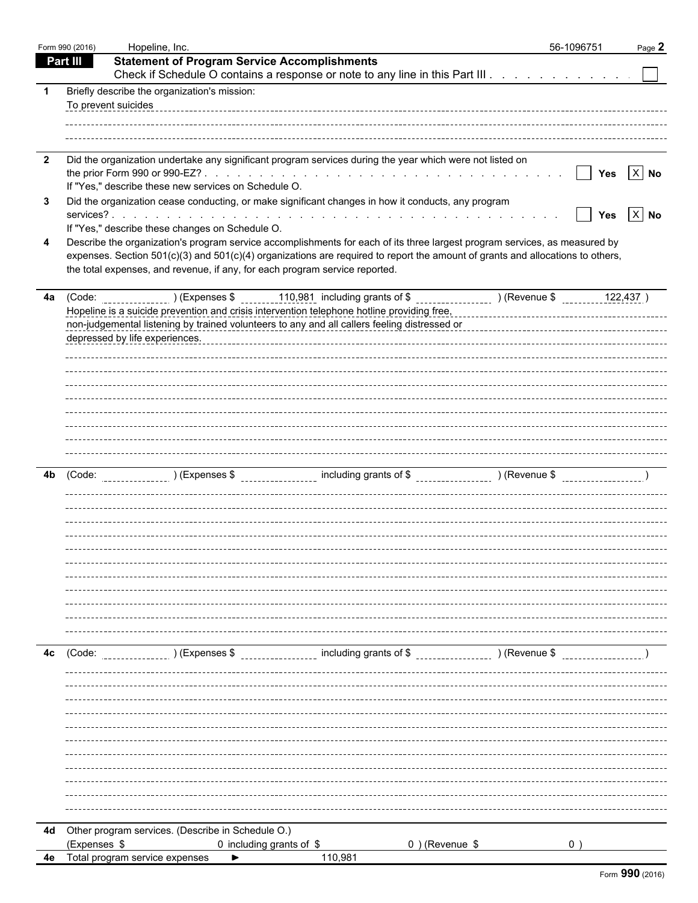|                         | Form 990 (2016) | Hopeline, Inc.                                                                                                                                                                                                                                               | 56-1096751                    | Page 2 |
|-------------------------|-----------------|--------------------------------------------------------------------------------------------------------------------------------------------------------------------------------------------------------------------------------------------------------------|-------------------------------|--------|
|                         | <b>Part III</b> | <b>Statement of Program Service Accomplishments</b>                                                                                                                                                                                                          |                               |        |
|                         |                 | Check if Schedule O contains a response or note to any line in this Part III                                                                                                                                                                                 |                               |        |
| -1                      |                 | Briefly describe the organization's mission:                                                                                                                                                                                                                 |                               |        |
|                         |                 | To prevent suicides                                                                                                                                                                                                                                          |                               |        |
|                         |                 |                                                                                                                                                                                                                                                              |                               |        |
|                         |                 |                                                                                                                                                                                                                                                              |                               |        |
| $\overline{\mathbf{2}}$ |                 | Did the organization undertake any significant program services during the year which were not listed on                                                                                                                                                     |                               |        |
|                         |                 |                                                                                                                                                                                                                                                              | Yes $X$ No<br>$\vert \ \vert$ |        |
|                         |                 | If "Yes," describe these new services on Schedule O.                                                                                                                                                                                                         |                               |        |
| 3                       |                 | Did the organization cease conducting, or make significant changes in how it conducts, any program                                                                                                                                                           |                               |        |
|                         |                 |                                                                                                                                                                                                                                                              | Yes $X$ No<br>$\mathbf{I}$    |        |
|                         |                 | If "Yes," describe these changes on Schedule O.                                                                                                                                                                                                              |                               |        |
| 4                       |                 | Describe the organization's program service accomplishments for each of its three largest program services, as measured by<br>expenses. Section 501(c)(3) and 501(c)(4) organizations are required to report the amount of grants and allocations to others, |                               |        |
|                         |                 | the total expenses, and revenue, if any, for each program service reported.                                                                                                                                                                                  |                               |        |
|                         |                 |                                                                                                                                                                                                                                                              |                               |        |
|                         |                 | 4a (Code: __________________) (Expenses \$ _______110,981 including grants of \$ _____________________ ) (Revenue \$ _________________ 122,437 )                                                                                                             |                               |        |
|                         |                 | Hopeline is a suicide prevention and crisis intervention telephone hotline providing free,                                                                                                                                                                   |                               |        |
|                         |                 | non-judgemental listening by trained volunteers to any and all callers feeling distressed or<br>non-judgemental listening by trained volunteers to any and all callers feeling distressed or                                                                 |                               |        |
|                         |                 | depressed by life experiences.                                                                                                                                                                                                                               |                               |        |
|                         |                 |                                                                                                                                                                                                                                                              |                               |        |
|                         |                 |                                                                                                                                                                                                                                                              |                               |        |
|                         |                 |                                                                                                                                                                                                                                                              |                               |        |
|                         |                 |                                                                                                                                                                                                                                                              |                               |        |
|                         |                 |                                                                                                                                                                                                                                                              |                               |        |
|                         |                 |                                                                                                                                                                                                                                                              |                               |        |
|                         |                 |                                                                                                                                                                                                                                                              |                               |        |
|                         |                 |                                                                                                                                                                                                                                                              |                               |        |
| 4b                      | (Code:          |                                                                                                                                                                                                                                                              |                               |        |
|                         |                 |                                                                                                                                                                                                                                                              |                               |        |
|                         |                 |                                                                                                                                                                                                                                                              |                               |        |
|                         |                 |                                                                                                                                                                                                                                                              |                               |        |
|                         |                 |                                                                                                                                                                                                                                                              |                               |        |
|                         |                 |                                                                                                                                                                                                                                                              |                               |        |
|                         |                 |                                                                                                                                                                                                                                                              |                               |        |
|                         |                 |                                                                                                                                                                                                                                                              |                               |        |
|                         |                 |                                                                                                                                                                                                                                                              |                               |        |
|                         |                 |                                                                                                                                                                                                                                                              |                               |        |
|                         |                 |                                                                                                                                                                                                                                                              |                               |        |
|                         |                 |                                                                                                                                                                                                                                                              |                               |        |
| 4c                      | (Code:          | ________________ including grants of \$ __________________ ) (Revenue \$<br>) (Expenses \$                                                                                                                                                                   |                               |        |
|                         |                 |                                                                                                                                                                                                                                                              |                               |        |
|                         |                 |                                                                                                                                                                                                                                                              |                               |        |
|                         |                 |                                                                                                                                                                                                                                                              |                               |        |
|                         |                 |                                                                                                                                                                                                                                                              |                               |        |
|                         |                 |                                                                                                                                                                                                                                                              |                               |        |
|                         |                 |                                                                                                                                                                                                                                                              |                               |        |
|                         |                 |                                                                                                                                                                                                                                                              |                               |        |
|                         |                 |                                                                                                                                                                                                                                                              |                               |        |
|                         |                 |                                                                                                                                                                                                                                                              |                               |        |
|                         |                 |                                                                                                                                                                                                                                                              |                               |        |
|                         |                 |                                                                                                                                                                                                                                                              |                               |        |
|                         |                 | 4d Other program services. (Describe in Schedule O.)                                                                                                                                                                                                         |                               |        |
|                         | (Expenses \$    | 0) (Revenue \$<br>0 including grants of \$                                                                                                                                                                                                                   |                               |        |
| 4e                      |                 | Total program service expenses<br>110,981                                                                                                                                                                                                                    |                               |        |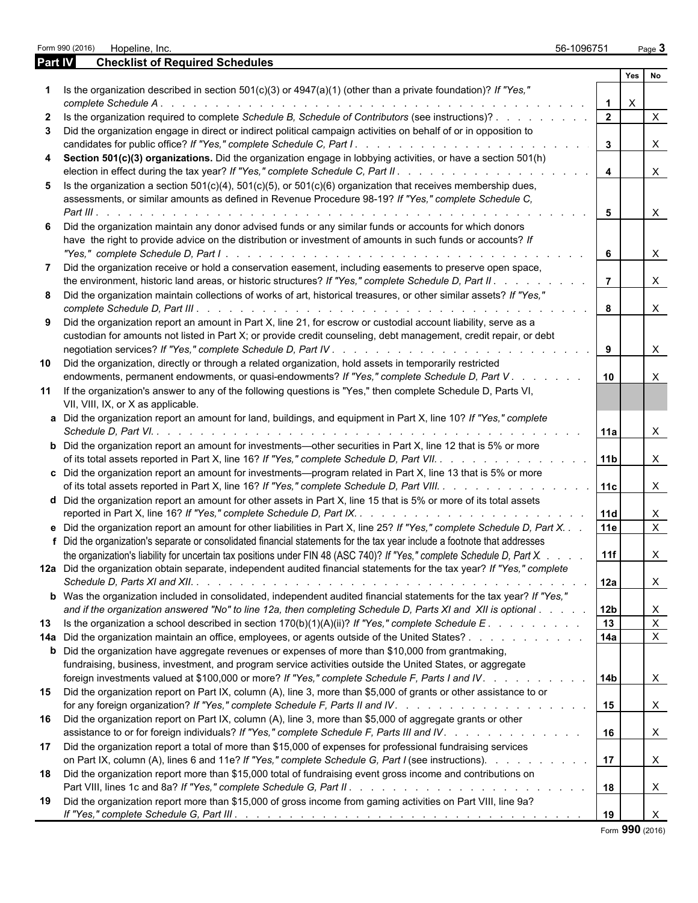|         | Form 990 (2016)<br>Hopeline, Inc.                                                                                                                                                                                                                  | 56-1096751            |                           | Page 3       |
|---------|----------------------------------------------------------------------------------------------------------------------------------------------------------------------------------------------------------------------------------------------------|-----------------------|---------------------------|--------------|
| Part IV | <b>Checklist of Required Schedules</b>                                                                                                                                                                                                             |                       |                           |              |
|         |                                                                                                                                                                                                                                                    |                       | Yes                       | No           |
|         | Is the organization described in section $501(c)(3)$ or $4947(a)(1)$ (other than a private foundation)? If "Yes,"                                                                                                                                  |                       | $\boldsymbol{\mathsf{X}}$ |              |
| 2       | Is the organization required to complete Schedule B, Schedule of Contributors (see instructions)?                                                                                                                                                  | $\overline{2}$        |                           | $\times$     |
| 3       | Did the organization engage in direct or indirect political campaign activities on behalf of or in opposition to                                                                                                                                   | $\mathbf{3}$          |                           | $\mathsf{X}$ |
| 4       | Section 501(c)(3) organizations. Did the organization engage in lobbying activities, or have a section 501(h)                                                                                                                                      | $\overline{4}$        |                           | $\times$     |
| 5       | Is the organization a section $501(c)(4)$ , $501(c)(5)$ , or $501(c)(6)$ organization that receives membership dues,<br>assessments, or similar amounts as defined in Revenue Procedure 98-19? If "Yes," complete Schedule C,                      |                       |                           |              |
|         |                                                                                                                                                                                                                                                    | 5                     |                           | $\times$     |
|         | Did the organization maintain any donor advised funds or any similar funds or accounts for which donors<br>have the right to provide advice on the distribution or investment of amounts in such funds or accounts? If                             | -6                    |                           | $\mathsf{X}$ |
| 7       | Did the organization receive or hold a conservation easement, including easements to preserve open space,<br>the environment, historic land areas, or historic structures? If "Yes," complete Schedule D, Part II.                                 | $\overline{7}$        |                           | $\mathsf{X}$ |
| 8       | Did the organization maintain collections of works of art, historical treasures, or other similar assets? If "Yes,"                                                                                                                                |                       |                           |              |
| 9       | Did the organization report an amount in Part X, line 21, for escrow or custodial account liability, serve as a                                                                                                                                    | 8                     |                           | $\times$     |
|         | custodian for amounts not listed in Part X; or provide credit counseling, debt management, credit repair, or debt                                                                                                                                  | 9                     |                           | $\mathsf{X}$ |
| 10      | Did the organization, directly or through a related organization, hold assets in temporarily restricted<br>endowments, permanent endowments, or quasi-endowments? If "Yes," complete Schedule D, Part V.                                           | 10<br>and the company |                           |              |
|         | 11 If the organization's answer to any of the following questions is "Yes," then complete Schedule D, Parts VI,<br>VII, VIII, IX, or X as applicable.                                                                                              |                       |                           |              |
|         | a Did the organization report an amount for land, buildings, and equipment in Part X, line 10? If "Yes," complete                                                                                                                                  | l 11a                 |                           | X            |
|         | <b>b</b> Did the organization report an amount for investments—other securities in Part X, line 12 that is 5% or more<br>of its total assets reported in Part X, line 16? If "Yes," complete Schedule D, Part VII.                                 | 11b                   |                           | $\mathsf{X}$ |
|         | c Did the organization report an amount for investments—program related in Part X, line 13 that is 5% or more<br>of its total assets reported in Part X, line 16? If "Yes," complete Schedule D, Part VIII.                                        | 11c                   |                           | $\times$     |
|         | d Did the organization report an amount for other assets in Part X, line 15 that is 5% or more of its total assets                                                                                                                                 | 11d                   |                           | X            |
|         | e Did the organization report an amount for other liabilities in Part X, line 25? If "Yes," complete Schedule D, Part X.                                                                                                                           | 11e                   |                           | $\mathsf{X}$ |
|         | f Did the organization's separate or consolidated financial statements for the tax year include a footnote that addresses                                                                                                                          |                       |                           |              |
|         | the organization's liability for uncertain tax positions under FIN 48 (ASC 740)? If "Yes," complete Schedule D, Part X.<br>12a Did the organization obtain separate, independent audited financial statements for the tax year? If "Yes," complete | 11f                   |                           | X            |
|         |                                                                                                                                                                                                                                                    | 12a                   |                           | X            |
|         | <b>b</b> Was the organization included in consolidated, independent audited financial statements for the tax year? If "Yes,"<br>and if the organization answered "No" to line 12a, then completing Schedule D, Parts XI and XII is optional        | 12 <sub>b</sub>       |                           | X            |
|         | 13 Is the organization a school described in section 170(b)(1)(A)(ii)? If "Yes," complete Schedule E.                                                                                                                                              | 13                    |                           | $\mathsf{X}$ |
|         | 14a Did the organization maintain an office, employees, or agents outside of the United States?<br><b>b</b> Did the organization have aggregate revenues or expenses of more than \$10,000 from grantmaking,                                       | 14a                   |                           | $\mathsf{X}$ |
|         | fundraising, business, investment, and program service activities outside the United States, or aggregate<br>foreign investments valued at \$100,000 or more? If "Yes," complete Schedule F, Parts I and IV.                                       | 14b                   |                           | X            |
| 15      | Did the organization report on Part IX, column (A), line 3, more than \$5,000 of grants or other assistance to or                                                                                                                                  | 15                    |                           | X            |
| 16      | Did the organization report on Part IX, column (A), line 3, more than \$5,000 of aggregate grants or other<br>assistance to or for foreign individuals? If "Yes," complete Schedule F, Parts III and IV.                                           | 16                    |                           | $\times$     |
| 17      | Did the organization report a total of more than \$15,000 of expenses for professional fundraising services<br>on Part IX, column (A), lines 6 and 11e? If "Yes," complete Schedule G, Part I (see instructions).                                  | $\overline{1}$ 17     |                           | $\times$     |
| 18      | Did the organization report more than \$15,000 total of fundraising event gross income and contributions on                                                                                                                                        | 18                    |                           | $\times$     |
| 19      | Did the organization report more than \$15,000 of gross income from gaming activities on Part VIII, line 9a?                                                                                                                                       | 19                    |                           | $\times$     |

Form **990** (2016)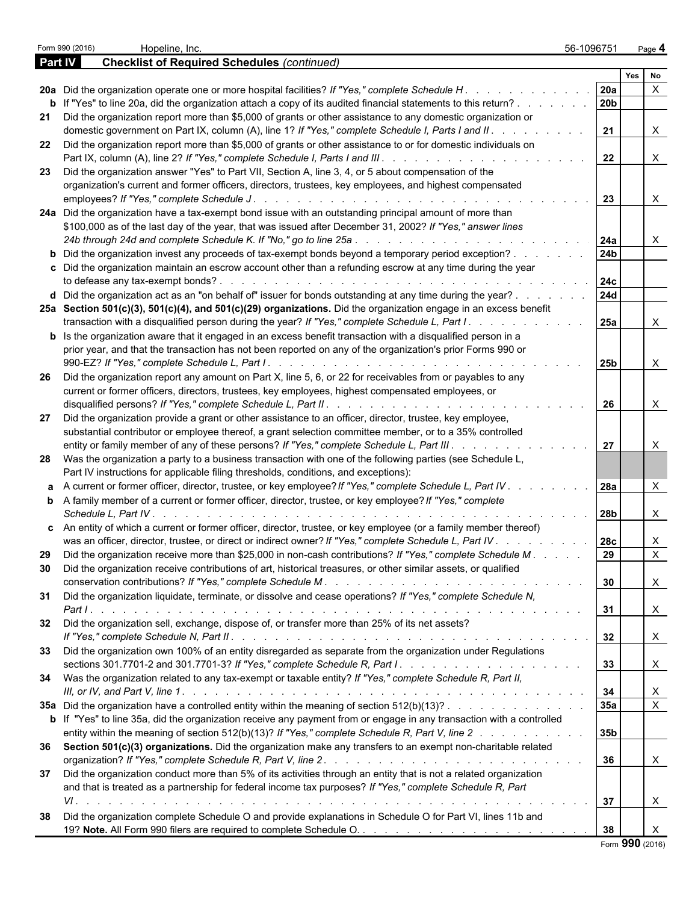|                | Form 990 (2016)<br>Hopeline, Inc.                                                                                                                                                                                                    | 56-1096751      |            | Page 4                    |  |
|----------------|--------------------------------------------------------------------------------------------------------------------------------------------------------------------------------------------------------------------------------------|-----------------|------------|---------------------------|--|
| <b>Part IV</b> | <b>Checklist of Required Schedules (continued)</b>                                                                                                                                                                                   |                 |            |                           |  |
|                |                                                                                                                                                                                                                                      |                 | <b>Yes</b> | No                        |  |
|                | 20a Did the organization operate one or more hospital facilities? If "Yes," complete Schedule H.                                                                                                                                     | 20a<br>20b      |            |                           |  |
| 21             | <b>b</b> If "Yes" to line 20a, did the organization attach a copy of its audited financial statements to this return?<br>Did the organization report more than \$5,000 of grants or other assistance to any domestic organization or |                 |            |                           |  |
|                | domestic government on Part IX, column (A), line 1? If "Yes," complete Schedule I, Parts I and II. .                                                                                                                                 | 21              |            | X                         |  |
| 22             | Did the organization report more than \$5,000 of grants or other assistance to or for domestic individuals on                                                                                                                        | 22              |            | X                         |  |
| 23             | Did the organization answer "Yes" to Part VII, Section A, line 3, 4, or 5 about compensation of the                                                                                                                                  |                 |            |                           |  |
|                | organization's current and former officers, directors, trustees, key employees, and highest compensated                                                                                                                              |                 |            |                           |  |
|                |                                                                                                                                                                                                                                      | 23              |            | X                         |  |
|                | 24a Did the organization have a tax-exempt bond issue with an outstanding principal amount of more than                                                                                                                              |                 |            |                           |  |
|                | \$100,000 as of the last day of the year, that was issued after December 31, 2002? If "Yes," answer lines                                                                                                                            | 24a             |            | X                         |  |
|                | <b>b</b> Did the organization invest any proceeds of tax-exempt bonds beyond a temporary period exception?                                                                                                                           | 24 <sub>b</sub> |            |                           |  |
|                | c Did the organization maintain an escrow account other than a refunding escrow at any time during the year                                                                                                                          | 24c             |            |                           |  |
|                | d Did the organization act as an "on behalf of" issuer for bonds outstanding at any time during the year?                                                                                                                            | <b>24d</b>      |            |                           |  |
|                | 25a Section 501(c)(3), 501(c)(4), and 501(c)(29) organizations. Did the organization engage in an excess benefit<br>transaction with a disqualified person during the year? If "Yes," complete Schedule L, Part I.                   | 25a             |            | X                         |  |
|                | <b>b</b> Is the organization aware that it engaged in an excess benefit transaction with a disqualified person in a                                                                                                                  |                 |            |                           |  |
|                | prior year, and that the transaction has not been reported on any of the organization's prior Forms 990 or                                                                                                                           |                 |            |                           |  |
|                |                                                                                                                                                                                                                                      | 25b             |            | X                         |  |
| -26            | Did the organization report any amount on Part X, line 5, 6, or 22 for receivables from or payables to any<br>current or former officers, directors, trustees, key employees, highest compensated employees, or                      |                 |            |                           |  |
|                |                                                                                                                                                                                                                                      | 26              |            | Χ                         |  |
| 27             | Did the organization provide a grant or other assistance to an officer, director, trustee, key employee,<br>substantial contributor or employee thereof, a grant selection committee member, or to a 35% controlled                  |                 |            |                           |  |
|                | entity or family member of any of these persons? If "Yes," complete Schedule L, Part III.                                                                                                                                            | 27              |            | X                         |  |
|                | 28 Was the organization a party to a business transaction with one of the following parties (see Schedule L,<br>Part IV instructions for applicable filing thresholds, conditions, and exceptions):                                  |                 |            |                           |  |
|                | a A current or former officer, director, trustee, or key employee? If "Yes," complete Schedule L, Part IV.                                                                                                                           | 28a             |            |                           |  |
|                | <b>b</b> A family member of a current or former officer, director, trustee, or key employee? If "Yes," complete<br>Schedule L. Part IV.                                                                                              | 28b             |            | X                         |  |
|                | c An entity of which a current or former officer, director, trustee, or key employee (or a family member thereof)                                                                                                                    |                 |            |                           |  |
|                | was an officer, director, trustee, or direct or indirect owner? If "Yes," complete Schedule L, Part IV                                                                                                                               | <b>28c</b>      |            | Χ                         |  |
| 29             | Did the organization receive more than \$25,000 in non-cash contributions? If "Yes," complete Schedule M.                                                                                                                            | 29              |            | X                         |  |
| 30             | Did the organization receive contributions of art, historical treasures, or other similar assets, or qualified                                                                                                                       | 30              |            | X                         |  |
| 31             | Did the organization liquidate, terminate, or dissolve and cease operations? If "Yes," complete Schedule N,                                                                                                                          |                 |            |                           |  |
|                |                                                                                                                                                                                                                                      | 31              |            | $\boldsymbol{\mathsf{X}}$ |  |
| 32             | Did the organization sell, exchange, dispose of, or transfer more than 25% of its net assets?                                                                                                                                        | 32              |            | $\mathsf{X}$              |  |
|                | 33 Did the organization own 100% of an entity disregarded as separate from the organization under Regulations                                                                                                                        |                 |            |                           |  |
|                |                                                                                                                                                                                                                                      | 33              |            | $\boldsymbol{\mathsf{X}}$ |  |
|                | 34 Was the organization related to any tax-exempt or taxable entity? If "Yes," complete Schedule R, Part II,                                                                                                                         | 34              |            | X                         |  |
|                | 35a Did the organization have a controlled entity within the meaning of section 512(b)(13)?                                                                                                                                          | 35a             |            | $\mathsf{X}$              |  |
|                | b If "Yes" to line 35a, did the organization receive any payment from or engage in any transaction with a controlled                                                                                                                 |                 |            |                           |  |
|                | entity within the meaning of section 512(b)(13)? If "Yes," complete Schedule R, Part V, line 2                                                                                                                                       | 35b             |            |                           |  |
|                | 36 Section 501(c)(3) organizations. Did the organization make any transfers to an exempt non-charitable related                                                                                                                      |                 |            |                           |  |
| 37             | Did the organization conduct more than 5% of its activities through an entity that is not a related organization                                                                                                                     | 36              |            | $\boldsymbol{\mathsf{X}}$ |  |
|                | and that is treated as a partnership for federal income tax purposes? If "Yes," complete Schedule R, Part                                                                                                                            |                 |            |                           |  |
|                |                                                                                                                                                                                                                                      | 37              |            | X                         |  |
| 38             | Did the organization complete Schedule O and provide explanations in Schedule O for Part VI, lines 11b and                                                                                                                           |                 |            |                           |  |
|                |                                                                                                                                                                                                                                      | 38              |            | X                         |  |
|                |                                                                                                                                                                                                                                      |                 |            | Form 990 (2016)           |  |

|  |  | Form 990 (2016) |
|--|--|-----------------|
|--|--|-----------------|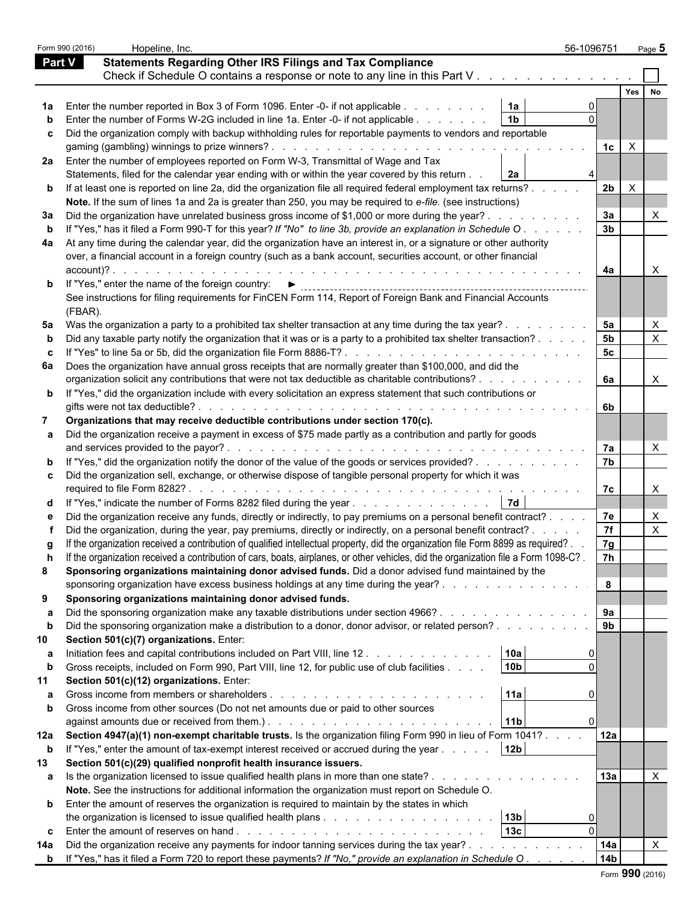|               | Hopeline, Inc.<br>Form 990 (2016)                                                                                                                                                                                                                                     | 56-1096751                 | Page 5                         |  |
|---------------|-----------------------------------------------------------------------------------------------------------------------------------------------------------------------------------------------------------------------------------------------------------------------|----------------------------|--------------------------------|--|
| <b>Part V</b> | <b>Statements Regarding Other IRS Filings and Tax Compliance</b>                                                                                                                                                                                                      |                            |                                |  |
|               | Check if Schedule O contains a response or note to any line in this Part V.                                                                                                                                                                                           |                            |                                |  |
|               |                                                                                                                                                                                                                                                                       |                            | Yes                            |  |
|               | 1a<br>1a Enter the number reported in Box 3 of Form 1096. Enter -0- if not applicable                                                                                                                                                                                 |                            |                                |  |
|               | 1 <sub>b</sub><br>Enter the number of Forms W-2G included in line 1a. Enter -0- if not applicable                                                                                                                                                                     |                            |                                |  |
|               | c Did the organization comply with backup withholding rules for reportable payments to vendors and reportable                                                                                                                                                         |                            |                                |  |
|               |                                                                                                                                                                                                                                                                       | $\times$<br>1c             |                                |  |
|               | 2a Enter the number of employees reported on Form W-3, Transmittal of Wage and Tax                                                                                                                                                                                    |                            |                                |  |
|               | 2a<br>Statements, filed for the calendar year ending with or within the year covered by this return                                                                                                                                                                   |                            |                                |  |
|               | <b>b</b> If at least one is reported on line 2a, did the organization file all required federal employment tax returns?                                                                                                                                               | 2 <sub>b</sub><br>$\times$ |                                |  |
|               | Note. If the sum of lines 1a and 2a is greater than 250, you may be required to e-file. (see instructions)                                                                                                                                                            |                            |                                |  |
| За            | Did the organization have unrelated business gross income of \$1,000 or more during the year?.                                                                                                                                                                        | За                         |                                |  |
|               | If "Yes," has it filed a Form 990-T for this year? If "No" to line 3b, provide an explanation in Schedule O.                                                                                                                                                          | 3 <sub>b</sub>             |                                |  |
| 4a            | At any time during the calendar year, did the organization have an interest in, or a signature or other authority                                                                                                                                                     |                            |                                |  |
|               | over, a financial account in a foreign country (such as a bank account, securities account, or other financial                                                                                                                                                        |                            |                                |  |
|               | $account$ $?$ .<br>and a company of the company of the company of the company of the company of the company of the company of the                                                                                                                                     | 4a                         |                                |  |
|               | If "Yes," enter the name of the foreign country: ▶                                                                                                                                                                                                                    |                            |                                |  |
|               | See instructions for filing requirements for FinCEN Form 114, Report of Foreign Bank and Financial Accounts                                                                                                                                                           |                            |                                |  |
|               |                                                                                                                                                                                                                                                                       |                            |                                |  |
|               | (FBAR).                                                                                                                                                                                                                                                               | 5а                         |                                |  |
| 5а            | Was the organization a party to a prohibited tax shelter transaction at any time during the tax year?.                                                                                                                                                                | <b>5b</b>                  | X<br>$\boldsymbol{\mathsf{X}}$ |  |
|               | Did any taxable party notify the organization that it was or is a party to a prohibited tax shelter transaction?                                                                                                                                                      | 5 <sub>c</sub>             |                                |  |
|               | If "Yes" to line 5a or 5b, did the organization file Form 8886-T?<br>6a Does the organization have annual gross receipts that are normally greater than \$100,000, and did the                                                                                        |                            |                                |  |
|               | organization solicit any contributions that were not tax deductible as charitable contributions?                                                                                                                                                                      | 6а                         | X                              |  |
|               | b If "Yes," did the organization include with every solicitation an express statement that such contributions or                                                                                                                                                      |                            |                                |  |
|               | gifts were not tax deductible?<br>de la caractería de la caractería de la caractería de la caractería de la caractería                                                                                                                                                | -6b                        |                                |  |
| 7             | Organizations that may receive deductible contributions under section 170(c).                                                                                                                                                                                         |                            |                                |  |
|               | a Did the organization receive a payment in excess of \$75 made partly as a contribution and partly for goods                                                                                                                                                         |                            |                                |  |
|               | and services provided to the payor?.<br>a constitution of the constitution of the constitution of the constitution of the constitution of the constitution of the constitution of the constitution of the constitution of the constitution of the constitution of the | 7а                         | X                              |  |
|               | If "Yes," did the organization notify the donor of the value of the goods or services provided?                                                                                                                                                                       | 7b                         |                                |  |
|               | c Did the organization sell, exchange, or otherwise dispose of tangible personal property for which it was                                                                                                                                                            |                            |                                |  |
|               |                                                                                                                                                                                                                                                                       | 7с                         | X                              |  |
|               | 7d<br>d If "Yes," indicate the number of Forms 8282 filed during the year                                                                                                                                                                                             |                            |                                |  |
|               | Did the organization receive any funds, directly or indirectly, to pay premiums on a personal benefit contract?.                                                                                                                                                      | 7e                         | X                              |  |
|               | Did the organization, during the year, pay premiums, directly or indirectly, on a personal benefit contract? .                                                                                                                                                        | 7f                         | X                              |  |
|               | If the organization received a contribution of qualified intellectual property, did the organization file Form 8899 as required?.                                                                                                                                     | 7g                         |                                |  |
|               | If the organization received a contribution of cars, boats, airplanes, or other vehicles, did the organization file a Form 1098-C?.                                                                                                                                   | 7h                         |                                |  |
| 8             | Sponsoring organizations maintaining donor advised funds. Did a donor advised fund maintained by the                                                                                                                                                                  |                            |                                |  |
|               | sponsoring organization have excess business holdings at any time during the year?                                                                                                                                                                                    | 8                          |                                |  |
| 9             | Sponsoring organizations maintaining donor advised funds.                                                                                                                                                                                                             |                            |                                |  |
|               | Did the sponsoring organization make any taxable distributions under section 4966?<br>and the state of the state of the state of the                                                                                                                                  | 9а                         |                                |  |
|               | Did the sponsoring organization make a distribution to a donor, donor advisor, or related person?                                                                                                                                                                     | 9 <sub>b</sub>             |                                |  |
| 10            | Section 501(c)(7) organizations. Enter:                                                                                                                                                                                                                               |                            |                                |  |
| а             | 10a<br>Initiation fees and capital contributions included on Part VIII, line 12.                                                                                                                                                                                      |                            |                                |  |
|               | 10 <sub>b</sub><br>Gross receipts, included on Form 990, Part VIII, line 12, for public use of club facilities                                                                                                                                                        |                            |                                |  |
|               | Section 501(c)(12) organizations. Enter:                                                                                                                                                                                                                              |                            |                                |  |
|               | 11a                                                                                                                                                                                                                                                                   |                            |                                |  |
|               | Gross income from other sources (Do not net amounts due or paid to other sources                                                                                                                                                                                      |                            |                                |  |
|               | 11b                                                                                                                                                                                                                                                                   |                            |                                |  |
|               | 12a Section 4947(a)(1) non-exempt charitable trusts. Is the organization filing Form 990 in lieu of Form 1041?.                                                                                                                                                       | 12a                        |                                |  |
| $\mathbf b$   | 12 <sub>b</sub><br>If "Yes," enter the amount of tax-exempt interest received or accrued during the year                                                                                                                                                              |                            |                                |  |
| 13            | Section 501(c)(29) qualified nonprofit health insurance issuers.                                                                                                                                                                                                      |                            |                                |  |
|               | a Is the organization licensed to issue qualified health plans in more than one state?.                                                                                                                                                                               | 13a                        | $\times$                       |  |
|               | Note. See the instructions for additional information the organization must report on Schedule O.                                                                                                                                                                     |                            |                                |  |
|               | <b>b</b> Enter the amount of reserves the organization is required to maintain by the states in which                                                                                                                                                                 |                            |                                |  |
|               | 13b                                                                                                                                                                                                                                                                   |                            |                                |  |
|               | 13 <sub>c</sub>                                                                                                                                                                                                                                                       |                            |                                |  |
| 14a           | Did the organization receive any payments for indoor tanning services during the tax year?.                                                                                                                                                                           | 14a                        | $\boldsymbol{\mathsf{X}}$      |  |
|               | <b>b</b> If "Yes," has it filed a Form 720 to report these payments? If "No," provide an explanation in Schedule O.                                                                                                                                                   | 14b                        |                                |  |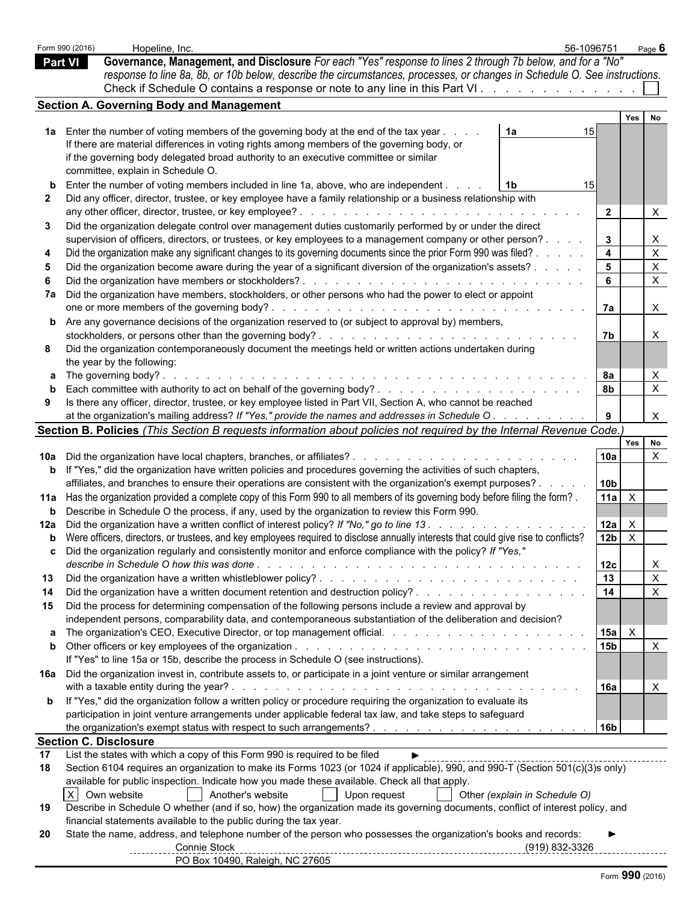|                | Form 990 (2016)              | Hopeline, Inc.                                                                                                                                                                                                                                                                       | 56-1096751                    |                                | Page $6$         |                           |
|----------------|------------------------------|--------------------------------------------------------------------------------------------------------------------------------------------------------------------------------------------------------------------------------------------------------------------------------------|-------------------------------|--------------------------------|------------------|---------------------------|
| <b>Part VI</b> |                              | Governance, Management, and Disclosure For each "Yes" response to lines 2 through 7b below, and for a "No"                                                                                                                                                                           |                               |                                |                  |                           |
|                |                              | response to line 8a, 8b, or 10b below, describe the circumstances, processes, or changes in Schedule O. See instructions.                                                                                                                                                            |                               |                                |                  |                           |
|                |                              | Check if Schedule O contains a response or note to any line in this Part VI.                                                                                                                                                                                                         |                               |                                |                  |                           |
|                |                              | <b>Section A. Governing Body and Management</b>                                                                                                                                                                                                                                      |                               |                                |                  |                           |
|                |                              |                                                                                                                                                                                                                                                                                      |                               |                                | Yes              | No                        |
|                |                              | 1a Enter the number of voting members of the governing body at the end of the tax year.<br>If there are material differences in voting rights among members of the governing body, or                                                                                                | 1a<br>15                      |                                |                  |                           |
|                |                              | if the governing body delegated broad authority to an executive committee or similar                                                                                                                                                                                                 |                               |                                |                  |                           |
|                |                              | committee, explain in Schedule O.                                                                                                                                                                                                                                                    |                               |                                |                  |                           |
|                |                              | Enter the number of voting members included in line 1a, above, who are independent.                                                                                                                                                                                                  | 15                            |                                |                  |                           |
|                |                              | Did any officer, director, trustee, or key employee have a family relationship or a business relationship with                                                                                                                                                                       |                               |                                |                  |                           |
|                |                              |                                                                                                                                                                                                                                                                                      |                               | $\overline{2}$                 |                  | X                         |
| 3              |                              | Did the organization delegate control over management duties customarily performed by or under the direct                                                                                                                                                                            |                               |                                |                  |                           |
|                |                              | supervision of officers, directors, or trustees, or key employees to a management company or other person?<br>Did the organization make any significant changes to its governing documents since the prior Form 990 was filed? .                                                     |                               | $\mathbf{3}$<br>$\overline{4}$ |                  | X<br>$\mathsf X$          |
|                |                              | Did the organization become aware during the year of a significant diversion of the organization's assets?.                                                                                                                                                                          |                               | -5                             |                  | $\mathsf{X}$              |
|                |                              | Did the organization have members or stockholders?<br>and the company of the company of the company of the company of the company of the company of the company of the company of the company of the company of the company of the company of the company of the company of the comp |                               | - 6                            |                  | $\mathsf{X}$              |
|                |                              | 7a Did the organization have members, stockholders, or other persons who had the power to elect or appoint                                                                                                                                                                           |                               |                                |                  |                           |
|                |                              | one or more members of the governing body?<br>the contract of the contract of the contract of the contract of the contract of the contract of the contract of the contract of the contract of the contract of the contract of the contract of the contract of the contract o         |                               | 7a                             |                  | $\mathsf{X}$              |
|                |                              | <b>b</b> Are any governance decisions of the organization reserved to (or subject to approval by) members,                                                                                                                                                                           |                               |                                |                  |                           |
|                |                              |                                                                                                                                                                                                                                                                                      |                               | <b>7b</b>                      |                  | X                         |
| 8              |                              | Did the organization contemporaneously document the meetings held or written actions undertaken during                                                                                                                                                                               |                               |                                |                  |                           |
|                | the year by the following:   |                                                                                                                                                                                                                                                                                      |                               |                                |                  |                           |
|                |                              |                                                                                                                                                                                                                                                                                      |                               | 8a<br>8 <b>b</b>               |                  | Χ<br>X                    |
|                |                              | Is there any officer, director, trustee, or key employee listed in Part VII, Section A, who cannot be reached                                                                                                                                                                        |                               |                                |                  |                           |
|                |                              | at the organization's mailing address? If "Yes," provide the names and addresses in Schedule O.                                                                                                                                                                                      |                               |                                |                  | $\times$                  |
|                |                              | Section B. Policies (This Section B requests information about policies not required by the Internal Revenue Code.)                                                                                                                                                                  |                               |                                |                  |                           |
|                |                              |                                                                                                                                                                                                                                                                                      |                               |                                | Yes<br><b>No</b> |                           |
|                |                              | 10a Did the organization have local chapters, branches, or affiliates?                                                                                                                                                                                                               |                               | 10a                            |                  | $\times$                  |
|                |                              | <b>b</b> If "Yes," did the organization have written policies and procedures governing the activities of such chapters,                                                                                                                                                              |                               |                                |                  |                           |
|                |                              | affiliates, and branches to ensure their operations are consistent with the organization's exempt purposes? .                                                                                                                                                                        |                               | 10 <sub>b</sub>                |                  |                           |
|                |                              | 11a Has the organization provided a complete copy of this Form 990 to all members of its governing body before filing the form?.                                                                                                                                                     |                               | $11a$ $X$                      |                  |                           |
|                |                              | <b>b</b> Describe in Schedule O the process, if any, used by the organization to review this Form 990.<br>12a Did the organization have a written conflict of interest policy? If "No," go to line 13.                                                                               |                               | 12a                            | $\mathsf{X}$     |                           |
|                |                              | b Were officers, directors, or trustees, and key employees required to disclose annually interests that could give rise to conflicts?                                                                                                                                                |                               | 12 <sub>b</sub>                | $\mathsf{X}$     |                           |
|                |                              | c Did the organization regularly and consistently monitor and enforce compliance with the policy? If "Yes,"                                                                                                                                                                          |                               |                                |                  |                           |
|                |                              |                                                                                                                                                                                                                                                                                      |                               | 12c                            |                  | X                         |
| 13             |                              |                                                                                                                                                                                                                                                                                      |                               | $ 13\rangle$                   |                  | $\mathsf{X}$              |
| -14            |                              |                                                                                                                                                                                                                                                                                      |                               |                                |                  | $\boldsymbol{\mathsf{X}}$ |
| 15             |                              | Did the process for determining compensation of the following persons include a review and approval by                                                                                                                                                                               |                               |                                |                  |                           |
|                |                              | independent persons, comparability data, and contemporaneous substantiation of the deliberation and decision?                                                                                                                                                                        |                               |                                |                  |                           |
|                |                              |                                                                                                                                                                                                                                                                                      |                               | 15a                            | $\mathsf{X}$     |                           |
|                |                              |                                                                                                                                                                                                                                                                                      |                               | 15 <sub>b</sub>                |                  | $\boldsymbol{\mathsf{X}}$ |
|                |                              | If "Yes" to line 15a or 15b, describe the process in Schedule O (see instructions).<br>16a Did the organization invest in, contribute assets to, or participate in a joint venture or similar arrangement                                                                            |                               |                                |                  |                           |
|                |                              |                                                                                                                                                                                                                                                                                      |                               | <b>16a</b>                     |                  | $\times$                  |
|                |                              | <b>b</b> If "Yes," did the organization follow a written policy or procedure requiring the organization to evaluate its                                                                                                                                                              |                               |                                |                  |                           |
|                |                              | participation in joint venture arrangements under applicable federal tax law, and take steps to safeguard                                                                                                                                                                            |                               |                                |                  |                           |
|                |                              |                                                                                                                                                                                                                                                                                      |                               | 16b                            |                  |                           |
|                | <b>Section C. Disclosure</b> |                                                                                                                                                                                                                                                                                      |                               |                                |                  |                           |
| 17             |                              | List the states with which a copy of this Form 990 is required to be filed<br>$\blacktriangleright$                                                                                                                                                                                  |                               |                                |                  |                           |
| 18             |                              | Section 6104 requires an organization to make its Forms 1023 (or 1024 if applicable), 990, and 990-T (Section 501(c)(3)s only)                                                                                                                                                       |                               |                                |                  |                           |
|                | X Own website                | available for public inspection. Indicate how you made these available. Check all that apply.<br>  Another's website<br>Upon request<br>$\blacksquare$                                                                                                                               | Other (explain in Schedule O) |                                |                  |                           |
| 19             |                              | Describe in Schedule O whether (and if so, how) the organization made its governing documents, conflict of interest policy, and                                                                                                                                                      |                               |                                |                  |                           |
|                |                              | financial statements available to the public during the tax year.                                                                                                                                                                                                                    |                               |                                |                  |                           |
| 20             |                              | State the name, address, and telephone number of the person who possesses the organization's books and records:<br><b>Connie Stock</b>                                                                                                                                               | (919) 832-3326                |                                |                  |                           |
|                |                              | PO Box 10490, Raleigh, NC 27605                                                                                                                                                                                                                                                      |                               |                                |                  |                           |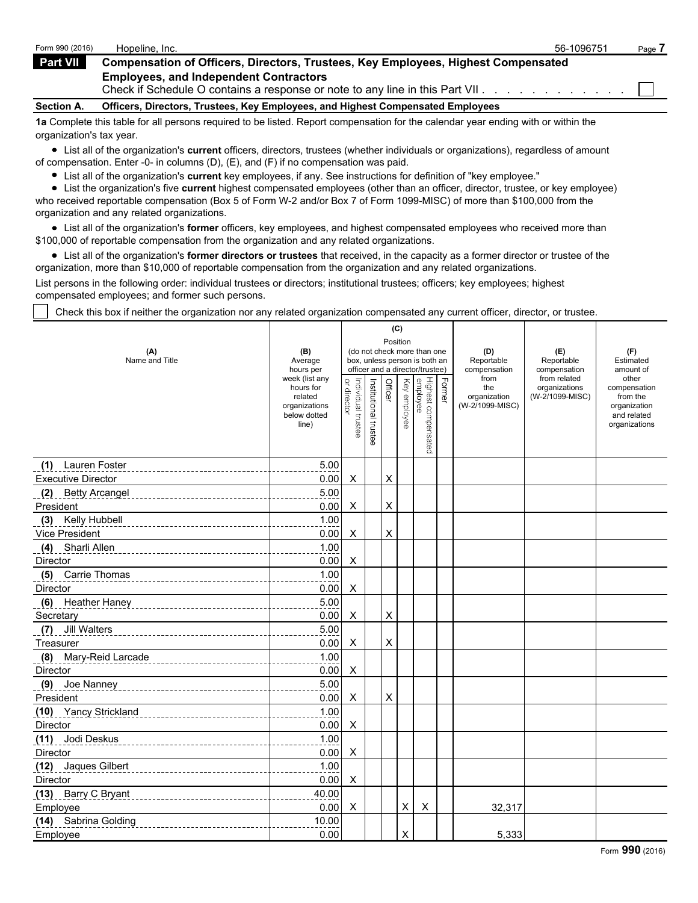| Form 990 (2016)   | Hopeline, Inc.                                                                                                                 | 56-1096751 | Page. |
|-------------------|--------------------------------------------------------------------------------------------------------------------------------|------------|-------|
| Part VII          | <b>Compensation of Officers, Directors, Trustees, Key Employees, Highest Compensated</b>                                       |            |       |
|                   | <b>Employees, and Independent Contractors</b><br>Check if Schedule O contains a response or note to any line in this Part VII. |            |       |
| <b>Section A.</b> | Officers, Directors, Trustees, Key Employees, and Highest Compensated Employees                                                |            |       |
|                   |                                                                                                                                |            |       |

**1a** Complete this table for all persons required to be listed. Report compensation for the calendar year ending with or within the organization's tax year.

List all of the organization's **current** officers, directors, trustees (whether individuals or organizations), regardless of amount of compensation. Enter -0- in columns (D), (E), and (F) if no compensation was paid.

List all of the organization's **current** key employees, if any. See instructions for definition of "key employee."

List the organization's five **current** highest compensated employees (other than an officer, director, trustee, or key employee) who received reportable compensation (Box 5 of Form W-2 and/or Box 7 of Form 1099-MISC) of more than \$100,000 from the organization and any related organizations.

List all of the organization's **former** officers, key employees, and highest compensated employees who received more than \$100,000 of reportable compensation from the organization and any related organizations.

List all of the organization's **former directors or trustees** that received, in the capacity as a former director or trustee of the organization, more than \$10,000 of reportable compensation from the organization and any related organizations.

List persons in the following order: individual trustees or directors; institutional trustees; officers; key employees; highest compensated employees; and former such persons.

Check this box if neither the organization nor any related organization compensated any current officer, director, or trustee.

|                            |                                                                |                                   |                       | (C)            |              |                                                                  |               |                                        |                                  |                                                                          |
|----------------------------|----------------------------------------------------------------|-----------------------------------|-----------------------|----------------|--------------|------------------------------------------------------------------|---------------|----------------------------------------|----------------------------------|--------------------------------------------------------------------------|
| (A)                        | (B)                                                            |                                   |                       | Position       |              | (do not check more than one                                      |               | (D)                                    | (E)                              | (F)                                                                      |
| Name and Title             | Average<br>hours per                                           |                                   |                       |                |              | box, unless person is both an<br>officer and a director/trustee) |               | Reportable<br>compensation             | Reportable<br>compensation       | Estimated<br>amount of                                                   |
|                            | week (list any                                                 |                                   |                       |                |              |                                                                  |               | from                                   | from related                     | other                                                                    |
|                            | hours for<br>related<br>organizations<br>below dotted<br>line) | or director<br>Individual trustee | Institutional trustee | Officer        | Key employee | Highest compensated<br>employee                                  | <b>Former</b> | the<br>organization<br>(W-2/1099-MISC) | organizations<br>(W-2/1099-MISC) | compensation<br>from the<br>organization<br>and related<br>organizations |
| (1) Lauren Foster          | 5.00                                                           |                                   |                       |                |              |                                                                  |               |                                        |                                  |                                                                          |
| <b>Executive Director</b>  | 0.00                                                           | X                                 |                       | X              |              |                                                                  |               |                                        |                                  |                                                                          |
| (2) Betty Arcangel         | 5.00                                                           |                                   |                       |                |              |                                                                  |               |                                        |                                  |                                                                          |
| President                  | 0.00                                                           | X                                 |                       | X              |              |                                                                  |               |                                        |                                  |                                                                          |
| Kelly Hubbell<br>(3)       | 1.00                                                           |                                   |                       |                |              |                                                                  |               |                                        |                                  |                                                                          |
| Vice President             | 0.00                                                           | X                                 |                       | $\pmb{\times}$ |              |                                                                  |               |                                        |                                  |                                                                          |
| Sharli Allen<br>(4)        | 1.00                                                           |                                   |                       |                |              |                                                                  |               |                                        |                                  |                                                                          |
| Director                   | 0.00                                                           | X                                 |                       |                |              |                                                                  |               |                                        |                                  |                                                                          |
| (5) Carrie Thomas          | 1.00                                                           |                                   |                       |                |              |                                                                  |               |                                        |                                  |                                                                          |
| Director                   | 0.00                                                           | X                                 |                       |                |              |                                                                  |               |                                        |                                  |                                                                          |
| (6) Heather Haney          | 5.00                                                           |                                   |                       |                |              |                                                                  |               |                                        |                                  |                                                                          |
| Secretary                  | 0.00                                                           | X                                 |                       | X              |              |                                                                  |               |                                        |                                  |                                                                          |
| <b>Jill Walters</b><br>(7) | 5.00                                                           |                                   |                       |                |              |                                                                  |               |                                        |                                  |                                                                          |
| Treasurer                  | 0.00                                                           | X                                 |                       | X              |              |                                                                  |               |                                        |                                  |                                                                          |
| (8) Mary-Reid Larcade      | 1.00                                                           |                                   |                       |                |              |                                                                  |               |                                        |                                  |                                                                          |
| Director                   | 0.00                                                           | X                                 |                       |                |              |                                                                  |               |                                        |                                  |                                                                          |
| (9) Joe Nanney             | 5.00                                                           |                                   |                       |                |              |                                                                  |               |                                        |                                  |                                                                          |
| President                  | 0.00                                                           | X                                 |                       | X              |              |                                                                  |               |                                        |                                  |                                                                          |
| (10) Yancy Strickland      | 1.00                                                           |                                   |                       |                |              |                                                                  |               |                                        |                                  |                                                                          |
| Director                   | 0.00                                                           | X                                 |                       |                |              |                                                                  |               |                                        |                                  |                                                                          |
| (11) Jodi Deskus           | 1.00                                                           |                                   |                       |                |              |                                                                  |               |                                        |                                  |                                                                          |
| Director                   | 0.00                                                           | X                                 |                       |                |              |                                                                  |               |                                        |                                  |                                                                          |
| (12) Jaques Gilbert        | 1.00                                                           |                                   |                       |                |              |                                                                  |               |                                        |                                  |                                                                          |
| Director                   | 0.00                                                           | X                                 |                       |                |              |                                                                  |               |                                        |                                  |                                                                          |
| (13) Barry C Bryant        | 40.00                                                          |                                   |                       |                |              |                                                                  |               |                                        |                                  |                                                                          |
| Employee                   | 0.00                                                           | X                                 |                       |                | X            | X                                                                |               | 32,317                                 |                                  |                                                                          |
| (14) Sabrina Golding       | 10.00                                                          |                                   |                       |                |              |                                                                  |               |                                        |                                  |                                                                          |
| Employee                   | 0.00                                                           |                                   |                       |                | X            |                                                                  |               | 5,333                                  |                                  |                                                                          |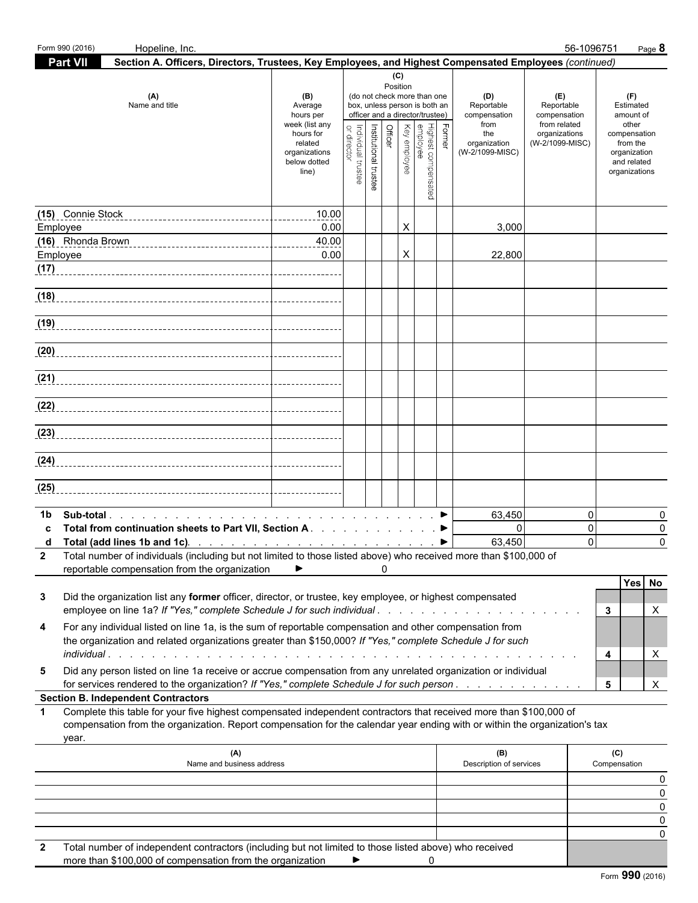| <b>Part VII</b><br>Section A. Officers, Directors, Trustees, Key Employees, and Highest Compensated Employees (continued)<br>(C)<br>Position<br>(A)<br>(B)<br>(do not check more than one<br>(D)<br>(E)<br>(F)<br>Name and title<br>box, unless person is both an<br>Reportable<br>Reportable<br>Estimated<br>Average<br>officer and a director/trustee)<br>hours per<br>compensation<br>compensation<br>amount of<br>week (list any<br>from<br>from related<br>other<br>Former<br>Institutional trustee<br>Highest compensated<br>employee<br>Key employee<br><b>Officer</b><br>or direc<br>ndividual trustee<br>hours for<br>the<br>organizations<br>compensation<br>related<br>organization<br>(W-2/1099-MISC)<br>from the<br>(W-2/1099-MISC)<br>organizations<br>organization<br>below dotted<br>and related<br>line)<br>organizations<br>(15) Connie Stock<br>10.00<br>X<br>0.00<br>3,000<br>Employee<br>40.00<br>0.00<br>X<br>Employee<br>22,800<br>(17)<br>(18)<br>(24)<br>(25)<br>$\mathbf 0$<br>63,450<br>1b<br>0<br>$\Omega$<br>$\mathbf 0$<br>Total from continuation sheets to Part VII, Section A. ▶<br>0<br>63,450<br>$\Omega$<br>$\Omega$<br>d Total (add lines 1b and 1c). $\ldots$ $\ldots$ $\ldots$ $\ldots$ $\ldots$ $\ldots$ $\ldots$ $\ldots$<br>2 Total number of individuals (including but not limited to those listed above) who received more than \$100,000 of<br>reportable compensation from the organization<br>▶<br>0<br>Yes No<br>Did the organization list any former officer, director, or trustee, key employee, or highest compensated<br>3<br>employee on line 1a? If "Yes," complete Schedule J for such individual<br>X<br>3<br>For any individual listed on line 1a, is the sum of reportable compensation and other compensation from<br>4<br>the organization and related organizations greater than \$150,000? If "Yes," complete Schedule J for such<br>X<br>4<br>Did any person listed on line 1a receive or accrue compensation from any unrelated organization or individual<br>5<br>X<br>for services rendered to the organization? If "Yes," complete Schedule J for such person.<br>5<br><b>Section B. Independent Contractors</b><br>Complete this table for your five highest compensated independent contractors that received more than \$100,000 of<br>$\blacktriangleleft$<br>compensation from the organization. Report compensation for the calendar year ending with or within the organization's tax<br>year.<br>(B)<br>(A)<br>(C)<br>Name and business address<br>Description of services<br>Compensation<br>0<br>0<br>0<br>0<br>0<br>Total number of independent contractors (including but not limited to those listed above) who received<br>more than $$100,000$ of compensation from the organization $\bullet$ $\bullet$ 0 | Form 990 (2016)<br>Hopeline, Inc. |  |  |  |  | 56-1096751 | Page 8 |
|-----------------------------------------------------------------------------------------------------------------------------------------------------------------------------------------------------------------------------------------------------------------------------------------------------------------------------------------------------------------------------------------------------------------------------------------------------------------------------------------------------------------------------------------------------------------------------------------------------------------------------------------------------------------------------------------------------------------------------------------------------------------------------------------------------------------------------------------------------------------------------------------------------------------------------------------------------------------------------------------------------------------------------------------------------------------------------------------------------------------------------------------------------------------------------------------------------------------------------------------------------------------------------------------------------------------------------------------------------------------------------------------------------------------------------------------------------------------------------------------------------------------------------------------------------------------------------------------------------------------------------------------------------------------------------------------------------------------------------------------------------------------------------------------------------------------------------------------------------------------------------------------------------------------------------------------------------------------------------------------------------------------------------------------------------------------------------------------------------------------------------------------------------------------------------------------------------------------------------------------------------------------------------------------------------------------------------------------------------------------------------------------------------------------------------------------------------------------------------------------------------------------------------------------------------------------------------------------------------------------------------------------------------------------------------------------------------------------------------------------------------------------------------------------------|-----------------------------------|--|--|--|--|------------|--------|
|                                                                                                                                                                                                                                                                                                                                                                                                                                                                                                                                                                                                                                                                                                                                                                                                                                                                                                                                                                                                                                                                                                                                                                                                                                                                                                                                                                                                                                                                                                                                                                                                                                                                                                                                                                                                                                                                                                                                                                                                                                                                                                                                                                                                                                                                                                                                                                                                                                                                                                                                                                                                                                                                                                                                                                                               |                                   |  |  |  |  |            |        |
|                                                                                                                                                                                                                                                                                                                                                                                                                                                                                                                                                                                                                                                                                                                                                                                                                                                                                                                                                                                                                                                                                                                                                                                                                                                                                                                                                                                                                                                                                                                                                                                                                                                                                                                                                                                                                                                                                                                                                                                                                                                                                                                                                                                                                                                                                                                                                                                                                                                                                                                                                                                                                                                                                                                                                                                               |                                   |  |  |  |  |            |        |
|                                                                                                                                                                                                                                                                                                                                                                                                                                                                                                                                                                                                                                                                                                                                                                                                                                                                                                                                                                                                                                                                                                                                                                                                                                                                                                                                                                                                                                                                                                                                                                                                                                                                                                                                                                                                                                                                                                                                                                                                                                                                                                                                                                                                                                                                                                                                                                                                                                                                                                                                                                                                                                                                                                                                                                                               |                                   |  |  |  |  |            |        |
|                                                                                                                                                                                                                                                                                                                                                                                                                                                                                                                                                                                                                                                                                                                                                                                                                                                                                                                                                                                                                                                                                                                                                                                                                                                                                                                                                                                                                                                                                                                                                                                                                                                                                                                                                                                                                                                                                                                                                                                                                                                                                                                                                                                                                                                                                                                                                                                                                                                                                                                                                                                                                                                                                                                                                                                               |                                   |  |  |  |  |            |        |
|                                                                                                                                                                                                                                                                                                                                                                                                                                                                                                                                                                                                                                                                                                                                                                                                                                                                                                                                                                                                                                                                                                                                                                                                                                                                                                                                                                                                                                                                                                                                                                                                                                                                                                                                                                                                                                                                                                                                                                                                                                                                                                                                                                                                                                                                                                                                                                                                                                                                                                                                                                                                                                                                                                                                                                                               |                                   |  |  |  |  |            |        |
|                                                                                                                                                                                                                                                                                                                                                                                                                                                                                                                                                                                                                                                                                                                                                                                                                                                                                                                                                                                                                                                                                                                                                                                                                                                                                                                                                                                                                                                                                                                                                                                                                                                                                                                                                                                                                                                                                                                                                                                                                                                                                                                                                                                                                                                                                                                                                                                                                                                                                                                                                                                                                                                                                                                                                                                               |                                   |  |  |  |  |            |        |
|                                                                                                                                                                                                                                                                                                                                                                                                                                                                                                                                                                                                                                                                                                                                                                                                                                                                                                                                                                                                                                                                                                                                                                                                                                                                                                                                                                                                                                                                                                                                                                                                                                                                                                                                                                                                                                                                                                                                                                                                                                                                                                                                                                                                                                                                                                                                                                                                                                                                                                                                                                                                                                                                                                                                                                                               |                                   |  |  |  |  |            |        |
|                                                                                                                                                                                                                                                                                                                                                                                                                                                                                                                                                                                                                                                                                                                                                                                                                                                                                                                                                                                                                                                                                                                                                                                                                                                                                                                                                                                                                                                                                                                                                                                                                                                                                                                                                                                                                                                                                                                                                                                                                                                                                                                                                                                                                                                                                                                                                                                                                                                                                                                                                                                                                                                                                                                                                                                               |                                   |  |  |  |  |            |        |
|                                                                                                                                                                                                                                                                                                                                                                                                                                                                                                                                                                                                                                                                                                                                                                                                                                                                                                                                                                                                                                                                                                                                                                                                                                                                                                                                                                                                                                                                                                                                                                                                                                                                                                                                                                                                                                                                                                                                                                                                                                                                                                                                                                                                                                                                                                                                                                                                                                                                                                                                                                                                                                                                                                                                                                                               |                                   |  |  |  |  |            |        |
|                                                                                                                                                                                                                                                                                                                                                                                                                                                                                                                                                                                                                                                                                                                                                                                                                                                                                                                                                                                                                                                                                                                                                                                                                                                                                                                                                                                                                                                                                                                                                                                                                                                                                                                                                                                                                                                                                                                                                                                                                                                                                                                                                                                                                                                                                                                                                                                                                                                                                                                                                                                                                                                                                                                                                                                               |                                   |  |  |  |  |            |        |
|                                                                                                                                                                                                                                                                                                                                                                                                                                                                                                                                                                                                                                                                                                                                                                                                                                                                                                                                                                                                                                                                                                                                                                                                                                                                                                                                                                                                                                                                                                                                                                                                                                                                                                                                                                                                                                                                                                                                                                                                                                                                                                                                                                                                                                                                                                                                                                                                                                                                                                                                                                                                                                                                                                                                                                                               |                                   |  |  |  |  |            |        |
|                                                                                                                                                                                                                                                                                                                                                                                                                                                                                                                                                                                                                                                                                                                                                                                                                                                                                                                                                                                                                                                                                                                                                                                                                                                                                                                                                                                                                                                                                                                                                                                                                                                                                                                                                                                                                                                                                                                                                                                                                                                                                                                                                                                                                                                                                                                                                                                                                                                                                                                                                                                                                                                                                                                                                                                               |                                   |  |  |  |  |            |        |
|                                                                                                                                                                                                                                                                                                                                                                                                                                                                                                                                                                                                                                                                                                                                                                                                                                                                                                                                                                                                                                                                                                                                                                                                                                                                                                                                                                                                                                                                                                                                                                                                                                                                                                                                                                                                                                                                                                                                                                                                                                                                                                                                                                                                                                                                                                                                                                                                                                                                                                                                                                                                                                                                                                                                                                                               |                                   |  |  |  |  |            |        |
|                                                                                                                                                                                                                                                                                                                                                                                                                                                                                                                                                                                                                                                                                                                                                                                                                                                                                                                                                                                                                                                                                                                                                                                                                                                                                                                                                                                                                                                                                                                                                                                                                                                                                                                                                                                                                                                                                                                                                                                                                                                                                                                                                                                                                                                                                                                                                                                                                                                                                                                                                                                                                                                                                                                                                                                               |                                   |  |  |  |  |            |        |
|                                                                                                                                                                                                                                                                                                                                                                                                                                                                                                                                                                                                                                                                                                                                                                                                                                                                                                                                                                                                                                                                                                                                                                                                                                                                                                                                                                                                                                                                                                                                                                                                                                                                                                                                                                                                                                                                                                                                                                                                                                                                                                                                                                                                                                                                                                                                                                                                                                                                                                                                                                                                                                                                                                                                                                                               |                                   |  |  |  |  |            |        |
|                                                                                                                                                                                                                                                                                                                                                                                                                                                                                                                                                                                                                                                                                                                                                                                                                                                                                                                                                                                                                                                                                                                                                                                                                                                                                                                                                                                                                                                                                                                                                                                                                                                                                                                                                                                                                                                                                                                                                                                                                                                                                                                                                                                                                                                                                                                                                                                                                                                                                                                                                                                                                                                                                                                                                                                               |                                   |  |  |  |  |            |        |
|                                                                                                                                                                                                                                                                                                                                                                                                                                                                                                                                                                                                                                                                                                                                                                                                                                                                                                                                                                                                                                                                                                                                                                                                                                                                                                                                                                                                                                                                                                                                                                                                                                                                                                                                                                                                                                                                                                                                                                                                                                                                                                                                                                                                                                                                                                                                                                                                                                                                                                                                                                                                                                                                                                                                                                                               |                                   |  |  |  |  |            |        |
|                                                                                                                                                                                                                                                                                                                                                                                                                                                                                                                                                                                                                                                                                                                                                                                                                                                                                                                                                                                                                                                                                                                                                                                                                                                                                                                                                                                                                                                                                                                                                                                                                                                                                                                                                                                                                                                                                                                                                                                                                                                                                                                                                                                                                                                                                                                                                                                                                                                                                                                                                                                                                                                                                                                                                                                               |                                   |  |  |  |  |            |        |
|                                                                                                                                                                                                                                                                                                                                                                                                                                                                                                                                                                                                                                                                                                                                                                                                                                                                                                                                                                                                                                                                                                                                                                                                                                                                                                                                                                                                                                                                                                                                                                                                                                                                                                                                                                                                                                                                                                                                                                                                                                                                                                                                                                                                                                                                                                                                                                                                                                                                                                                                                                                                                                                                                                                                                                                               |                                   |  |  |  |  |            |        |
|                                                                                                                                                                                                                                                                                                                                                                                                                                                                                                                                                                                                                                                                                                                                                                                                                                                                                                                                                                                                                                                                                                                                                                                                                                                                                                                                                                                                                                                                                                                                                                                                                                                                                                                                                                                                                                                                                                                                                                                                                                                                                                                                                                                                                                                                                                                                                                                                                                                                                                                                                                                                                                                                                                                                                                                               |                                   |  |  |  |  |            |        |
|                                                                                                                                                                                                                                                                                                                                                                                                                                                                                                                                                                                                                                                                                                                                                                                                                                                                                                                                                                                                                                                                                                                                                                                                                                                                                                                                                                                                                                                                                                                                                                                                                                                                                                                                                                                                                                                                                                                                                                                                                                                                                                                                                                                                                                                                                                                                                                                                                                                                                                                                                                                                                                                                                                                                                                                               |                                   |  |  |  |  |            |        |
|                                                                                                                                                                                                                                                                                                                                                                                                                                                                                                                                                                                                                                                                                                                                                                                                                                                                                                                                                                                                                                                                                                                                                                                                                                                                                                                                                                                                                                                                                                                                                                                                                                                                                                                                                                                                                                                                                                                                                                                                                                                                                                                                                                                                                                                                                                                                                                                                                                                                                                                                                                                                                                                                                                                                                                                               |                                   |  |  |  |  |            |        |
|                                                                                                                                                                                                                                                                                                                                                                                                                                                                                                                                                                                                                                                                                                                                                                                                                                                                                                                                                                                                                                                                                                                                                                                                                                                                                                                                                                                                                                                                                                                                                                                                                                                                                                                                                                                                                                                                                                                                                                                                                                                                                                                                                                                                                                                                                                                                                                                                                                                                                                                                                                                                                                                                                                                                                                                               |                                   |  |  |  |  |            |        |
|                                                                                                                                                                                                                                                                                                                                                                                                                                                                                                                                                                                                                                                                                                                                                                                                                                                                                                                                                                                                                                                                                                                                                                                                                                                                                                                                                                                                                                                                                                                                                                                                                                                                                                                                                                                                                                                                                                                                                                                                                                                                                                                                                                                                                                                                                                                                                                                                                                                                                                                                                                                                                                                                                                                                                                                               |                                   |  |  |  |  |            |        |
|                                                                                                                                                                                                                                                                                                                                                                                                                                                                                                                                                                                                                                                                                                                                                                                                                                                                                                                                                                                                                                                                                                                                                                                                                                                                                                                                                                                                                                                                                                                                                                                                                                                                                                                                                                                                                                                                                                                                                                                                                                                                                                                                                                                                                                                                                                                                                                                                                                                                                                                                                                                                                                                                                                                                                                                               |                                   |  |  |  |  |            |        |
|                                                                                                                                                                                                                                                                                                                                                                                                                                                                                                                                                                                                                                                                                                                                                                                                                                                                                                                                                                                                                                                                                                                                                                                                                                                                                                                                                                                                                                                                                                                                                                                                                                                                                                                                                                                                                                                                                                                                                                                                                                                                                                                                                                                                                                                                                                                                                                                                                                                                                                                                                                                                                                                                                                                                                                                               |                                   |  |  |  |  |            |        |
|                                                                                                                                                                                                                                                                                                                                                                                                                                                                                                                                                                                                                                                                                                                                                                                                                                                                                                                                                                                                                                                                                                                                                                                                                                                                                                                                                                                                                                                                                                                                                                                                                                                                                                                                                                                                                                                                                                                                                                                                                                                                                                                                                                                                                                                                                                                                                                                                                                                                                                                                                                                                                                                                                                                                                                                               |                                   |  |  |  |  |            |        |
|                                                                                                                                                                                                                                                                                                                                                                                                                                                                                                                                                                                                                                                                                                                                                                                                                                                                                                                                                                                                                                                                                                                                                                                                                                                                                                                                                                                                                                                                                                                                                                                                                                                                                                                                                                                                                                                                                                                                                                                                                                                                                                                                                                                                                                                                                                                                                                                                                                                                                                                                                                                                                                                                                                                                                                                               |                                   |  |  |  |  |            |        |
|                                                                                                                                                                                                                                                                                                                                                                                                                                                                                                                                                                                                                                                                                                                                                                                                                                                                                                                                                                                                                                                                                                                                                                                                                                                                                                                                                                                                                                                                                                                                                                                                                                                                                                                                                                                                                                                                                                                                                                                                                                                                                                                                                                                                                                                                                                                                                                                                                                                                                                                                                                                                                                                                                                                                                                                               |                                   |  |  |  |  |            |        |
|                                                                                                                                                                                                                                                                                                                                                                                                                                                                                                                                                                                                                                                                                                                                                                                                                                                                                                                                                                                                                                                                                                                                                                                                                                                                                                                                                                                                                                                                                                                                                                                                                                                                                                                                                                                                                                                                                                                                                                                                                                                                                                                                                                                                                                                                                                                                                                                                                                                                                                                                                                                                                                                                                                                                                                                               |                                   |  |  |  |  |            |        |
|                                                                                                                                                                                                                                                                                                                                                                                                                                                                                                                                                                                                                                                                                                                                                                                                                                                                                                                                                                                                                                                                                                                                                                                                                                                                                                                                                                                                                                                                                                                                                                                                                                                                                                                                                                                                                                                                                                                                                                                                                                                                                                                                                                                                                                                                                                                                                                                                                                                                                                                                                                                                                                                                                                                                                                                               |                                   |  |  |  |  |            |        |
|                                                                                                                                                                                                                                                                                                                                                                                                                                                                                                                                                                                                                                                                                                                                                                                                                                                                                                                                                                                                                                                                                                                                                                                                                                                                                                                                                                                                                                                                                                                                                                                                                                                                                                                                                                                                                                                                                                                                                                                                                                                                                                                                                                                                                                                                                                                                                                                                                                                                                                                                                                                                                                                                                                                                                                                               |                                   |  |  |  |  |            |        |
|                                                                                                                                                                                                                                                                                                                                                                                                                                                                                                                                                                                                                                                                                                                                                                                                                                                                                                                                                                                                                                                                                                                                                                                                                                                                                                                                                                                                                                                                                                                                                                                                                                                                                                                                                                                                                                                                                                                                                                                                                                                                                                                                                                                                                                                                                                                                                                                                                                                                                                                                                                                                                                                                                                                                                                                               |                                   |  |  |  |  |            |        |
|                                                                                                                                                                                                                                                                                                                                                                                                                                                                                                                                                                                                                                                                                                                                                                                                                                                                                                                                                                                                                                                                                                                                                                                                                                                                                                                                                                                                                                                                                                                                                                                                                                                                                                                                                                                                                                                                                                                                                                                                                                                                                                                                                                                                                                                                                                                                                                                                                                                                                                                                                                                                                                                                                                                                                                                               |                                   |  |  |  |  |            |        |
|                                                                                                                                                                                                                                                                                                                                                                                                                                                                                                                                                                                                                                                                                                                                                                                                                                                                                                                                                                                                                                                                                                                                                                                                                                                                                                                                                                                                                                                                                                                                                                                                                                                                                                                                                                                                                                                                                                                                                                                                                                                                                                                                                                                                                                                                                                                                                                                                                                                                                                                                                                                                                                                                                                                                                                                               |                                   |  |  |  |  |            |        |
|                                                                                                                                                                                                                                                                                                                                                                                                                                                                                                                                                                                                                                                                                                                                                                                                                                                                                                                                                                                                                                                                                                                                                                                                                                                                                                                                                                                                                                                                                                                                                                                                                                                                                                                                                                                                                                                                                                                                                                                                                                                                                                                                                                                                                                                                                                                                                                                                                                                                                                                                                                                                                                                                                                                                                                                               |                                   |  |  |  |  |            |        |

more than \$100,000 of compensation from the organization  $\Box$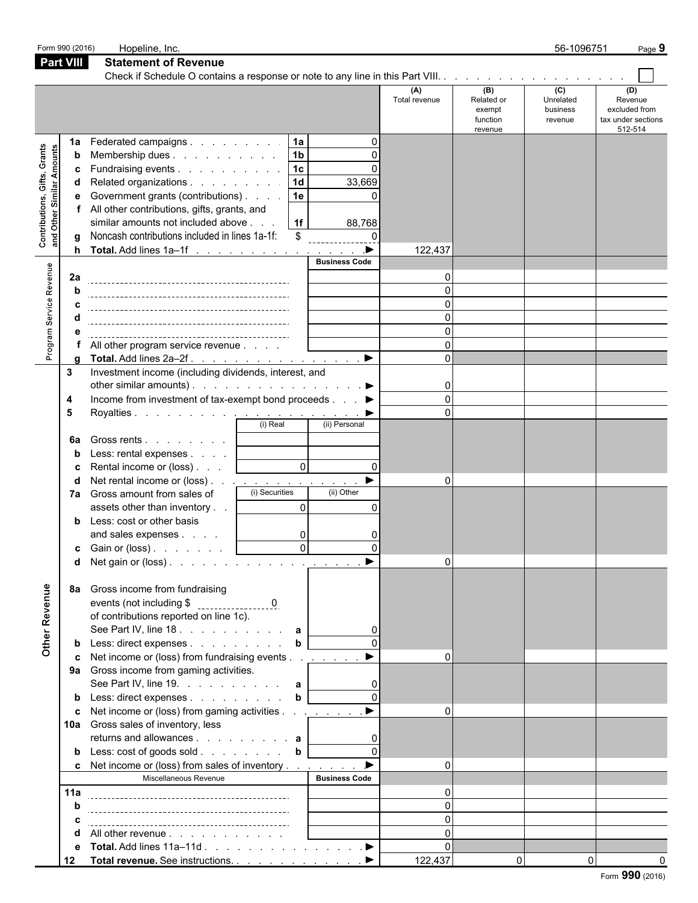|                                                                    | Form 990 (2016)               | Hopeline, Inc.                                                                                                                                                                                                                                                                                                                                                                                                                                                                                                                                                       |                                                                  |                                                                         |                                                                               |                                                    | 56-1096751                              | Page 9                                                           |
|--------------------------------------------------------------------|-------------------------------|----------------------------------------------------------------------------------------------------------------------------------------------------------------------------------------------------------------------------------------------------------------------------------------------------------------------------------------------------------------------------------------------------------------------------------------------------------------------------------------------------------------------------------------------------------------------|------------------------------------------------------------------|-------------------------------------------------------------------------|-------------------------------------------------------------------------------|----------------------------------------------------|-----------------------------------------|------------------------------------------------------------------|
|                                                                    | <b>Part VIII</b>              | <b>Statement of Revenue</b>                                                                                                                                                                                                                                                                                                                                                                                                                                                                                                                                          |                                                                  |                                                                         |                                                                               |                                                    |                                         |                                                                  |
|                                                                    |                               |                                                                                                                                                                                                                                                                                                                                                                                                                                                                                                                                                                      |                                                                  |                                                                         |                                                                               |                                                    |                                         |                                                                  |
|                                                                    |                               |                                                                                                                                                                                                                                                                                                                                                                                                                                                                                                                                                                      |                                                                  |                                                                         | (A)<br>Total revenue                                                          | (B)<br>Related or<br>exempt<br>function<br>revenue | (C)<br>Unrelated<br>business<br>revenue | (D)<br>Revenue<br>excluded from<br>tax under sections<br>512-514 |
| Contributions, Gifts, Grants<br><b>Amounts</b><br>Similar<br>Other | 1a<br>b<br>c<br>d<br>е<br>a   | Federated campaigns<br>Membership dues<br>Fundraising events<br>Related organizations<br>Government grants (contributions)<br>All other contributions, gifts, grants, and<br>similar amounts not included above<br>Noncash contributions included in lines 1a-1f:                                                                                                                                                                                                                                                                                                    | 1a<br> 1 <sub>b</sub><br>$\overline{1c}$<br>1d<br>1e<br>1f<br>\$ | $\Omega$<br>33,669<br>88,768<br>$\Omega$                                | 122,437                                                                       |                                                    |                                         |                                                                  |
| Program Service Revenue                                            | 2a<br>h<br>a                  | All other program service revenue<br>Total. Add lines 2a-2f.                                                                                                                                                                                                                                                                                                                                                                                                                                                                                                         |                                                                  | <b>Business Code</b><br>$\blacktriangleright$                           | O<br>$\Omega$<br>$\Omega$<br>$\Omega$<br>$\Omega$<br>$\Omega$<br><sup>n</sup> |                                                    |                                         |                                                                  |
|                                                                    | 3<br>4<br>5<br>6a             | Investment income (including dividends, interest, and<br>other similar amounts). $\ldots$ $\ldots$ $\ldots$ $\ldots$ $\ldots$ $\ldots$<br>Income from investment of tax-exempt bond proceeds ▶<br>Gross rents                                                                                                                                                                                                                                                                                                                                                        | (i) Real                                                         | (ii) Personal                                                           | $\mathbf{0}$<br>$\Omega$                                                      |                                                    |                                         |                                                                  |
|                                                                    | b<br>c<br>d                   | Less: rental expenses<br>Rental income or (loss)<br>Net rental income or (loss) <u>.</u><br>7a Gross amount from sales of<br>assets other than inventory<br><b>b</b> Less: cost or other basis<br>and sales expenses<br><b>c</b> Gain or (loss) $\ldots$ $\ldots$<br>d Net gain or (loss).                                                                                                                                                                                                                                                                           | $\mathsf{O}$<br>(i) Securities<br>$\Omega$<br>0<br>$\Omega$      | $\Omega$<br>$\blacktriangleright$<br>(ii) Other<br>$\Omega$<br>$\Omega$ | $\Omega$<br>$\Omega$                                                          |                                                    |                                         |                                                                  |
| Other Revenue                                                      | 8а<br>b<br>c<br>10a<br>b<br>c | Gross income from fundraising<br>of contributions reported on line 1c).<br>See Part IV, line 18. $\ldots$ $\ldots$ $\ldots$ $\ldots$ a<br>Less: direct expenses<br>Net income or (loss) from fundraising events<br>9a Gross income from gaming activities.<br>See Part IV, line 19. $\ldots$ $\ldots$ $\ldots$ <b>a</b><br>Less: direct expenses b [<br>Net income or (loss) from gaming activities <u>.</u> ▶<br>Gross sales of inventory, less<br>returns and allowances <b>a</b><br>Less: $\cosh$ of goods sold b<br>Net income or (loss) from sales of inventory | $\mathbf b$                                                      |                                                                         | $\Omega$                                                                      |                                                    |                                         |                                                                  |
|                                                                    | 11a<br>b<br>с<br>е<br>12      | Miscellaneous Revenue<br>All other revenue<br>Total. Add lines 11a–11d ▶                                                                                                                                                                                                                                                                                                                                                                                                                                                                                             |                                                                  | <b>Business Code</b>                                                    | $\Omega$<br>122,437                                                           | $\overline{0}$                                     | $\Omega$                                |                                                                  |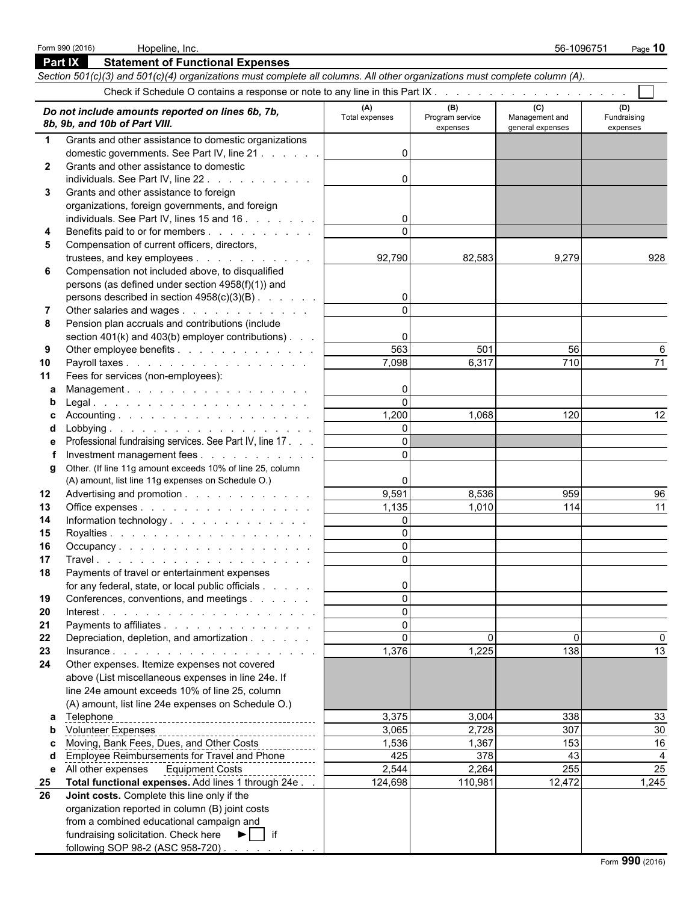|              | <b>Part IX</b><br><b>Statement of Functional Expenses</b>                                                                  |                       |                        |                       |                    |
|--------------|----------------------------------------------------------------------------------------------------------------------------|-----------------------|------------------------|-----------------------|--------------------|
|              | Section 501(c)(3) and 501(c)(4) organizations must complete all columns. All other organizations must complete column (A). |                       |                        |                       |                    |
|              |                                                                                                                            |                       |                        |                       |                    |
|              | Do not include amounts reported on lines 6b, 7b,<br>8b, 9b, and 10b of Part VIII.                                          | (A)<br>Total expenses | (B)<br>Program service | (C)<br>Management and | (D)<br>Fundraising |
|              |                                                                                                                            |                       | expenses               | general expenses      | expenses           |
| $\mathbf 1$  | Grants and other assistance to domestic organizations                                                                      |                       |                        |                       |                    |
|              | domestic governments. See Part IV, line 21<br>Grants and other assistance to domestic                                      | $\Omega$              |                        |                       |                    |
| $\mathbf{2}$ |                                                                                                                            |                       |                        |                       |                    |
|              | individuals. See Part IV, line 22.<br>Grants and other assistance to foreign                                               | $\Omega$              |                        |                       |                    |
| 3            | organizations, foreign governments, and foreign                                                                            |                       |                        |                       |                    |
|              | individuals. See Part IV, lines 15 and 16                                                                                  | 0                     |                        |                       |                    |
| 4            | Benefits paid to or for members                                                                                            | $\Omega$              |                        |                       |                    |
| 5            | Compensation of current officers, directors,                                                                               |                       |                        |                       |                    |
|              | trustees, and key employees                                                                                                | 92,790                | 82,583                 | 9,279                 | 928                |
| 6            | Compensation not included above, to disqualified                                                                           |                       |                        |                       |                    |
|              | persons (as defined under section 4958(f)(1)) and                                                                          |                       |                        |                       |                    |
|              | persons described in section 4958(c)(3)(B)                                                                                 | $\overline{0}$        |                        |                       |                    |
| 7            | Other salaries and wages                                                                                                   | $\Omega$              |                        |                       |                    |
| 8            | Pension plan accruals and contributions (include                                                                           |                       |                        |                       |                    |
|              | section $401(k)$ and $403(b)$ employer contributions).                                                                     | $\mathbf{0}$          |                        |                       |                    |
| 9            | Other employee benefits                                                                                                    | 563                   | 501                    | 56                    | 6                  |
| 10           | Payroll taxes                                                                                                              | 7,098                 | 6,317                  | 710                   | 71                 |
| 11           | Fees for services (non-employees):                                                                                         |                       |                        |                       |                    |
| a            | Management.                                                                                                                | $\mathbf{0}$          |                        |                       |                    |
| b            |                                                                                                                            | $\Omega$              |                        |                       |                    |
|              |                                                                                                                            | 1,200                 | 1,068                  | 120                   | 12                 |
|              |                                                                                                                            | $\Omega$<br>$\Omega$  |                        |                       |                    |
| е            | Professional fundraising services. See Part IV, line 17.                                                                   | $\Omega$              |                        |                       |                    |
| g            | Investment management fees<br>Other. (If line 11g amount exceeds 10% of line 25, column                                    |                       |                        |                       |                    |
|              | (A) amount, list line 11g expenses on Schedule O.)                                                                         | 0                     |                        |                       |                    |
| 12           | Advertising and promotion                                                                                                  | 9,591                 | 8,536                  | 959                   | 96                 |
| 13           | Office expenses                                                                                                            | 1,135                 | 1,010                  | 114                   | 11                 |
| 14           | Information technology                                                                                                     | $\overline{0}$        |                        |                       |                    |
| 15           |                                                                                                                            | $\Omega$              |                        |                       |                    |
| 16           | Occupancy                                                                                                                  | $\Omega$              |                        |                       |                    |
| 17           |                                                                                                                            | $\Omega$              |                        |                       |                    |
| 18           | Payments of travel or entertainment expenses                                                                               |                       |                        |                       |                    |
|              | for any federal, state, or local public officials                                                                          | 0                     |                        |                       |                    |
| 19           | Conferences, conventions, and meetings                                                                                     | $\Omega$              |                        |                       |                    |
| 20           |                                                                                                                            | $\Omega$              |                        |                       |                    |
| 21           | Payments to affiliates                                                                                                     | $\Omega$              |                        |                       |                    |
| 22           | Depreciation, depletion, and amortization                                                                                  | $\mathbf{0}$          | $\Omega$               | $\Omega$              |                    |
| 23           | Insurance.                                                                                                                 | 1,376                 | 1,225                  | 138                   | 13                 |
| 24           | Other expenses. Itemize expenses not covered                                                                               |                       |                        |                       |                    |
|              | above (List miscellaneous expenses in line 24e. If<br>line 24e amount exceeds 10% of line 25, column                       |                       |                        |                       |                    |
|              | (A) amount, list line 24e expenses on Schedule O.)                                                                         |                       |                        |                       |                    |
| a            | Telephone                                                                                                                  | 3,375                 | 3,004                  | 338                   | 33                 |
| b            |                                                                                                                            | 3,065                 | 2,728                  | 307                   | $30\,$             |
|              | Moving, Bank Fees, Dues, and Other Costs                                                                                   | 1,536                 | 1,367                  | 153                   | 16                 |
|              | Employee Reimbursements for Travel and Phone                                                                               | 425                   | 378                    | 43                    | $\overline{4}$     |
| е            | All other expenses Equipment Costs                                                                                         | 2,544                 | 2,264                  | 255                   | 25                 |
| 25           | Total functional expenses. Add lines 1 through 24e.                                                                        | 124,698               | 110,981                | 12,472                | 1,245              |
| 26           | Joint costs. Complete this line only if the                                                                                |                       |                        |                       |                    |
|              | organization reported in column (B) joint costs                                                                            |                       |                        |                       |                    |
|              | from a combined educational campaign and                                                                                   |                       |                        |                       |                    |
|              | fundraising solicitation. Check here ▶   if                                                                                |                       |                        |                       |                    |
|              | following SOP 98-2 (ASC 958-720)                                                                                           |                       |                        |                       |                    |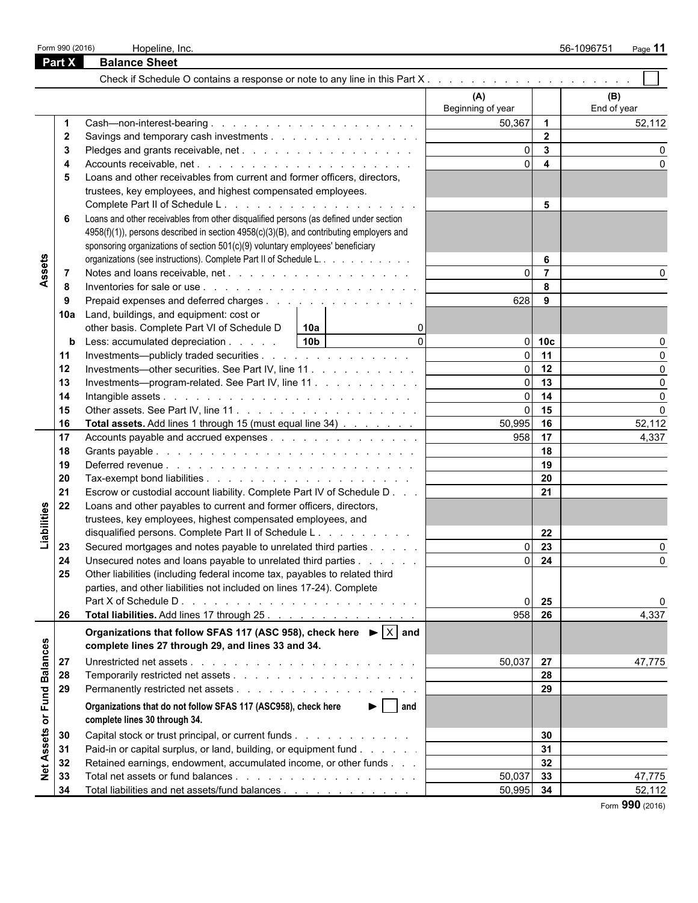|                   | Form 990 (2016) | Hopeline, Inc.                                                                                    |                   |                         | 56-1096751<br>Page 11 |
|-------------------|-----------------|---------------------------------------------------------------------------------------------------|-------------------|-------------------------|-----------------------|
|                   | Part X          | <b>Balance Sheet</b>                                                                              |                   |                         |                       |
|                   |                 |                                                                                                   |                   |                         |                       |
|                   |                 |                                                                                                   | (A)               |                         | (B)                   |
|                   |                 |                                                                                                   | Beginning of year |                         | End of year           |
|                   | -1              |                                                                                                   | 50,367            | $\overline{1}$          | 52,112                |
|                   | $\mathbf{2}$    | Savings and temporary cash investments                                                            |                   | $\overline{2}$          |                       |
|                   | 3               |                                                                                                   | $\Omega$          | $\overline{\mathbf{3}}$ |                       |
|                   |                 |                                                                                                   | ΩI                | $\overline{\mathbf{4}}$ |                       |
|                   | 5               | Loans and other receivables from current and former officers, directors,                          |                   |                         |                       |
|                   |                 | trustees, key employees, and highest compensated employees.                                       |                   |                         |                       |
|                   |                 |                                                                                                   |                   | 5                       |                       |
|                   | 6               | Loans and other receivables from other disqualified persons (as defined under section             |                   |                         |                       |
|                   |                 | 4958(f)(1)), persons described in section 4958(c)(3)(B), and contributing employers and           |                   |                         |                       |
|                   |                 | sponsoring organizations of section 501(c)(9) voluntary employees' beneficiary                    |                   |                         |                       |
|                   |                 | organizations (see instructions). Complete Part II of Schedule L.                                 |                   | 6                       |                       |
| Assets            | -7              |                                                                                                   |                   | $\overline{7}$          |                       |
|                   | -8              |                                                                                                   |                   | 8                       |                       |
|                   | -9              | Prepaid expenses and deferred charges                                                             | 628               | 9                       |                       |
|                   | 10a             | Land, buildings, and equipment: cost or                                                           |                   |                         |                       |
|                   |                 | other basis. Complete Part VI of Schedule D<br> 10a                                               |                   |                         |                       |
|                   | b               | $\Omega$<br>10 <sub>b</sub><br>Less: accumulated depreciation                                     |                   | $0$ 10 $c$              |                       |
|                   | 11              | Investments—publicly traded securities                                                            | $\Omega$          | 11                      |                       |
|                   | 12              | Investments—other securities. See Part IV, line 11                                                | $\Omega$          | 12                      | $\Omega$              |
|                   | 13              | Investments—program-related. See Part IV, line 11                                                 | ΩL                | 13                      | O                     |
|                   | 14              |                                                                                                   | $\Omega$          | 14                      | $\Omega$              |
|                   | 15              |                                                                                                   | $\Omega$          | 15                      | $\Omega$              |
|                   | 16              | Total assets. Add lines 1 through 15 (must equal line 34)                                         | 50,995            | 16                      | 52,112                |
|                   | 17              | Accounts payable and accrued expenses                                                             | 958               | 17                      | 4,337                 |
|                   | 18              |                                                                                                   |                   | 18                      |                       |
|                   | 19              |                                                                                                   |                   | 19                      |                       |
|                   | 20              |                                                                                                   |                   | 20                      |                       |
|                   | 21              | Escrow or custodial account liability. Complete Part IV of Schedule D                             |                   | 21                      |                       |
|                   | 22              | Loans and other payables to current and former officers, directors,                               |                   |                         |                       |
|                   |                 | trustees, key employees, highest compensated employees, and                                       |                   |                         |                       |
|                   |                 | disqualified persons. Complete Part II of Schedule L.                                             |                   | 22                      |                       |
| Liabilities       | 23              | Secured mortgages and notes payable to unrelated third parties                                    | $\Omega$          | $\overline{23}$         |                       |
|                   | 24              | Unsecured notes and loans payable to unrelated third parties                                      |                   | $0 \quad 24$            | 0                     |
|                   | 25              | Other liabilities (including federal income tax, payables to related third                        |                   |                         |                       |
|                   |                 | parties, and other liabilities not included on lines 17-24). Complete                             |                   |                         |                       |
|                   |                 |                                                                                                   | $\Omega$          | 25                      | 0                     |
|                   | 26              |                                                                                                   | $\overline{958}$  | 26                      | 4,337                 |
|                   |                 | Total liabilities. Add lines 17 through 25.                                                       |                   |                         |                       |
|                   |                 | Organizations that follow SFAS 117 (ASC 958), check here $\blacktriangleright  \overline{X} $ and |                   |                         |                       |
|                   |                 | complete lines 27 through 29, and lines 33 and 34.                                                |                   |                         |                       |
| <b>Balances</b>   | 27              |                                                                                                   | 50,037 27         |                         | 47,775                |
|                   | 28              |                                                                                                   |                   | 28                      |                       |
|                   | 29              |                                                                                                   |                   | 29                      |                       |
| or Fund           |                 | $\blacktriangleright$   and<br>Organizations that do not follow SFAS 117 (ASC958), check here     |                   |                         |                       |
|                   |                 | complete lines 30 through 34.                                                                     |                   |                         |                       |
|                   | 30              | Capital stock or trust principal, or current funds                                                |                   | 30                      |                       |
|                   | 31              | Paid-in or capital surplus, or land, building, or equipment fund                                  |                   | 31                      |                       |
|                   |                 |                                                                                                   |                   | 32                      |                       |
| <b>Net Assets</b> | 32              | Retained earnings, endowment, accumulated income, or other funds                                  |                   |                         |                       |
|                   | 33              |                                                                                                   | 50,037            | 33                      | 47,775                |
|                   | 34              | Total liabilities and net assets/fund balances                                                    | 50,995            | 34                      | 52,112                |

Form **990** (2016)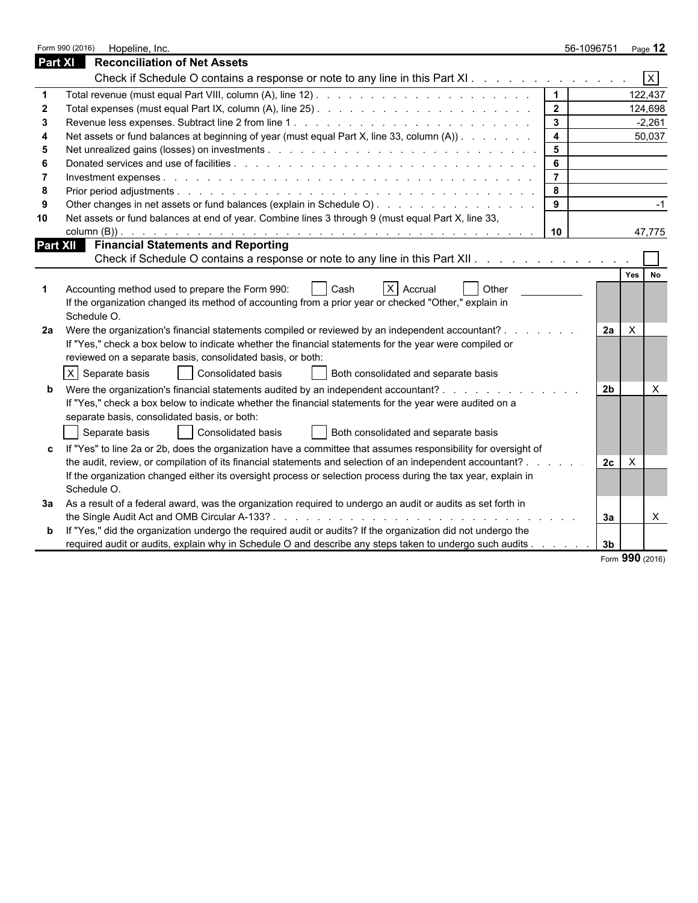|                | Form 990 (2016)<br>Hopeline, Inc.                                                                                                                                                             |                         | 56-1096751     | Page 12                   |
|----------------|-----------------------------------------------------------------------------------------------------------------------------------------------------------------------------------------------|-------------------------|----------------|---------------------------|
| <b>Part XI</b> | <b>Reconciliation of Net Assets</b>                                                                                                                                                           |                         |                |                           |
|                | Check if Schedule O contains a response or note to any line in this Part XI.                                                                                                                  |                         |                | $\overline{X}$            |
|                |                                                                                                                                                                                               | $\vert$ 1               |                | 122,437                   |
|                |                                                                                                                                                                                               | $\overline{2}$          |                | 124,698                   |
|                |                                                                                                                                                                                               | $\mathbf{3}$            |                | $-2,261$                  |
|                | Net assets or fund balances at beginning of year (must equal Part X, line 33, column (A))                                                                                                     | $\overline{\mathbf{4}}$ |                | 50,037                    |
|                |                                                                                                                                                                                               | $5\phantom{a}$          |                |                           |
|                |                                                                                                                                                                                               | $6\phantom{1}$          |                |                           |
|                |                                                                                                                                                                                               | $\overline{7}$          |                |                           |
|                |                                                                                                                                                                                               | 8                       |                |                           |
|                | Other changes in net assets or fund balances (explain in Schedule O)                                                                                                                          | 9                       |                | $-1$                      |
| 10             | Net assets or fund balances at end of year. Combine lines 3 through 9 (must equal Part X, line 33,                                                                                            |                         |                |                           |
|                |                                                                                                                                                                                               | 10                      |                | 47,775                    |
|                | <b>Financial Statements and Reporting</b><br><b>Part XII</b>                                                                                                                                  |                         |                |                           |
|                | Check if Schedule O contains a response or note to any line in this Part XII.                                                                                                                 |                         |                |                           |
|                |                                                                                                                                                                                               |                         |                | Yes<br><b>No</b>          |
|                | X Accrual<br>Accounting method used to prepare the Form 990:<br>Other<br>Cash                                                                                                                 |                         |                |                           |
|                | If the organization changed its method of accounting from a prior year or checked "Other," explain in                                                                                         |                         |                |                           |
|                | Schedule O.                                                                                                                                                                                   |                         |                |                           |
| 2a             | Were the organization's financial statements compiled or reviewed by an independent accountant?.                                                                                              |                         | 2a             | $\boldsymbol{\mathsf{X}}$ |
|                | If "Yes," check a box below to indicate whether the financial statements for the year were compiled or                                                                                        |                         |                |                           |
|                | reviewed on a separate basis, consolidated basis, or both:                                                                                                                                    |                         |                |                           |
|                | X Separate basis<br><b>Consolidated basis</b><br>Both consolidated and separate basis                                                                                                         |                         |                |                           |
|                |                                                                                                                                                                                               |                         | 2 <sub>b</sub> | $\times$                  |
|                | Were the organization's financial statements audited by an independent accountant?<br>If "Yes," check a box below to indicate whether the financial statements for the year were audited on a |                         |                |                           |
|                | separate basis, consolidated basis, or both:                                                                                                                                                  |                         |                |                           |
|                |                                                                                                                                                                                               |                         |                |                           |
|                | Separate basis<br>Consolidated basis<br>Both consolidated and separate basis                                                                                                                  |                         |                |                           |
| c              | If "Yes" to line 2a or 2b, does the organization have a committee that assumes responsibility for oversight of                                                                                |                         |                |                           |
|                | the audit, review, or compilation of its financial statements and selection of an independent accountant? .                                                                                   |                         | 2c             | X                         |
|                | If the organization changed either its oversight process or selection process during the tax year, explain in                                                                                 |                         |                |                           |
|                | Schedule O.                                                                                                                                                                                   |                         |                |                           |
| За             | As a result of a federal award, was the organization required to undergo an audit or audits as set forth in                                                                                   |                         |                |                           |
|                | the Single Audit Act and OMB Circular A-133?                                                                                                                                                  |                         | За             | $\times$                  |
| b              | If "Yes," did the organization undergo the required audit or audits? If the organization did not undergo the                                                                                  |                         |                |                           |
|                | required audit or audits, explain why in Schedule O and describe any steps taken to undergo such audits                                                                                       |                         | 3 <sub>b</sub> |                           |

Form **990** (2016)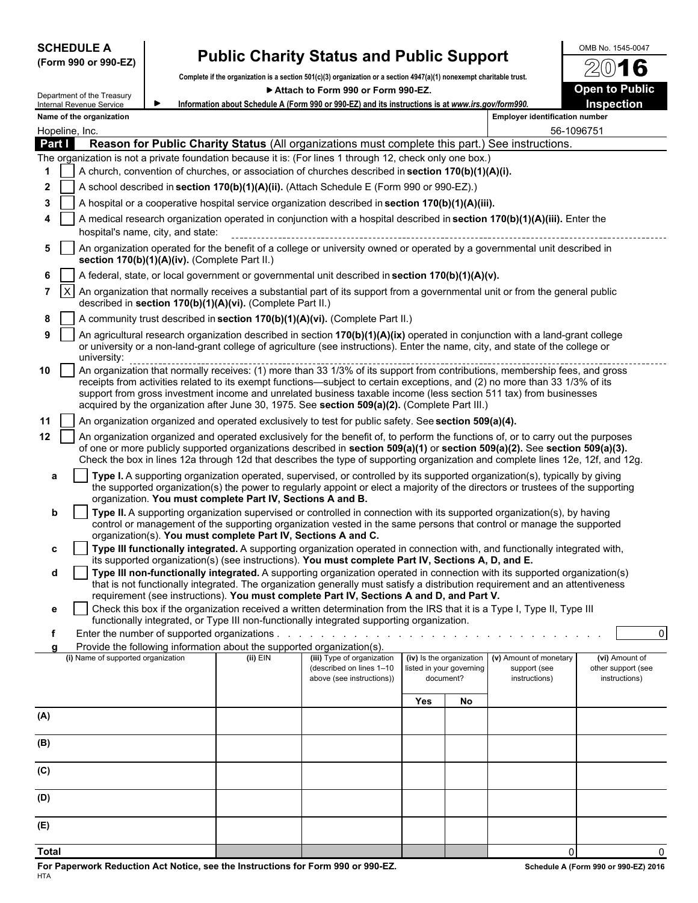| <b>SCHEDULE A</b> |  |                      |
|-------------------|--|----------------------|
|                   |  | (Form 990 or 990-EZ) |

## **Public Charity Status and Public Support**  $\frac{\text{OMB No. 1545-0047}}{2016}$

**Complete if the organization is a section 501(c)(3) organization or a section 4947(a)(1) nonexempt charitable trust.**

|                 |                 | Department of the Treasury         |                                               |                                                                                 | Attach to Form 990 or Form 990-EZ.                                                                                                                                                                                                                                                                                                                                                                 |     |                                                                   |                                                         | <b>Open to Public</b>                                 |
|-----------------|-----------------|------------------------------------|-----------------------------------------------|---------------------------------------------------------------------------------|----------------------------------------------------------------------------------------------------------------------------------------------------------------------------------------------------------------------------------------------------------------------------------------------------------------------------------------------------------------------------------------------------|-----|-------------------------------------------------------------------|---------------------------------------------------------|-------------------------------------------------------|
|                 |                 | Internal Revenue Service           |                                               |                                                                                 | Information about Schedule A (Form 990 or 990-EZ) and its instructions is at www.irs.gov/form990.                                                                                                                                                                                                                                                                                                  |     |                                                                   |                                                         | <b>Inspection</b>                                     |
|                 |                 | Name of the organization           |                                               |                                                                                 |                                                                                                                                                                                                                                                                                                                                                                                                    |     |                                                                   | <b>Employer identification number</b>                   |                                                       |
| Hopeline, Inc.  |                 |                                    |                                               |                                                                                 |                                                                                                                                                                                                                                                                                                                                                                                                    |     |                                                                   |                                                         | 56-1096751                                            |
| Part I          |                 |                                    |                                               |                                                                                 | Reason for Public Charity Status (All organizations must complete this part.) See instructions.                                                                                                                                                                                                                                                                                                    |     |                                                                   |                                                         |                                                       |
|                 |                 |                                    |                                               |                                                                                 | The organization is not a private foundation because it is: (For lines 1 through 12, check only one box.)                                                                                                                                                                                                                                                                                          |     |                                                                   |                                                         |                                                       |
| 1               |                 |                                    |                                               |                                                                                 | A church, convention of churches, or association of churches described in section 170(b)(1)(A)(i).                                                                                                                                                                                                                                                                                                 |     |                                                                   |                                                         |                                                       |
| 2               |                 |                                    |                                               |                                                                                 | A school described in section 170(b)(1)(A)(ii). (Attach Schedule E (Form 990 or 990-EZ).)                                                                                                                                                                                                                                                                                                          |     |                                                                   |                                                         |                                                       |
| 3               |                 |                                    |                                               |                                                                                 | A hospital or a cooperative hospital service organization described in section 170(b)(1)(A)(iii).                                                                                                                                                                                                                                                                                                  |     |                                                                   |                                                         |                                                       |
| 4               |                 |                                    | hospital's name, city, and state:             |                                                                                 | A medical research organization operated in conjunction with a hospital described in section 170(b)(1)(A)(iii). Enter the                                                                                                                                                                                                                                                                          |     |                                                                   |                                                         |                                                       |
| 5               |                 |                                    | section 170(b)(1)(A)(iv). (Complete Part II.) |                                                                                 | An organization operated for the benefit of a college or university owned or operated by a governmental unit described in                                                                                                                                                                                                                                                                          |     |                                                                   |                                                         |                                                       |
| 6               |                 |                                    |                                               |                                                                                 | A federal, state, or local government or governmental unit described in section 170(b)(1)(A)(v).                                                                                                                                                                                                                                                                                                   |     |                                                                   |                                                         |                                                       |
| 7               | $\vert x \vert$ |                                    |                                               | described in section 170(b)(1)(A)(vi). (Complete Part II.)                      | An organization that normally receives a substantial part of its support from a governmental unit or from the general public                                                                                                                                                                                                                                                                       |     |                                                                   |                                                         |                                                       |
| 8               |                 |                                    |                                               |                                                                                 | A community trust described in section 170(b)(1)(A)(vi). (Complete Part II.)                                                                                                                                                                                                                                                                                                                       |     |                                                                   |                                                         |                                                       |
| 9               |                 | university:                        |                                               |                                                                                 | An agricultural research organization described in section 170(b)(1)(A)(ix) operated in conjunction with a land-grant college<br>or university or a non-land-grant college of agriculture (see instructions). Enter the name, city, and state of the college or                                                                                                                                    |     |                                                                   |                                                         |                                                       |
| 10              |                 |                                    |                                               |                                                                                 | receipts from activities related to its exempt functions—subject to certain exceptions, and (2) no more than 33 1/3% of its<br>support from gross investment income and unrelated business taxable income (less section 511 tax) from businesses<br>acquired by the organization after June 30, 1975. See section 509(a)(2). (Complete Part III.)                                                  |     |                                                                   |                                                         |                                                       |
| 11              |                 |                                    |                                               |                                                                                 | An organization organized and operated exclusively to test for public safety. See section 509(a)(4).                                                                                                                                                                                                                                                                                               |     |                                                                   |                                                         |                                                       |
| 12 <sub>2</sub> |                 |                                    |                                               |                                                                                 | An organization organized and operated exclusively for the benefit of, to perform the functions of, or to carry out the purposes<br>of one or more publicly supported organizations described in section 509(a)(1) or section 509(a)(2). See section 509(a)(3).<br>Check the box in lines 12a through 12d that describes the type of supporting organization and complete lines 12e, 12f, and 12g. |     |                                                                   |                                                         |                                                       |
| a               |                 |                                    |                                               | organization. You must complete Part IV, Sections A and B.                      | Type I. A supporting organization operated, supervised, or controlled by its supported organization(s), typically by giving<br>the supported organization(s) the power to regularly appoint or elect a majority of the directors or trustees of the supporting                                                                                                                                     |     |                                                                   |                                                         |                                                       |
| b               |                 |                                    |                                               | organization(s). You must complete Part IV, Sections A and C.                   | Type II. A supporting organization supervised or controlled in connection with its supported organization(s), by having<br>control or management of the supporting organization vested in the same persons that control or manage the supported                                                                                                                                                    |     |                                                                   |                                                         |                                                       |
| c               |                 |                                    |                                               |                                                                                 | Type III functionally integrated. A supporting organization operated in connection with, and functionally integrated with,                                                                                                                                                                                                                                                                         |     |                                                                   |                                                         |                                                       |
| d               |                 |                                    |                                               |                                                                                 | its supported organization(s) (see instructions). You must complete Part IV, Sections A, D, and E.<br>Type III non-functionally integrated. A supporting organization operated in connection with its supported organization(s)                                                                                                                                                                    |     |                                                                   |                                                         |                                                       |
|                 |                 |                                    |                                               |                                                                                 | that is not functionally integrated. The organization generally must satisfy a distribution requirement and an attentiveness<br>requirement (see instructions). You must complete Part IV, Sections A and D, and Part V.                                                                                                                                                                           |     |                                                                   |                                                         |                                                       |
| е               |                 |                                    |                                               |                                                                                 | Check this box if the organization received a written determination from the IRS that it is a Type I, Type II, Type III<br>functionally integrated, or Type III non-functionally integrated supporting organization.                                                                                                                                                                               |     |                                                                   |                                                         |                                                       |
|                 |                 |                                    |                                               | Enter the number of supported organizations $\ldots$ $\ldots$ $\ldots$ $\ldots$ |                                                                                                                                                                                                                                                                                                                                                                                                    |     |                                                                   |                                                         | $\overline{0}$                                        |
|                 |                 |                                    |                                               | Provide the following information about the supported organization(s).          |                                                                                                                                                                                                                                                                                                                                                                                                    |     |                                                                   |                                                         |                                                       |
|                 |                 | (i) Name of supported organization |                                               | $(ii)$ EIN                                                                      | (iii) Type of organization<br>(described on lines 1-10<br>above (see instructions))                                                                                                                                                                                                                                                                                                                |     | (iv) Is the organization<br>listed in your governing<br>document? | (v) Amount of monetary<br>support (see<br>instructions) | (vi) Amount of<br>other support (see<br>instructions) |
|                 |                 |                                    |                                               |                                                                                 |                                                                                                                                                                                                                                                                                                                                                                                                    | Yes | No                                                                |                                                         |                                                       |
| (A)             |                 |                                    |                                               |                                                                                 |                                                                                                                                                                                                                                                                                                                                                                                                    |     |                                                                   |                                                         |                                                       |
| (B)             |                 |                                    |                                               |                                                                                 |                                                                                                                                                                                                                                                                                                                                                                                                    |     |                                                                   |                                                         |                                                       |
| (C)             |                 |                                    |                                               |                                                                                 |                                                                                                                                                                                                                                                                                                                                                                                                    |     |                                                                   |                                                         |                                                       |
| (D)             |                 |                                    |                                               |                                                                                 |                                                                                                                                                                                                                                                                                                                                                                                                    |     |                                                                   |                                                         |                                                       |
| (E)             |                 |                                    |                                               |                                                                                 |                                                                                                                                                                                                                                                                                                                                                                                                    |     |                                                                   |                                                         |                                                       |

**Total** 0 0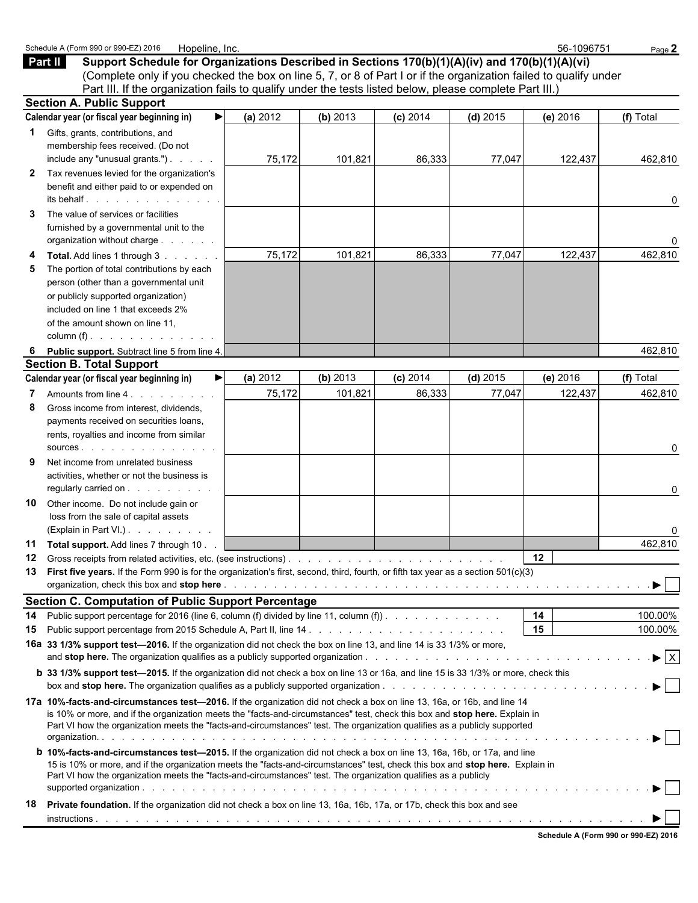|                   | Schedule A (Form 990 or 990-EZ) 2016<br>Hopeline, Inc.                                                                                                                                                                                                                                                                                                                             |          |          |            |            | 56-1096751 | Page 2                         |
|-------------------|------------------------------------------------------------------------------------------------------------------------------------------------------------------------------------------------------------------------------------------------------------------------------------------------------------------------------------------------------------------------------------|----------|----------|------------|------------|------------|--------------------------------|
|                   | Support Schedule for Organizations Described in Sections 170(b)(1)(A)(iv) and 170(b)(1)(A)(vi)<br>Part II<br>(Complete only if you checked the box on line 5, 7, or 8 of Part I or if the organization failed to qualify under                                                                                                                                                     |          |          |            |            |            |                                |
|                   | Part III. If the organization fails to qualify under the tests listed below, please complete Part III.)                                                                                                                                                                                                                                                                            |          |          |            |            |            |                                |
|                   | <b>Section A. Public Support</b>                                                                                                                                                                                                                                                                                                                                                   |          |          |            |            |            |                                |
|                   | Calendar year (or fiscal year beginning in)                                                                                                                                                                                                                                                                                                                                        | (a) 2012 | (b) 2013 | $(c)$ 2014 | $(d)$ 2015 | (e) 2016   | (f) Total                      |
| 1<br>$\mathbf{2}$ | Gifts, grants, contributions, and<br>membership fees received. (Do not<br>include any "unusual grants.")<br>Tax revenues levied for the organization's<br>benefit and either paid to or expended on                                                                                                                                                                                | 75,172   | 101,821  | 86,333     | 77,047     | 122,437    | 462,810                        |
|                   | its behalf.                                                                                                                                                                                                                                                                                                                                                                        |          |          |            |            |            | 0                              |
| 3                 | The value of services or facilities<br>furnished by a governmental unit to the<br>organization without charge                                                                                                                                                                                                                                                                      |          |          |            |            |            | 0                              |
| 4                 | Total. Add lines 1 through 3                                                                                                                                                                                                                                                                                                                                                       | 75,172   | 101,821  | 86,333     | 77,047     | 122,437    | 462,810                        |
| 5                 | The portion of total contributions by each<br>person (other than a governmental unit<br>or publicly supported organization)<br>included on line 1 that exceeds 2%<br>of the amount shown on line 11,<br>column (f) $\ldots$ $\ldots$ $\ldots$ $\ldots$ $\ldots$                                                                                                                    |          |          |            |            |            |                                |
| 6                 | Public support. Subtract line 5 from line 4.                                                                                                                                                                                                                                                                                                                                       |          |          |            |            |            | 462,810                        |
|                   | <b>Section B. Total Support</b>                                                                                                                                                                                                                                                                                                                                                    |          |          |            |            |            |                                |
|                   | Calendar year (or fiscal year beginning in)<br>▶                                                                                                                                                                                                                                                                                                                                   | (a) 2012 | (b) 2013 | $(c)$ 2014 | $(d)$ 2015 | (e) 2016   | (f) Total                      |
| 7<br>8            | Amounts from line 4.<br>Gross income from interest, dividends,<br>payments received on securities loans,<br>rents, royalties and income from similar<br>sources                                                                                                                                                                                                                    | 75,172   | 101,821  | 86,333     | 77,047     | 122,437    | 462,810<br>0                   |
| 9                 | Net income from unrelated business<br>activities, whether or not the business is<br>regularly carried on                                                                                                                                                                                                                                                                           |          |          |            |            |            | 0                              |
| 10                | Other income. Do not include gain or<br>loss from the sale of capital assets<br>(Explain in Part VI.)                                                                                                                                                                                                                                                                              |          |          |            |            |            |                                |
| 12                | 11 Total support. Add lines 7 through 10.                                                                                                                                                                                                                                                                                                                                          |          |          |            |            | 12         | 462,810                        |
| 13                | First five years. If the Form 990 is for the organization's first, second, third, fourth, or fifth tax year as a section 501(c)(3)                                                                                                                                                                                                                                                 |          |          |            |            |            | . ▶                            |
|                   | <b>Section C. Computation of Public Support Percentage</b>                                                                                                                                                                                                                                                                                                                         |          |          |            |            |            |                                |
| 14                | Public support percentage for 2016 (line 6, column (f) divided by line 11, column (f)).                                                                                                                                                                                                                                                                                            |          |          |            |            | 14         | 100.00%                        |
| 15                |                                                                                                                                                                                                                                                                                                                                                                                    |          |          |            |            | 15         | 100.00%                        |
|                   | 16a 33 1/3% support test-2016. If the organization did not check the box on line 13, and line 14 is 33 1/3% or more,                                                                                                                                                                                                                                                               |          |          |            |            |            | $\blacktriangleright$ $\mid$ X |
|                   | <b>b</b> 33 1/3% support test-2015. If the organization did not check a box on line 13 or 16a, and line 15 is 33 1/3% or more, check this                                                                                                                                                                                                                                          |          |          |            |            |            |                                |
|                   | 17a 10%-facts-and-circumstances test-2016. If the organization did not check a box on line 13, 16a, or 16b, and line 14<br>is 10% or more, and if the organization meets the "facts-and-circumstances" test, check this box and stop here. Explain in<br>Part VI how the organization meets the "facts-and-circumstances" test. The organization qualifies as a publicly supported |          |          |            |            |            |                                |
|                   | <b>b</b> 10%-facts-and-circumstances test-2015. If the organization did not check a box on line 13, 16a, 16b, or 17a, and line<br>15 is 10% or more, and if the organization meets the "facts-and-circumstances" test, check this box and stop here. Explain in<br>Part VI how the organization meets the "facts-and-circumstances" test. The organization qualifies as a publicly |          |          |            |            |            |                                |
| 18                | Private foundation. If the organization did not check a box on line 13, 16a, 16b, 17a, or 17b, check this box and see                                                                                                                                                                                                                                                              |          |          |            |            |            |                                |
|                   |                                                                                                                                                                                                                                                                                                                                                                                    |          |          |            |            |            |                                |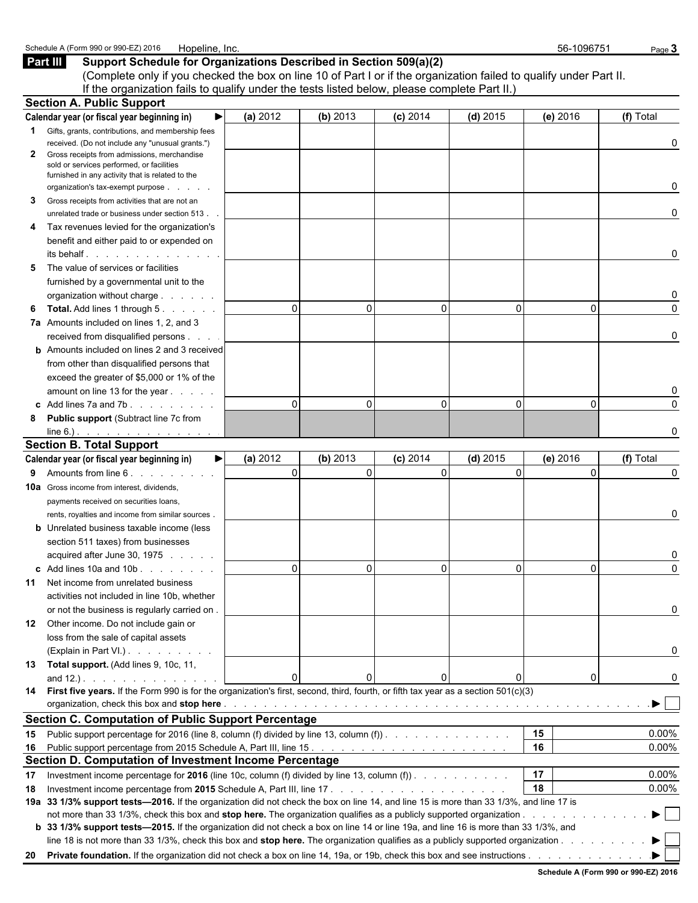| Part III                                          | Support Schedule for Organizations Described in Section 509(a)(2)<br>(Complete only if you checked the box on line 10 of Part I or if the organization failed to qualify under Part II. |                |          |            |            |          |                         |
|---------------------------------------------------|-----------------------------------------------------------------------------------------------------------------------------------------------------------------------------------------|----------------|----------|------------|------------|----------|-------------------------|
|                                                   | If the organization fails to qualify under the tests listed below, please complete Part II.)                                                                                            |                |          |            |            |          |                         |
| <b>Section A. Public Support</b>                  |                                                                                                                                                                                         |                |          |            |            |          |                         |
|                                                   | Calendar year (or fiscal year beginning in)                                                                                                                                             | (a) 2012       | (b) 2013 | $(c)$ 2014 | $(d)$ 2015 | (e) 2016 | (f) Total               |
| 1.                                                | Gifts, grants, contributions, and membership fees                                                                                                                                       |                |          |            |            |          |                         |
| $\mathbf{2}$                                      | received. (Do not include any "unusual grants.")<br>Gross receipts from admissions, merchandise                                                                                         |                |          |            |            |          | 0                       |
|                                                   | sold or services performed, or facilities                                                                                                                                               |                |          |            |            |          |                         |
|                                                   | furnished in any activity that is related to the                                                                                                                                        |                |          |            |            |          |                         |
|                                                   | organization's tax-exempt purpose                                                                                                                                                       |                |          |            |            |          | 0                       |
| 3                                                 | Gross receipts from activities that are not an                                                                                                                                          |                |          |            |            |          |                         |
|                                                   | unrelated trade or business under section 513.                                                                                                                                          |                |          |            |            |          | 0                       |
| 4                                                 | Tax revenues levied for the organization's                                                                                                                                              |                |          |            |            |          |                         |
|                                                   | benefit and either paid to or expended on                                                                                                                                               |                |          |            |            |          |                         |
|                                                   | its behalf in the set of the set of the set of the set of the set of the set of the set of the set of the set o                                                                         |                |          |            |            |          | 0                       |
| 5                                                 | The value of services or facilities                                                                                                                                                     |                |          |            |            |          |                         |
|                                                   | furnished by a governmental unit to the                                                                                                                                                 |                |          |            |            |          |                         |
|                                                   | organization without charge                                                                                                                                                             |                |          |            |            |          | 0                       |
| 6                                                 | <b>Total.</b> Add lines 1 through 5.                                                                                                                                                    | $\Omega$       | $\Omega$ | $\Omega$   | $\Omega$   | $\Omega$ | $\Omega$                |
|                                                   | 7a Amounts included on lines 1, 2, and 3                                                                                                                                                |                |          |            |            |          |                         |
|                                                   | received from disqualified persons                                                                                                                                                      |                |          |            |            |          | 0                       |
|                                                   | <b>b</b> Amounts included on lines 2 and 3 received                                                                                                                                     |                |          |            |            |          |                         |
|                                                   | from other than disqualified persons that                                                                                                                                               |                |          |            |            |          |                         |
|                                                   | exceed the greater of \$5,000 or 1% of the                                                                                                                                              |                |          |            |            |          |                         |
|                                                   | amount on line 13 for the year                                                                                                                                                          |                |          |            |            |          |                         |
|                                                   | c Add lines 7a and 7b. $\ldots$ $\ldots$ $\ldots$                                                                                                                                       | $\Omega$       | 0        | $\Omega$   | $\Omega$   | $\Omega$ | $\Omega$                |
| 8                                                 | <b>Public support (Subtract line 7c from</b>                                                                                                                                            |                |          |            |            |          |                         |
|                                                   | $line 6$ .).                                                                                                                                                                            |                |          |            |            |          | O                       |
| <b>Section B. Total Support</b>                   |                                                                                                                                                                                         |                |          |            |            |          |                         |
|                                                   | Calendar year (or fiscal year beginning in)<br>▶                                                                                                                                        | (a) 2012       | (b) 2013 | $(c)$ 2014 | $(d)$ 2015 | (e) 2016 | (f) Total               |
| Amounts from line 6.<br>9                         |                                                                                                                                                                                         | $\Omega$       | $\Omega$ | $\Omega$   | $\Omega$   | $\Omega$ | 0                       |
| <b>10a</b> Gross income from interest, dividends, |                                                                                                                                                                                         |                |          |            |            |          |                         |
|                                                   | payments received on securities loans,                                                                                                                                                  |                |          |            |            |          |                         |
|                                                   | rents, royalties and income from similar sources.                                                                                                                                       |                |          |            |            |          | 0                       |
|                                                   | <b>b</b> Unrelated business taxable income (less                                                                                                                                        |                |          |            |            |          |                         |
|                                                   | section 511 taxes) from businesses                                                                                                                                                      |                |          |            |            |          |                         |
|                                                   | acquired after June 30, 1975                                                                                                                                                            |                |          |            |            |          |                         |
|                                                   | c Add lines $10a$ and $10b$ .                                                                                                                                                           | $\overline{0}$ | 0        |            | 0          | 0        |                         |
| 11                                                | Net income from unrelated business                                                                                                                                                      |                |          |            |            |          |                         |
|                                                   | activities not included in line 10b, whether                                                                                                                                            |                |          |            |            |          |                         |
|                                                   | or not the business is regularly carried on.                                                                                                                                            |                |          |            |            |          | 0                       |
|                                                   | 12 Other income. Do not include gain or                                                                                                                                                 |                |          |            |            |          |                         |
|                                                   | loss from the sale of capital assets                                                                                                                                                    |                |          |            |            |          |                         |
|                                                   | (Explain in Part VI.)                                                                                                                                                                   |                |          |            |            |          | 0                       |
|                                                   | 13 Total support. (Add lines 9, 10c, 11,                                                                                                                                                |                |          |            |            |          |                         |
|                                                   |                                                                                                                                                                                         | $\Omega$       | 0        |            | 0          | 0        | 0                       |
|                                                   | 14 First five years. If the Form 990 is for the organization's first, second, third, fourth, or fifth tax year as a section 501(c)(3)                                                   |                |          |            |            |          |                         |
|                                                   |                                                                                                                                                                                         |                |          |            |            |          | $\blacktriangleright$   |
|                                                   | <b>Section C. Computation of Public Support Percentage</b>                                                                                                                              |                |          |            |            |          |                         |
| 15                                                | Public support percentage for 2016 (line 8, column (f) divided by line 13, column (f)                                                                                                   |                |          |            |            | 15       | 0.00%                   |
|                                                   |                                                                                                                                                                                         |                |          |            |            | 16       | 0.00%                   |
|                                                   | Section D. Computation of Investment Income Percentage                                                                                                                                  |                |          |            |            |          |                         |
| 17                                                | Investment income percentage for 2016 (line 10c, column (f) divided by line 13, column (f) $\ldots$                                                                                     |                |          |            |            | 17       | 0.00%                   |
| 18                                                |                                                                                                                                                                                         |                |          |            |            | 18       | 0.00%                   |
|                                                   | 19a 33 1/3% support tests-2016. If the organization did not check the box on line 14, and line 15 is more than 33 1/3%, and line 17 is                                                  |                |          |            |            |          |                         |
|                                                   |                                                                                                                                                                                         |                |          |            |            |          | $\blacktriangleright$ 1 |
|                                                   | b 33 1/3% support tests—2015. If the organization did not check a box on line 14 or line 19a, and line 16 is more than 33 1/3%, and                                                     |                |          |            |            |          |                         |
|                                                   | line 18 is not more than 33 1/3%, check this box and stop here. The organization qualifies as a publicly supported organization                                                         |                |          |            |            |          |                         |
| 20                                                |                                                                                                                                                                                         |                |          |            |            |          |                         |

Schedule A (Form 990 or 990-EZ) 2016 Hopeline, Inc. 56-1096751 Page 3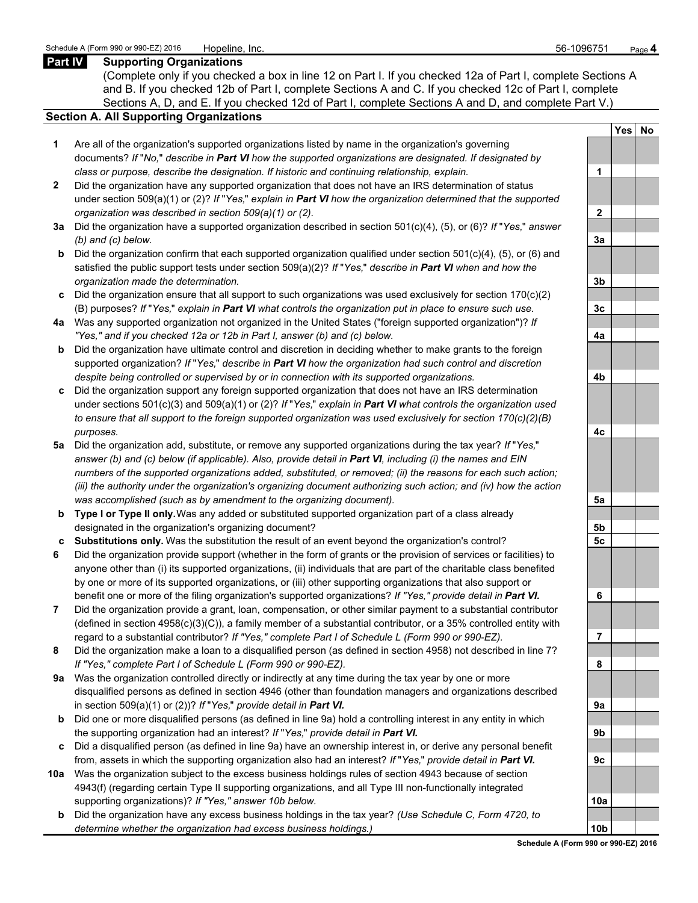### **Part IV Supporting Organizations**

(Complete only if you checked a box in line 12 on Part I. If you checked 12a of Part I, complete Sections A and B. If you checked 12b of Part I, complete Sections A and C. If you checked 12c of Part I, complete Sections A, D, and E. If you checked 12d of Part I, complete Sections A and D, and complete Part V.)

## **Section A. All Supporting Organizations**

- **1** Are all of the organization's supported organizations listed by name in the organization's governing documents? *If* "*No,*" *describe in Part VI how the supported organizations are designated. If designated by class or purpose, describe the designation. If historic and continuing relationship, explain.* **1**
- **2** Did the organization have any supported organization that does not have an IRS determination of status under section 509(a)(1) or (2)? *If* "*Yes,*" *explain in Part VI how the organization determined that the supported organization was described in section 509(a)(1) or (2).*
- **3a** Did the organization have a supported organization described in section 501(c)(4), (5), or (6)? *If* "*Yes,*" *answer (b) and (c) below.* **3a**
- **b** Did the organization confirm that each supported organization qualified under section 501(c)(4), (5), or (6) and satisfied the public support tests under section 509(a)(2)? *If* "*Yes,*" *describe in Part VI when and how the organization made the determination.* **3b**
- **c** Did the organization ensure that all support to such organizations was used exclusively for section 170(c)(2) (B) purposes? *If* "*Yes,*" *explain in Part VI what controls the organization put in place to ensure such use.* **3c**
- **4a** Was any supported organization not organized in the United States ("foreign supported organization")? *If "Yes," and if you checked 12a or 12b in Part I, answer (b) and (c) below.* **4a**
- **b** Did the organization have ultimate control and discretion in deciding whether to make grants to the foreign supported organization? *If* "*Yes,*" *describe in Part VI how the organization had such control and discretion despite being controlled or supervised by or in connection with its supported organizations.* **4b**
- **c** Did the organization support any foreign supported organization that does not have an IRS determination under sections 501(c)(3) and 509(a)(1) or (2)? *If* "*Yes,*" *explain in Part VI what controls the organization used to ensure that all support to the foreign supported organization was used exclusively for section 170(c)(2)(B) purposes.* **4c**
- **5a** Did the organization add, substitute, or remove any supported organizations during the tax year? *If* "*Yes,*" *answer (b) and (c) below (if applicable). Also, provide detail in Part VI, including (i) the names and EIN numbers of the supported organizations added, substituted, or removed; (ii) the reasons for each such action; (iii) the authority under the organization's organizing document authorizing such action; and (iv) how the action was accomplished (such as by amendment to the organizing document).* **5a**
- **b Type I or Type II only.** Was any added or substituted supported organization part of a class already designated in the organization's organizing document? **5b**
- **c Substitutions only.** Was the substitution the result of an event beyond the organization's control? **5c**
- **6** Did the organization provide support (whether in the form of grants or the provision of services or facilities) to anyone other than (i) its supported organizations, (ii) individuals that are part of the charitable class benefited by one or more of its supported organizations, or (iii) other supporting organizations that also support or benefit one or more of the filing organization's supported organizations? *If "Yes," provide detail in Part VI.* **6**
- **7** Did the organization provide a grant, loan, compensation, or other similar payment to a substantial contributor (defined in section 4958(c)(3)(C)), a family member of a substantial contributor, or a 35% controlled entity with regard to a substantial contributor? *If "Yes," complete Part I of Schedule L (Form 990 or 990-EZ).* **7**
- **8** Did the organization make a loan to a disqualified person (as defined in section 4958) not described in line 7? *If "Yes," complete Part I of Schedule L (Form 990 or 990-EZ).* **8**
- **9a** Was the organization controlled directly or indirectly at any time during the tax year by one or more disqualified persons as defined in section 4946 (other than foundation managers and organizations described in section 509(a)(1) or (2))? *If* "*Yes*," *provide detail in Part VI.*
- **b** Did one or more disqualified persons (as defined in line 9a) hold a controlling interest in any entity in which the supporting organization had an interest? *If* "*Yes,*" *provide detail in Part VI.* **9b**
- **c** Did a disqualified person (as defined in line 9a) have an ownership interest in, or derive any personal benefit from, assets in which the supporting organization also had an interest? *If* "*Yes,*" *provide detail in Part VI.* **9c**
- **10a** Was the organization subject to the excess business holdings rules of section 4943 because of section 4943(f) (regarding certain Type II supporting organizations, and all Type III non-functionally integrated supporting organizations)? If "Yes," answer 10b below.
	- **b** Did the organization have any excess business holdings in the tax year? *(Use Schedule C, Form 4720, to determine whether the organization had excess business holdings.)*

|                 | Yes No |  |
|-----------------|--------|--|
|                 |        |  |
| 1               |        |  |
|                 |        |  |
| $\overline{2}$  |        |  |
|                 |        |  |
| <u>3a</u>       |        |  |
|                 |        |  |
| <u>3b</u>       |        |  |
|                 |        |  |
| <u>3c</u>       |        |  |
| <u>4a</u>       |        |  |
|                 |        |  |
|                 |        |  |
| <u>4b</u>       |        |  |
|                 |        |  |
| 4c              |        |  |
|                 |        |  |
|                 |        |  |
|                 |        |  |
| <u>5a</u>       |        |  |
|                 |        |  |
| <u>5b</u><br>5c |        |  |
|                 |        |  |
|                 |        |  |
| 6               |        |  |
|                 |        |  |
| 7               |        |  |
|                 |        |  |
| 8               |        |  |
|                 |        |  |
| 9 <u>a</u>      |        |  |
|                 |        |  |
| Эb              |        |  |
| 9с              |        |  |
|                 |        |  |
|                 |        |  |
| 0a              |        |  |
| ۱ŀ<br>n         |        |  |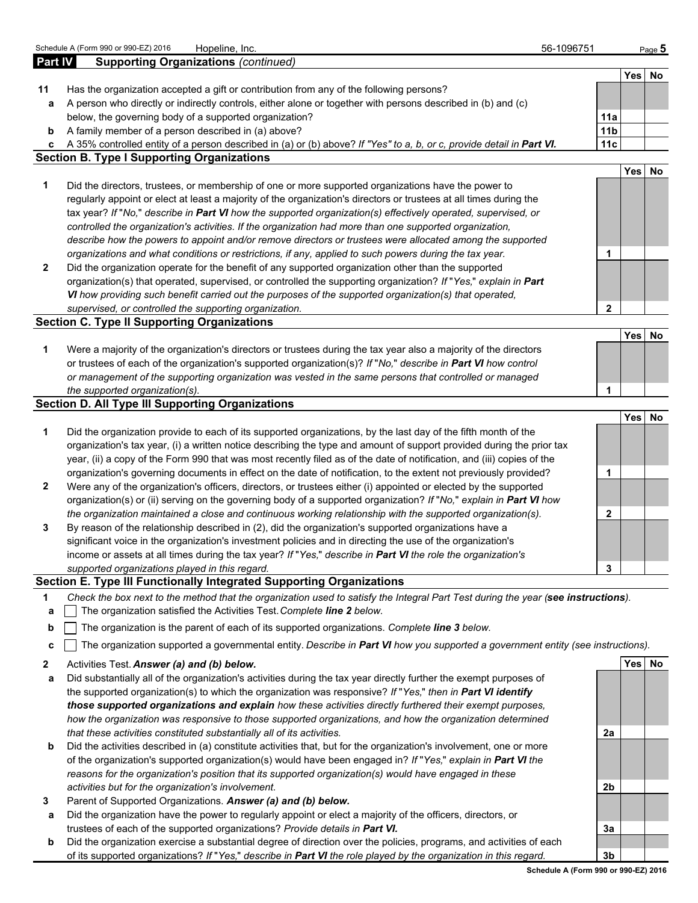|                | Schedule A (Form 990 or 990-EZ) 2016<br>Hopeline, Inc.                                                                                                                                                                            | 56-1096751             |            | Page 5 |
|----------------|-----------------------------------------------------------------------------------------------------------------------------------------------------------------------------------------------------------------------------------|------------------------|------------|--------|
| <b>Part IV</b> | <b>Supporting Organizations (continued)</b>                                                                                                                                                                                       |                        |            |        |
|                |                                                                                                                                                                                                                                   |                        |            | Yes No |
| 11             | Has the organization accepted a gift or contribution from any of the following persons?                                                                                                                                           |                        |            |        |
| а              | A person who directly or indirectly controls, either alone or together with persons described in (b) and (c)                                                                                                                      |                        |            |        |
|                | below, the governing body of a supported organization?<br>A family member of a person described in (a) above?                                                                                                                     | 11a<br>11 <sub>b</sub> |            |        |
| b<br>c         | A 35% controlled entity of a person described in (a) or (b) above? If "Yes" to a, b, or c, provide detail in Part VI.                                                                                                             | 11c                    |            |        |
|                | <b>Section B. Type I Supporting Organizations</b>                                                                                                                                                                                 |                        |            |        |
|                |                                                                                                                                                                                                                                   |                        | Yes        | No     |
| 1              | Did the directors, trustees, or membership of one or more supported organizations have the power to                                                                                                                               |                        |            |        |
|                | regularly appoint or elect at least a majority of the organization's directors or trustees at all times during the                                                                                                                |                        |            |        |
|                | tax year? If "No," describe in Part VI how the supported organization(s) effectively operated, supervised, or                                                                                                                     |                        |            |        |
|                | controlled the organization's activities. If the organization had more than one supported organization,                                                                                                                           |                        |            |        |
|                | describe how the powers to appoint and/or remove directors or trustees were allocated among the supported                                                                                                                         |                        |            |        |
|                | organizations and what conditions or restrictions, if any, applied to such powers during the tax year.                                                                                                                            | 1                      |            |        |
| 2              | Did the organization operate for the benefit of any supported organization other than the supported                                                                                                                               |                        |            |        |
|                | organization(s) that operated, supervised, or controlled the supporting organization? If "Yes," explain in Part                                                                                                                   |                        |            |        |
|                | VI how providing such benefit carried out the purposes of the supported organization(s) that operated,                                                                                                                            |                        |            |        |
|                | supervised, or controlled the supporting organization.                                                                                                                                                                            | $\mathbf{2}$           |            |        |
|                | <b>Section C. Type II Supporting Organizations</b>                                                                                                                                                                                |                        |            |        |
|                |                                                                                                                                                                                                                                   |                        | <b>Yes</b> | No     |
| 1              | Were a majority of the organization's directors or trustees during the tax year also a majority of the directors<br>or trustees of each of the organization's supported organization(s)? If "No," describe in Part VI how control |                        |            |        |
|                | or management of the supporting organization was vested in the same persons that controlled or managed                                                                                                                            |                        |            |        |
|                | the supported organization(s).                                                                                                                                                                                                    | 1                      |            |        |
|                | <b>Section D. All Type III Supporting Organizations</b>                                                                                                                                                                           |                        |            |        |
|                |                                                                                                                                                                                                                                   |                        | <b>Yes</b> | No     |
| 1              | Did the organization provide to each of its supported organizations, by the last day of the fifth month of the                                                                                                                    |                        |            |        |
|                | organization's tax year, (i) a written notice describing the type and amount of support provided during the prior tax                                                                                                             |                        |            |        |
|                | year, (ii) a copy of the Form 990 that was most recently filed as of the date of notification, and (iii) copies of the                                                                                                            |                        |            |        |
|                | organization's governing documents in effect on the date of notification, to the extent not previously provided?                                                                                                                  | 1                      |            |        |
| 2              | Were any of the organization's officers, directors, or trustees either (i) appointed or elected by the supported                                                                                                                  |                        |            |        |
|                | organization(s) or (ii) serving on the governing body of a supported organization? If "No," explain in Part VI how                                                                                                                |                        |            |        |
|                | the organization maintained a close and continuous working relationship with the supported organization(s).                                                                                                                       | $\mathbf{2}$           |            |        |
| 3              | By reason of the relationship described in (2), did the organization's supported organizations have a                                                                                                                             |                        |            |        |
|                | significant voice in the organization's investment policies and in directing the use of the organization's                                                                                                                        |                        |            |        |
|                | income or assets at all times during the tax year? If "Yes," describe in Part VI the role the organization's                                                                                                                      |                        |            |        |
|                | supported organizations played in this regard.                                                                                                                                                                                    | 3                      |            |        |
|                | Section E. Type III Functionally Integrated Supporting Organizations                                                                                                                                                              |                        |            |        |
| 1              | Check the box next to the method that the organization used to satisfy the Integral Part Test during the year (see instructions).<br>The organization satisfied the Activities Test. Complete line 2 below.                       |                        |            |        |
| a              |                                                                                                                                                                                                                                   |                        |            |        |
| b              | The organization is the parent of each of its supported organizations. Complete line 3 below.                                                                                                                                     |                        |            |        |
| c              | The organization supported a governmental entity. Describe in Part VI how you supported a government entity (see instructions).                                                                                                   |                        |            |        |
| 2              | Activities Test. Answer (a) and (b) below.                                                                                                                                                                                        |                        |            | Yes No |
| а              | Did substantially all of the organization's activities during the tax year directly further the exempt purposes of                                                                                                                |                        |            |        |
|                | the supported organization(s) to which the organization was responsive? If "Yes," then in Part VI identify                                                                                                                        |                        |            |        |
|                | those supported organizations and explain how these activities directly furthered their exempt purposes,                                                                                                                          |                        |            |        |
|                | how the organization was responsive to those supported organizations, and how the organization determined                                                                                                                         |                        |            |        |
|                | that these activities constituted substantially all of its activities.                                                                                                                                                            | 2a                     |            |        |
| b              | Did the activities described in (a) constitute activities that, but for the organization's involvement, one or more                                                                                                               |                        |            |        |
|                | of the organization's supported organization(s) would have been engaged in? If "Yes," explain in Part VI the                                                                                                                      |                        |            |        |
|                | reasons for the organization's position that its supported organization(s) would have engaged in these                                                                                                                            |                        |            |        |
|                | activities but for the organization's involvement.                                                                                                                                                                                | 2b                     |            |        |
| 3              | Parent of Supported Organizations. Answer (a) and (b) below.                                                                                                                                                                      |                        |            |        |
| а              | Did the organization have the power to regularly appoint or elect a majority of the officers, directors, or                                                                                                                       |                        |            |        |
| h.             | trustees of each of the supported organizations? Provide details in Part VI.<br>Did the organization exercise a substantial degree of direction over the policies programs, and activities of each                                | 3a                     |            |        |
|                |                                                                                                                                                                                                                                   |                        |            |        |

**b** Did the organization exercise a substantial degree of direction over the policies, programs, and activities of each of its supported organizations? *If* "*Yes,*" *describe in Part VI the role played by the organization in this regard.* **3b**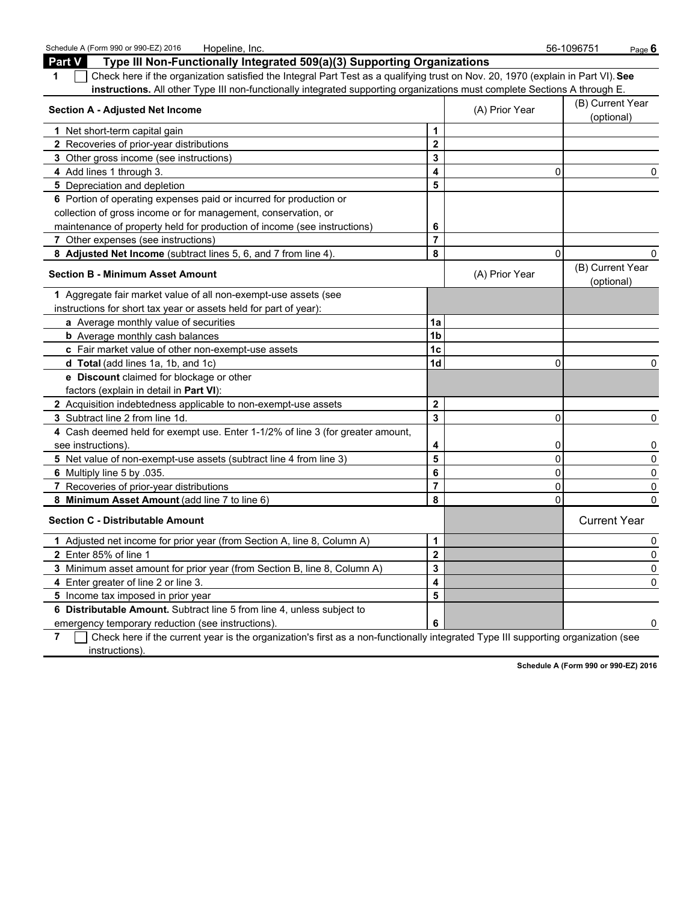| Schedule A (Form 990 or 990-EZ) 2016<br>Hopeline, Inc.                                                                                |                         |                | 56-1096751<br>Page 6           |
|---------------------------------------------------------------------------------------------------------------------------------------|-------------------------|----------------|--------------------------------|
| <b>Part V</b><br>Type III Non-Functionally Integrated 509(a)(3) Supporting Organizations                                              |                         |                |                                |
| Check here if the organization satisfied the Integral Part Test as a qualifying trust on Nov. 20, 1970 (explain in Part VI). See<br>1 |                         |                |                                |
| instructions. All other Type III non-functionally integrated supporting organizations must complete Sections A through E.             |                         |                |                                |
| <b>Section A - Adjusted Net Income</b>                                                                                                |                         |                | (B) Current Year               |
|                                                                                                                                       |                         | (A) Prior Year | (optional)                     |
| 1 Net short-term capital gain                                                                                                         | 1                       |                |                                |
| 2 Recoveries of prior-year distributions                                                                                              | $\overline{\mathbf{2}}$ |                |                                |
| 3 Other gross income (see instructions)                                                                                               | 3                       |                |                                |
| 4 Add lines 1 through 3.                                                                                                              | 4                       | 0              | 0                              |
| 5 Depreciation and depletion                                                                                                          | 5                       |                |                                |
| 6 Portion of operating expenses paid or incurred for production or                                                                    |                         |                |                                |
| collection of gross income or for management, conservation, or                                                                        |                         |                |                                |
| maintenance of property held for production of income (see instructions)                                                              | 6                       |                |                                |
| 7 Other expenses (see instructions)                                                                                                   | $\overline{7}$          |                |                                |
| 8 Adjusted Net Income (subtract lines 5, 6, and 7 from line 4)                                                                        | 8                       | $\Omega$       | 0                              |
| <b>Section B - Minimum Asset Amount</b>                                                                                               |                         | (A) Prior Year | (B) Current Year<br>(optional) |
| 1 Aggregate fair market value of all non-exempt-use assets (see                                                                       |                         |                |                                |
| instructions for short tax year or assets held for part of year):                                                                     |                         |                |                                |
| a Average monthly value of securities                                                                                                 | 1a                      |                |                                |
| <b>b</b> Average monthly cash balances                                                                                                | 1 <sub>b</sub>          |                |                                |
| c Fair market value of other non-exempt-use assets                                                                                    | 1 <sub>c</sub>          |                |                                |
| d Total (add lines 1a, 1b, and 1c)                                                                                                    | 1 <sub>d</sub>          | 0              | 0                              |
| e Discount claimed for blockage or other                                                                                              |                         |                |                                |
| factors (explain in detail in Part VI):                                                                                               |                         |                |                                |
| 2 Acquisition indebtedness applicable to non-exempt-use assets                                                                        | $\mathbf{2}$            |                |                                |
| 3 Subtract line 2 from line 1d.                                                                                                       | $\mathbf{3}$            | 0              | $\Omega$                       |
| 4 Cash deemed held for exempt use. Enter 1-1/2% of line 3 (for greater amount,                                                        |                         |                |                                |
| see instructions).                                                                                                                    | 4                       | 0              | 0                              |
| 5 Net value of non-exempt-use assets (subtract line 4 from line 3)                                                                    | 5                       | 0              | 0                              |
| 6 Multiply line 5 by .035.                                                                                                            | 6                       | 0              | 0                              |
| 7 Recoveries of prior-year distributions                                                                                              | $\overline{7}$          | 0              | 0                              |
| 8 Minimum Asset Amount (add line 7 to line 6)                                                                                         | 8                       | 0              | $\Omega$                       |
| <b>Section C - Distributable Amount</b>                                                                                               |                         |                | <b>Current Year</b>            |
| 1 Adjusted net income for prior year (from Section A, line 8, Column A)                                                               | 1                       |                | 0                              |
| 2 Enter 85% of line 1                                                                                                                 | $\mathbf 2$             |                | 0                              |
| 3 Minimum asset amount for prior year (from Section B, line 8, Column A)                                                              | $\overline{3}$          |                | $\Omega$                       |

**6 Distributable Amount.** Subtract line 5 from line 4, unless subject to

**5** Income tax imposed in prior year **5**

emergency temporary reduction (see instructions). **6 0** 0 **7** Check here if the current year is the organization's first as a non-functionally integrated Type III supporting organization (see instructions).

**4** Enter greater of line 2 or line 3. **4** 0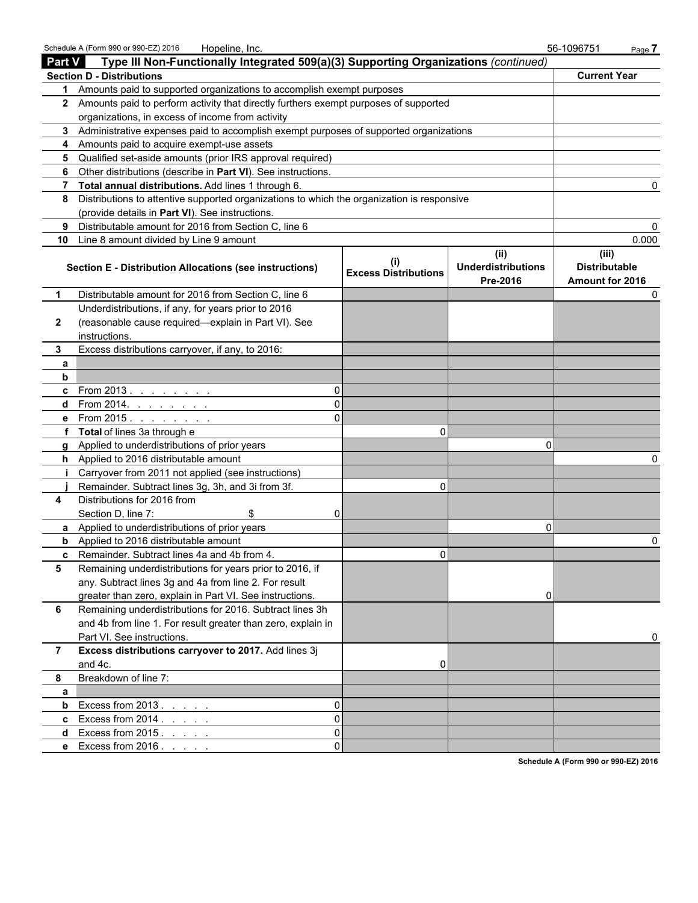|               | Schedule A (Form 990 or 990-EZ) 2016<br>Hopeline, Inc.                                     |                             |                                               | 56-1096751<br>Page 7                             |  |
|---------------|--------------------------------------------------------------------------------------------|-----------------------------|-----------------------------------------------|--------------------------------------------------|--|
| <b>Part V</b> | Type III Non-Functionally Integrated 509(a)(3) Supporting Organizations (continued)        |                             |                                               |                                                  |  |
|               | <b>Section D - Distributions</b>                                                           |                             |                                               | <b>Current Year</b>                              |  |
| 1             | Amounts paid to supported organizations to accomplish exempt purposes                      |                             |                                               |                                                  |  |
|               | 2 Amounts paid to perform activity that directly furthers exempt purposes of supported     |                             |                                               |                                                  |  |
|               | organizations, in excess of income from activity                                           |                             |                                               |                                                  |  |
| 3             | Administrative expenses paid to accomplish exempt purposes of supported organizations      |                             |                                               |                                                  |  |
| 4             | Amounts paid to acquire exempt-use assets                                                  |                             |                                               |                                                  |  |
| 5             | Qualified set-aside amounts (prior IRS approval required)                                  |                             |                                               |                                                  |  |
| 6             | Other distributions (describe in Part VI). See instructions.                               |                             |                                               |                                                  |  |
|               | Total annual distributions. Add lines 1 through 6.                                         |                             |                                               |                                                  |  |
| 8             | Distributions to attentive supported organizations to which the organization is responsive |                             |                                               |                                                  |  |
|               | (provide details in Part VI). See instructions.                                            |                             |                                               |                                                  |  |
| 9             | Distributable amount for 2016 from Section C, line 6                                       |                             |                                               |                                                  |  |
| 10            | Line 8 amount divided by Line 9 amount                                                     |                             |                                               | 0.000                                            |  |
|               | <b>Section E - Distribution Allocations (see instructions)</b>                             | <b>Excess Distributions</b> | (ii)<br><b>Underdistributions</b><br>Pre-2016 | (iii)<br><b>Distributable</b><br>Amount for 2016 |  |
| 1             | Distributable amount for 2016 from Section C, line 6                                       |                             |                                               |                                                  |  |
|               | Underdistributions, if any, for years prior to 2016                                        |                             |                                               |                                                  |  |
| 2             | (reasonable cause required-explain in Part VI). See                                        |                             |                                               |                                                  |  |
|               | instructions.                                                                              |                             |                                               |                                                  |  |
| 3             | Excess distributions carryover, if any, to 2016:                                           |                             |                                               |                                                  |  |
| a             |                                                                                            |                             |                                               |                                                  |  |
| $\mathbf b$   |                                                                                            |                             |                                               |                                                  |  |
| c             | From 2013                                                                                  |                             |                                               |                                                  |  |
| d             | From 2014.                                                                                 |                             |                                               |                                                  |  |
| е             | From 2015<br>the contract of the con-                                                      |                             |                                               |                                                  |  |
| f             | Total of lines 3a through e                                                                | 0                           |                                               |                                                  |  |
| a             | Applied to underdistributions of prior years                                               |                             | 0                                             |                                                  |  |
| h.            | Applied to 2016 distributable amount                                                       |                             |                                               |                                                  |  |
| j.            | Carryover from 2011 not applied (see instructions)                                         |                             |                                               |                                                  |  |
|               | Remainder. Subtract lines 3g, 3h, and 3i from 3f.                                          | $\Omega$                    |                                               |                                                  |  |
| 4             | Distributions for 2016 from                                                                |                             |                                               |                                                  |  |
|               | Section D, line 7:<br>\$                                                                   |                             | 0                                             |                                                  |  |
| b             | Applied to underdistributions of prior years<br>Applied to 2016 distributable amount       |                             |                                               | 0                                                |  |
|               | Remainder. Subtract lines 4a and 4b from 4.                                                |                             |                                               |                                                  |  |
| 5             | Remaining underdistributions for years prior to 2016, if                                   | U                           |                                               |                                                  |  |
|               | any. Subtract lines 3g and 4a from line 2. For result                                      |                             |                                               |                                                  |  |
|               | greater than zero, explain in Part VI. See instructions.                                   |                             | 0                                             |                                                  |  |
| 6             | Remaining underdistributions for 2016. Subtract lines 3h                                   |                             |                                               |                                                  |  |
|               | and 4b from line 1. For result greater than zero, explain in                               |                             |                                               |                                                  |  |
|               | Part VI. See instructions.                                                                 |                             |                                               |                                                  |  |
| 7             | Excess distributions carryover to 2017. Add lines 3j                                       |                             |                                               |                                                  |  |
|               | and 4c.                                                                                    | 0                           |                                               |                                                  |  |
| 8             | Breakdown of line 7:                                                                       |                             |                                               |                                                  |  |
| a             |                                                                                            |                             |                                               |                                                  |  |
| b             | Excess from 2013.<br>$\Omega$                                                              |                             |                                               |                                                  |  |
| c             | Excess from 2014.<br>$\Omega$                                                              |                             |                                               |                                                  |  |
| d             | Excess from 2015.<br>$\Omega$                                                              |                             |                                               |                                                  |  |
| е             | Excess from 2016.                                                                          |                             |                                               |                                                  |  |
|               |                                                                                            |                             |                                               |                                                  |  |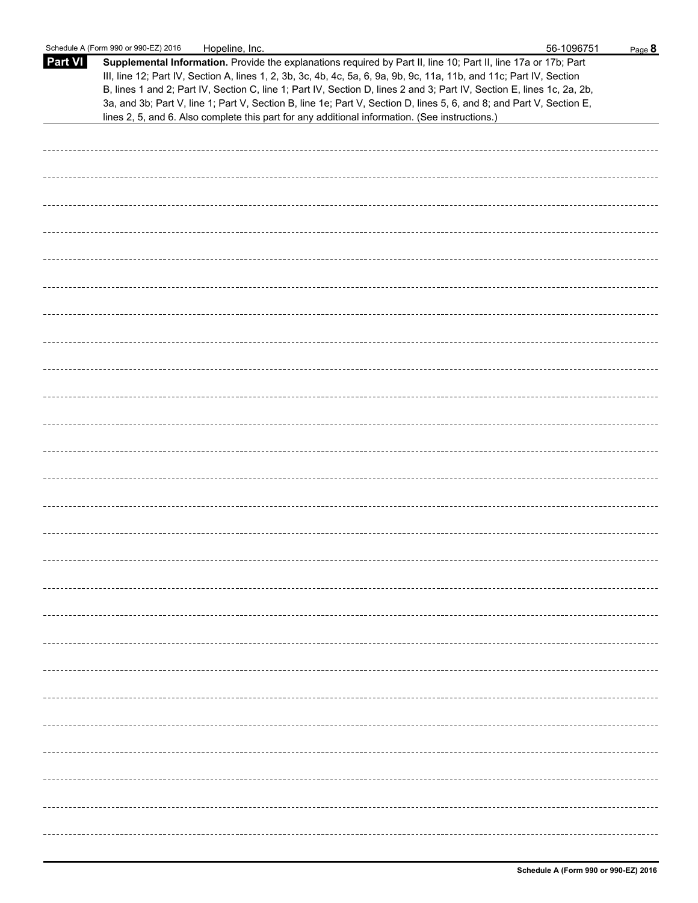|                | Schedule A (Form 990 or 990-EZ) 2016<br>Hopeline, Inc.                                                                                                                                                                                                                                                                                                                                                                                                                                                                                                                                      | 56-1096751 | Page 8 |
|----------------|---------------------------------------------------------------------------------------------------------------------------------------------------------------------------------------------------------------------------------------------------------------------------------------------------------------------------------------------------------------------------------------------------------------------------------------------------------------------------------------------------------------------------------------------------------------------------------------------|------------|--------|
| <b>Part VI</b> | Supplemental Information. Provide the explanations required by Part II, line 10; Part II, line 17a or 17b; Part<br>III, line 12; Part IV, Section A, lines 1, 2, 3b, 3c, 4b, 4c, 5a, 6, 9a, 9b, 9c, 11a, 11b, and 11c; Part IV, Section<br>B, lines 1 and 2; Part IV, Section C, line 1; Part IV, Section D, lines 2 and 3; Part IV, Section E, lines 1c, 2a, 2b,<br>3a, and 3b; Part V, line 1; Part V, Section B, line 1e; Part V, Section D, lines 5, 6, and 8; and Part V, Section E,<br>lines 2, 5, and 6. Also complete this part for any additional information. (See instructions.) |            |        |
|                |                                                                                                                                                                                                                                                                                                                                                                                                                                                                                                                                                                                             |            |        |
|                |                                                                                                                                                                                                                                                                                                                                                                                                                                                                                                                                                                                             |            |        |
|                |                                                                                                                                                                                                                                                                                                                                                                                                                                                                                                                                                                                             |            |        |
|                |                                                                                                                                                                                                                                                                                                                                                                                                                                                                                                                                                                                             |            |        |
|                |                                                                                                                                                                                                                                                                                                                                                                                                                                                                                                                                                                                             |            |        |
|                |                                                                                                                                                                                                                                                                                                                                                                                                                                                                                                                                                                                             |            |        |
|                |                                                                                                                                                                                                                                                                                                                                                                                                                                                                                                                                                                                             |            |        |
|                |                                                                                                                                                                                                                                                                                                                                                                                                                                                                                                                                                                                             |            |        |
|                |                                                                                                                                                                                                                                                                                                                                                                                                                                                                                                                                                                                             |            |        |
|                |                                                                                                                                                                                                                                                                                                                                                                                                                                                                                                                                                                                             |            |        |
|                |                                                                                                                                                                                                                                                                                                                                                                                                                                                                                                                                                                                             |            |        |
|                |                                                                                                                                                                                                                                                                                                                                                                                                                                                                                                                                                                                             |            |        |
|                |                                                                                                                                                                                                                                                                                                                                                                                                                                                                                                                                                                                             |            |        |
|                |                                                                                                                                                                                                                                                                                                                                                                                                                                                                                                                                                                                             |            |        |
|                |                                                                                                                                                                                                                                                                                                                                                                                                                                                                                                                                                                                             |            |        |
|                |                                                                                                                                                                                                                                                                                                                                                                                                                                                                                                                                                                                             |            |        |
|                |                                                                                                                                                                                                                                                                                                                                                                                                                                                                                                                                                                                             |            |        |
|                |                                                                                                                                                                                                                                                                                                                                                                                                                                                                                                                                                                                             |            |        |
|                |                                                                                                                                                                                                                                                                                                                                                                                                                                                                                                                                                                                             |            |        |
|                |                                                                                                                                                                                                                                                                                                                                                                                                                                                                                                                                                                                             |            |        |
|                |                                                                                                                                                                                                                                                                                                                                                                                                                                                                                                                                                                                             |            |        |
|                |                                                                                                                                                                                                                                                                                                                                                                                                                                                                                                                                                                                             |            |        |
|                |                                                                                                                                                                                                                                                                                                                                                                                                                                                                                                                                                                                             |            |        |
|                |                                                                                                                                                                                                                                                                                                                                                                                                                                                                                                                                                                                             |            |        |
|                |                                                                                                                                                                                                                                                                                                                                                                                                                                                                                                                                                                                             |            |        |
|                |                                                                                                                                                                                                                                                                                                                                                                                                                                                                                                                                                                                             |            |        |
|                |                                                                                                                                                                                                                                                                                                                                                                                                                                                                                                                                                                                             |            |        |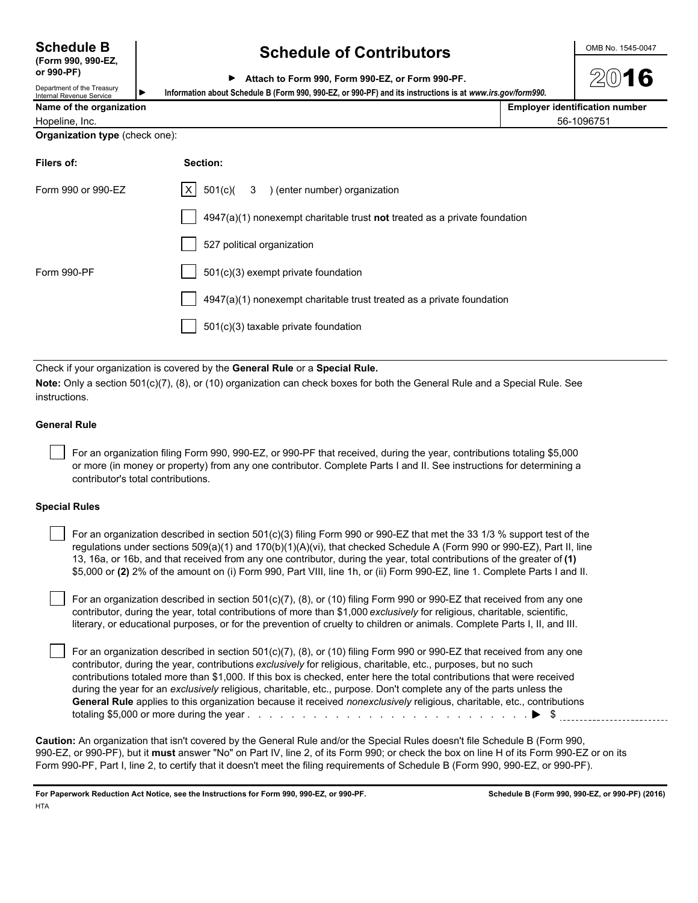**(Form 990, 990-EZ,**

**or 990-PF)**

## **Schedule B Schedule of Contributors CONDING 1545-0047**

|  | Attach to Form 990, Form 990-EZ, or Form 990-PF. |  |  |  |  |  |  |
|--|--------------------------------------------------|--|--|--|--|--|--|
|--|--------------------------------------------------|--|--|--|--|--|--|

Department of the Treasury partment or the treasury **I**<br>**Bout a Revenue Service I**<br>**Princt Revenue Service I Name of the organization** 

|  | <b>Employer identification number</b> |  |
|--|---------------------------------------|--|

| <b>Name of the organization</b> | EMDIOVER IGENUICALION |
|---------------------------------|-----------------------|
| Hopeline, Inc.                  | 56-1096751            |

**Organization type** (check one):

| Filers of:         | Section:                                                                  |
|--------------------|---------------------------------------------------------------------------|
| Form 990 or 990-EZ | $ X $ 501(c)( 3 ) (enter number) organization                             |
|                    | 4947(a)(1) nonexempt charitable trust not treated as a private foundation |
|                    | 527 political organization                                                |
| Form 990-PF        | 501(c)(3) exempt private foundation                                       |
|                    | 4947(a)(1) nonexempt charitable trust treated as a private foundation     |
|                    | 501(c)(3) taxable private foundation                                      |
|                    |                                                                           |

Check if your organization is covered by the **General Rule** or a **Special Rule.**

**Note:** Only a section 501(c)(7), (8), or (10) organization can check boxes for both the General Rule and a Special Rule. See instructions.

### **General Rule**

 For an organization filing Form 990, 990-EZ, or 990-PF that received, during the year, contributions totaling \$5,000 or more (in money or property) from any one contributor. Complete Parts I and II. See instructions for determining a contributor's total contributions.

### **Special Rules**

 For an organization described in section 501(c)(3) filing Form 990 or 990-EZ that met the 33 1/3 % support test of the regulations under sections 509(a)(1) and 170(b)(1)(A)(vi), that checked Schedule A (Form 990 or 990-EZ), Part II, line 13, 16a, or 16b, and that received from any one contributor, during the year, total contributions of the greater of **(1)** \$5,000 or **(2)** 2% of the amount on (i) Form 990, Part VIII, line 1h, or (ii) Form 990-EZ, line 1. Complete Parts I and II.

 For an organization described in section 501(c)(7), (8), or (10) filing Form 990 or 990-EZ that received from any one contributor, during the year, total contributions of more than \$1,000 *exclusively* for religious, charitable, scientific, literary, or educational purposes, or for the prevention of cruelty to children or animals. Complete Parts I, II, and III.

 For an organization described in section 501(c)(7), (8), or (10) filing Form 990 or 990-EZ that received from any one contributor, during the year, contributions *exclusively* for religious, charitable, etc., purposes, but no such contributions totaled more than \$1,000. If this box is checked, enter here the total contributions that were received during the year for an *exclusively* religious, charitable, etc., purpose. Don't complete any of the parts unless the **General Rule** applies to this organization because it received *nonexclusively* religious, charitable, etc., contributions totaling \$5,000 or more during the year . . . . . . . . . . . . . . . . . . . . . . . . . . . . . . . . . . . . . . . . . . . . . . . . . . . \$

**Caution:** An organization that isn't covered by the General Rule and/or the Special Rules doesn't file Schedule B (Form 990, 990-EZ, or 990-PF), but it **must** answer "No" on Part IV, line 2, of its Form 990; or check the box on line H of its Form 990-EZ or on its Form 990-PF, Part I, line 2, to certify that it doesn't meet the filing requirements of Schedule B (Form 990, 990-EZ, or 990-PF).

**For Paperwork Reduction Act Notice, see the Instructions for Form 990, 990-EZ, or 990-PF. Schedule B (Form 990, 990-EZ, or 990-PF) (2016) HTA**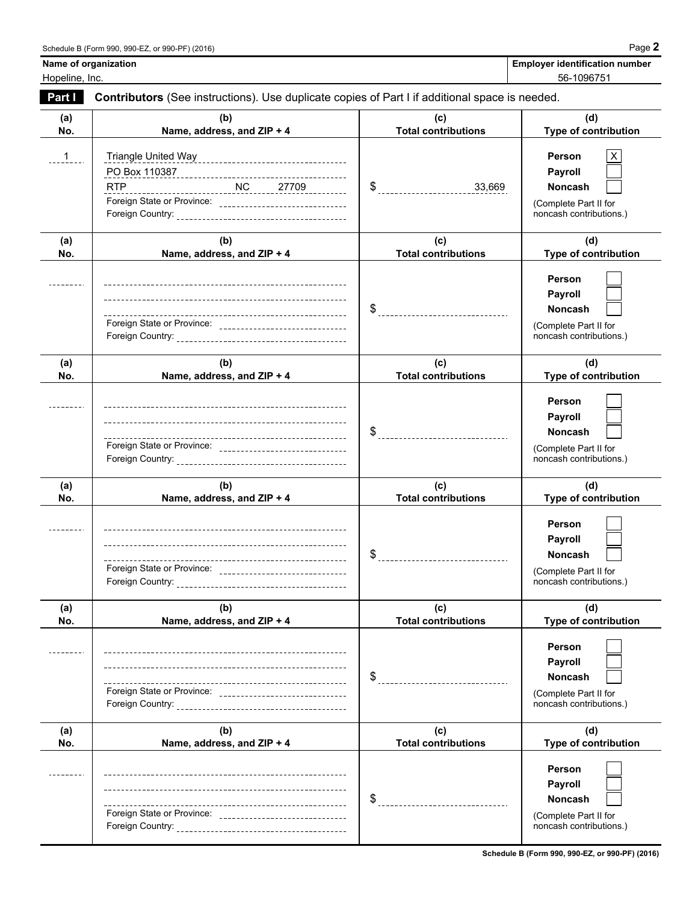| <b>Employer identification number</b> |
|---------------------------------------|
| $F^{\alpha}$ and $F^{\alpha}$         |

| Name of organization |
|----------------------|
| Hopeline, Inc.       |

Hopeline, Inc. 56-1096751

| Part I     | Contributors (See instructions). Use duplicate copies of Part I if additional space is needed. |                                   |                                                                                                |  |  |
|------------|------------------------------------------------------------------------------------------------|-----------------------------------|------------------------------------------------------------------------------------------------|--|--|
| (a)<br>No. | (b)<br>Name, address, and ZIP + 4                                                              | (c)<br><b>Total contributions</b> | (d)<br>Type of contribution                                                                    |  |  |
| 1          | <b>RTP</b><br>Foreign State or Province: _______________________________                       |                                   | Person<br>X<br>Payroll<br><b>Noncash</b><br>(Complete Part II for<br>noncash contributions.)   |  |  |
| (a)<br>No. | (b)<br>Name, address, and ZIP + 4                                                              | (c)<br><b>Total contributions</b> | (d)<br>Type of contribution                                                                    |  |  |
|            | Foreign State or Province: _________________________________                                   |                                   | Person<br>Payroll<br><b>Noncash</b><br>(Complete Part II for<br>noncash contributions.)        |  |  |
| (a)<br>No. | (b)<br>Name, address, and ZIP + 4                                                              | (c)<br><b>Total contributions</b> | (d)<br><b>Type of contribution</b>                                                             |  |  |
|            | Foreign State or Province: _________________________________                                   |                                   | Person<br>Payroll<br><b>Noncash</b><br>(Complete Part II for<br>noncash contributions.)        |  |  |
| (a)<br>No. | (b)<br>Name, address, and ZIP + 4                                                              | (c)<br><b>Total contributions</b> | (d)<br>Type of contribution                                                                    |  |  |
|            | Foreign State or Province: _______________________________                                     |                                   | Person<br>Payroll<br><b>Noncash</b><br>(Complete Part II for<br>noncash contributions.)        |  |  |
| (a)<br>No. | (b)<br>Name, address, and ZIP + 4                                                              | (c)<br><b>Total contributions</b> | (d)<br>Type of contribution                                                                    |  |  |
|            | Foreign State or Province: _________________________________                                   | \$                                | Person<br>Payroll<br><b>Noncash</b><br>(Complete Part II for<br>noncash contributions.)        |  |  |
| (a)<br>No. | (b)<br>Name, address, and ZIP + 4                                                              | (c)<br><b>Total contributions</b> | (d)<br>Type of contribution                                                                    |  |  |
|            | Foreign State or Province: ________________________________                                    | \$                                | Person<br><b>Payroll</b><br><b>Noncash</b><br>(Complete Part II for<br>noncash contributions.) |  |  |

**Schedule B (Form 990, 990-EZ, or 990-PF) (2016)**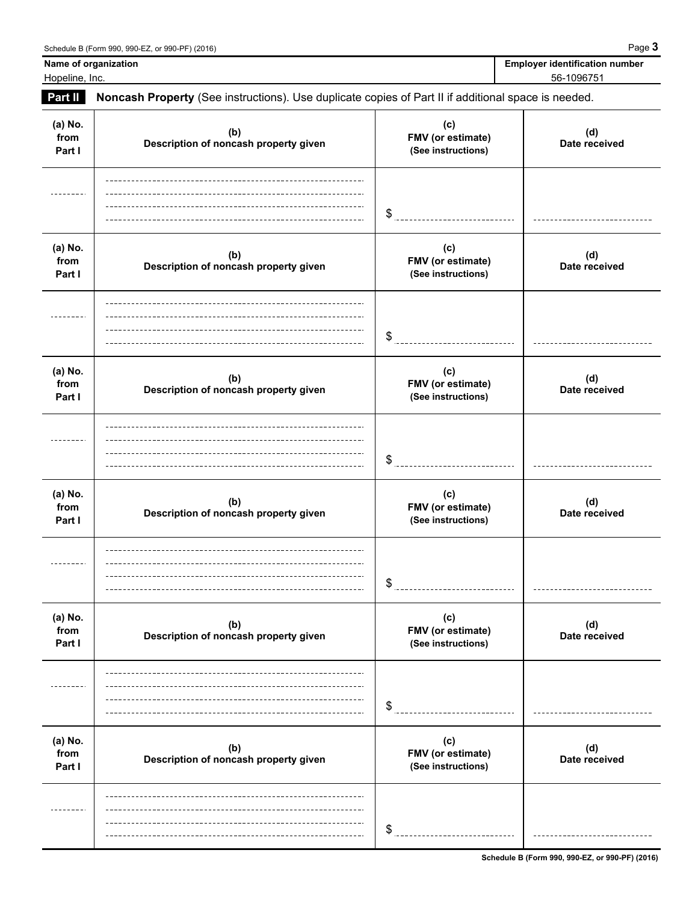**Name of organization** Hopeline, Inc.

| <b>Employer identification number</b> |
|---------------------------------------|
| 56-1096751                            |

## **Part II Noncash Property** (See instructions). Use duplicate copies of Part II if additional space is needed. **(a) No. (c)** (d)<br>Date received **(b) Description of noncash property given Date received from FMV (or estimate) Part I (See instructions)** \$ **(a) No. (c) (b) (d) Description of noncash property given Date received from FMV (or estimate) Part I example of indicate property given See instructions**) ---------\$ \_\_\_\_\_\_\_\_\_\_\_\_\_\_\_\_\_\_\_\_\_\_\_\_\_\_\_\_\_\_ **(a) No. (c) (b) (d) Description of noncash property given Date received from FMV (or estimate)** Part I **B Part I CONSTRUCTER PROPERTY See instructions**) \$ **(a) No. (c) (b) (d) Description of noncash property given Date received from FMV (or estimate) Part I example of indicate property given See instructions**) ---------\$ **(a) No. (c) (b)** (d)<br>Date received **Description of noncash property given Date received from FMV (or estimate) Part I (See instructions)** \$ ------------------------------**(a) No. (c) (b)** (d)<br>Date received **Description of noncash property given Date received from FMV (or estimate)** Part I **Part I Part I Part I Part I** *(See instructions)* \$ <u>\_\_\_\_\_\_\_\_\_\_\_\_\_\_\_\_\_</u>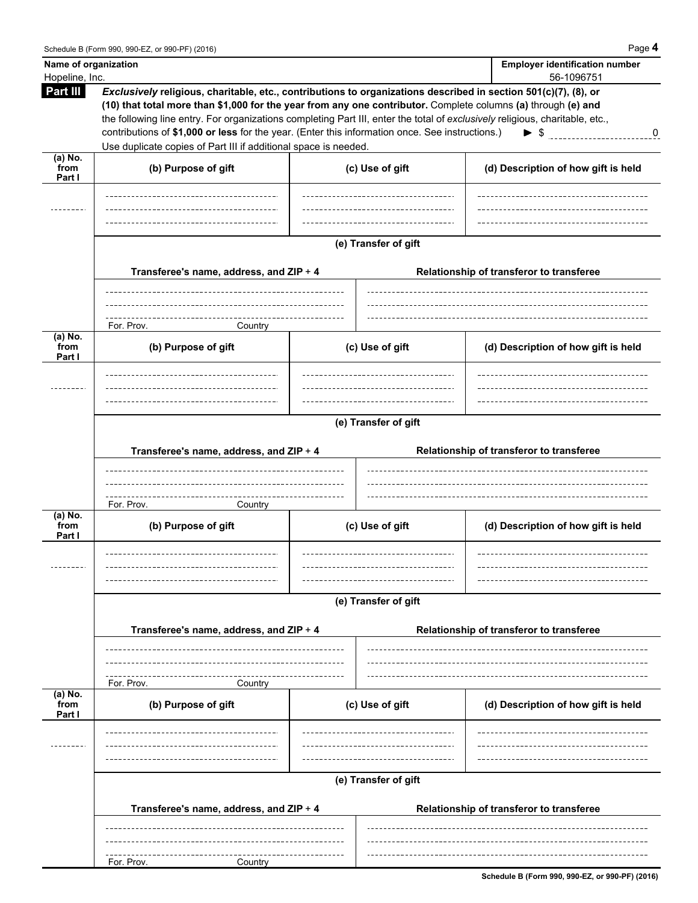| Name of organization<br>Hopeline, Inc. |                                                                                                                                                                                                                                                                                                                                                                                                                                                                                                                                        |                      | <b>Employer identification number</b><br>56-1096751 |  |  |
|----------------------------------------|----------------------------------------------------------------------------------------------------------------------------------------------------------------------------------------------------------------------------------------------------------------------------------------------------------------------------------------------------------------------------------------------------------------------------------------------------------------------------------------------------------------------------------------|----------------------|-----------------------------------------------------|--|--|
| Part III                               | Exclusively religious, charitable, etc., contributions to organizations described in section 501(c)(7), (8), or<br>(10) that total more than \$1,000 for the year from any one contributor. Complete columns (a) through (e) and<br>the following line entry. For organizations completing Part III, enter the total of exclusively religious, charitable, etc.,<br>contributions of \$1,000 or less for the year. (Enter this information once. See instructions.)<br>Use duplicate copies of Part III if additional space is needed. |                      | $\triangleright$ \$ 0                               |  |  |
| $(a)$ No.<br>from<br>Part I            | (b) Purpose of gift                                                                                                                                                                                                                                                                                                                                                                                                                                                                                                                    | (c) Use of gift      | (d) Description of how gift is held                 |  |  |
|                                        |                                                                                                                                                                                                                                                                                                                                                                                                                                                                                                                                        |                      |                                                     |  |  |
|                                        | Transferee's name, address, and ZIP + 4                                                                                                                                                                                                                                                                                                                                                                                                                                                                                                | (e) Transfer of gift | Relationship of transferor to transferee            |  |  |
|                                        | For. Prov.<br>Country                                                                                                                                                                                                                                                                                                                                                                                                                                                                                                                  |                      |                                                     |  |  |
| $(a)$ No.<br>from<br>Part I            | (b) Purpose of gift                                                                                                                                                                                                                                                                                                                                                                                                                                                                                                                    | (c) Use of gift      | (d) Description of how gift is held                 |  |  |
|                                        | (e) Transfer of gift<br>Transferee's name, address, and ZIP + 4<br>Relationship of transferor to transferee                                                                                                                                                                                                                                                                                                                                                                                                                            |                      |                                                     |  |  |
|                                        | For. Prov.                                                                                                                                                                                                                                                                                                                                                                                                                                                                                                                             |                      |                                                     |  |  |
| $(a)$ No.<br>from<br>Part I            | Country<br>(b) Purpose of gift                                                                                                                                                                                                                                                                                                                                                                                                                                                                                                         | (c) Use of gift      | (d) Description of how gift is held                 |  |  |
|                                        |                                                                                                                                                                                                                                                                                                                                                                                                                                                                                                                                        | (e) Transfer of gift |                                                     |  |  |
|                                        | Transferee's name, address, and ZIP + 4                                                                                                                                                                                                                                                                                                                                                                                                                                                                                                |                      | Relationship of transferor to transferee            |  |  |
| (a) No.                                | For. Prov.<br>Country                                                                                                                                                                                                                                                                                                                                                                                                                                                                                                                  |                      |                                                     |  |  |
| from<br>Part I                         | (b) Purpose of gift                                                                                                                                                                                                                                                                                                                                                                                                                                                                                                                    | (c) Use of gift      | (d) Description of how gift is held                 |  |  |
|                                        | (e) Transfer of gift                                                                                                                                                                                                                                                                                                                                                                                                                                                                                                                   |                      |                                                     |  |  |
|                                        | Transferee's name, address, and ZIP + 4                                                                                                                                                                                                                                                                                                                                                                                                                                                                                                |                      | Relationship of transferor to transferee            |  |  |
|                                        | For. Prov.<br>Country                                                                                                                                                                                                                                                                                                                                                                                                                                                                                                                  |                      |                                                     |  |  |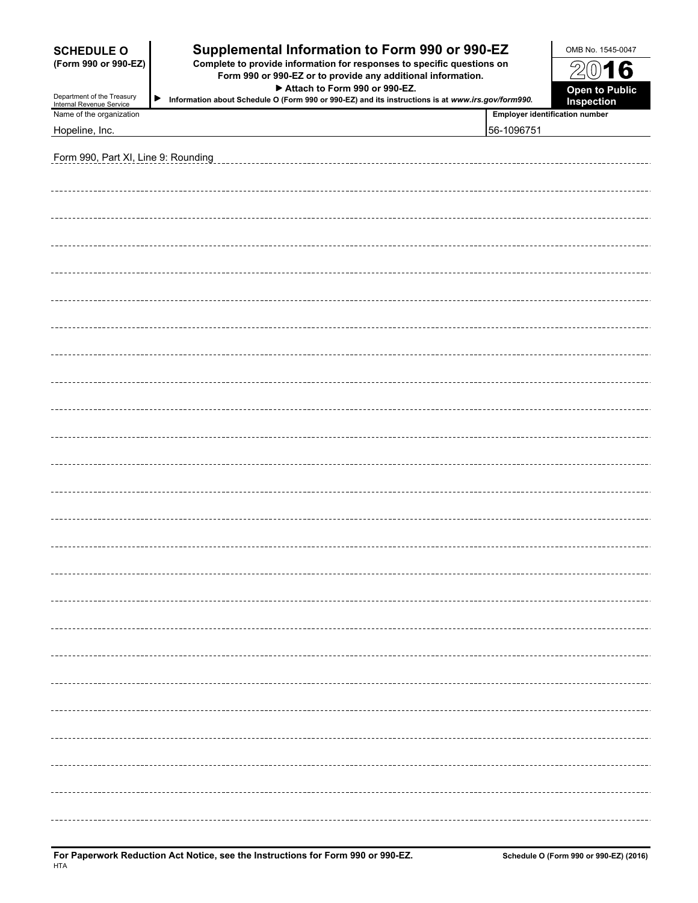| Supplemental Information to Form 990 or 990-EZ<br><b>SCHEDULE O</b><br>Complete to provide information for responses to specific questions on<br>(Form 990 or 990-EZ)<br>Form 990 or 990-EZ or to provide any additional information. |                                                                                                                                         |                                       | OMB No. 1545-0047                   |
|---------------------------------------------------------------------------------------------------------------------------------------------------------------------------------------------------------------------------------------|-----------------------------------------------------------------------------------------------------------------------------------------|---------------------------------------|-------------------------------------|
|                                                                                                                                                                                                                                       |                                                                                                                                         |                                       | Z<br>016                            |
| Department of the Treasury                                                                                                                                                                                                            | Attach to Form 990 or 990-EZ.<br>▶<br>Information about Schedule O (Form 990 or 990-EZ) and its instructions is at www.irs.gov/form990. |                                       | Open to Public<br><b>Inspection</b> |
| Internal Revenue Service<br>Name of the organization                                                                                                                                                                                  |                                                                                                                                         | <b>Employer identification number</b> |                                     |
| Hopeline, Inc.                                                                                                                                                                                                                        |                                                                                                                                         | 56-1096751                            |                                     |
|                                                                                                                                                                                                                                       |                                                                                                                                         |                                       |                                     |
| Form 990, Part XI, Line 9: Rounding                                                                                                                                                                                                   |                                                                                                                                         |                                       |                                     |
|                                                                                                                                                                                                                                       |                                                                                                                                         |                                       |                                     |
|                                                                                                                                                                                                                                       |                                                                                                                                         |                                       |                                     |
|                                                                                                                                                                                                                                       |                                                                                                                                         |                                       |                                     |
|                                                                                                                                                                                                                                       |                                                                                                                                         |                                       |                                     |
|                                                                                                                                                                                                                                       |                                                                                                                                         |                                       |                                     |
|                                                                                                                                                                                                                                       |                                                                                                                                         |                                       |                                     |
|                                                                                                                                                                                                                                       |                                                                                                                                         |                                       |                                     |
|                                                                                                                                                                                                                                       |                                                                                                                                         |                                       |                                     |
|                                                                                                                                                                                                                                       |                                                                                                                                         |                                       |                                     |
|                                                                                                                                                                                                                                       |                                                                                                                                         |                                       |                                     |
|                                                                                                                                                                                                                                       |                                                                                                                                         |                                       |                                     |
|                                                                                                                                                                                                                                       |                                                                                                                                         |                                       |                                     |
|                                                                                                                                                                                                                                       |                                                                                                                                         |                                       |                                     |
|                                                                                                                                                                                                                                       |                                                                                                                                         |                                       |                                     |
|                                                                                                                                                                                                                                       |                                                                                                                                         |                                       |                                     |
|                                                                                                                                                                                                                                       |                                                                                                                                         |                                       |                                     |
|                                                                                                                                                                                                                                       |                                                                                                                                         |                                       |                                     |
|                                                                                                                                                                                                                                       |                                                                                                                                         |                                       |                                     |
|                                                                                                                                                                                                                                       |                                                                                                                                         |                                       |                                     |
|                                                                                                                                                                                                                                       |                                                                                                                                         |                                       |                                     |